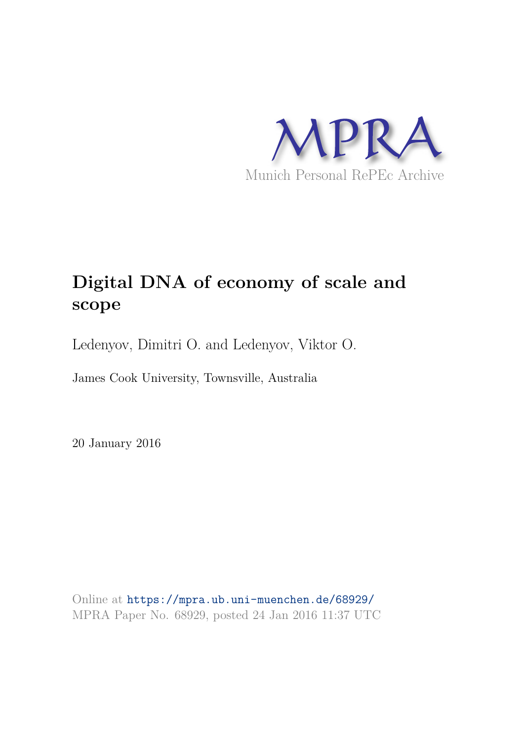

# **Digital DNA of economy of scale and scope**

Ledenyov, Dimitri O. and Ledenyov, Viktor O.

James Cook University, Townsville, Australia

20 January 2016

Online at https://mpra.ub.uni-muenchen.de/68929/ MPRA Paper No. 68929, posted 24 Jan 2016 11:37 UTC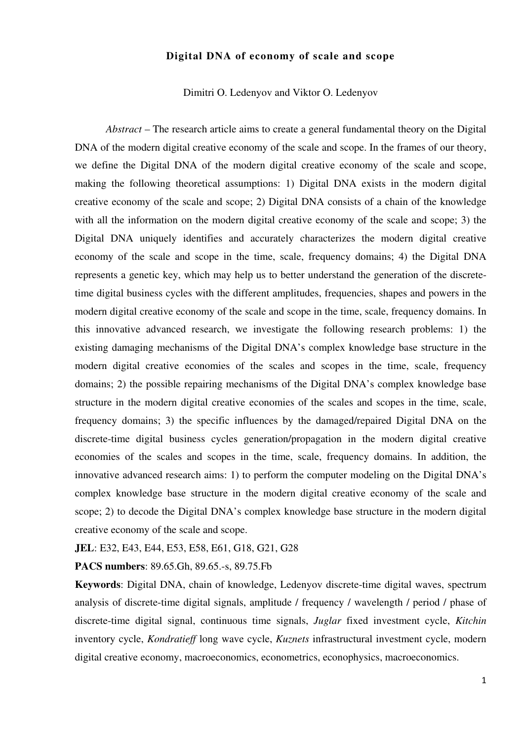## **Digital DNA of economy of scale and scope**

Dimitri O. Ledenyov and Viktor O. Ledenyov

*Abstract* – The research article aims to create a general fundamental theory on the Digital DNA of the modern digital creative economy of the scale and scope. In the frames of our theory, we define the Digital DNA of the modern digital creative economy of the scale and scope, making the following theoretical assumptions: 1) Digital DNA exists in the modern digital creative economy of the scale and scope; 2) Digital DNA consists of a chain of the knowledge with all the information on the modern digital creative economy of the scale and scope; 3) the Digital DNA uniquely identifies and accurately characterizes the modern digital creative economy of the scale and scope in the time, scale, frequency domains; 4) the Digital DNA represents a genetic key, which may help us to better understand the generation of the discretetime digital business cycles with the different amplitudes, frequencies, shapes and powers in the modern digital creative economy of the scale and scope in the time, scale, frequency domains. In this innovative advanced research, we investigate the following research problems: 1) the existing damaging mechanisms of the Digital DNA's complex knowledge base structure in the modern digital creative economies of the scales and scopes in the time, scale, frequency domains; 2) the possible repairing mechanisms of the Digital DNA's complex knowledge base structure in the modern digital creative economies of the scales and scopes in the time, scale, frequency domains; 3) the specific influences by the damaged/repaired Digital DNA on the discrete-time digital business cycles generation/propagation in the modern digital creative economies of the scales and scopes in the time, scale, frequency domains. In addition, the innovative advanced research aims: 1) to perform the computer modeling on the Digital DNA's complex knowledge base structure in the modern digital creative economy of the scale and scope; 2) to decode the Digital DNA's complex knowledge base structure in the modern digital creative economy of the scale and scope.

**JEL**: E32, E43, E44, E53, E58, E61, G18, G21, G28

**PACS numbers**: 89.65.Gh, 89.65.-s, 89.75.Fb

**Keywords**: Digital DNA, chain of knowledge, Ledenyov discrete-time digital waves, spectrum analysis of discrete-time digital signals, amplitude / frequency / wavelength / period / phase of discrete-time digital signal, continuous time signals, *Juglar* fixed investment cycle, *Kitchin* inventory cycle, *Kondratieff* long wave cycle, *Kuznets* infrastructural investment cycle, modern digital creative economy, macroeconomics, econometrics, econophysics, macroeconomics.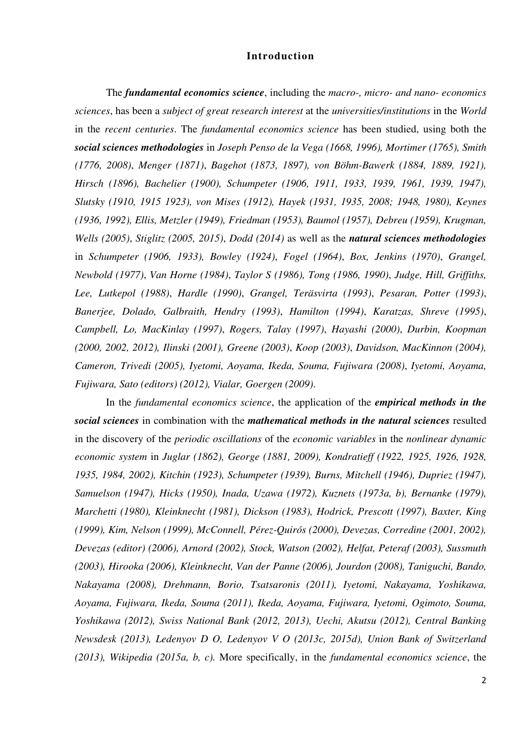#### **Introduction**

The *fundamental economics science*, including the *macro-, micro- and nano- economics sciences*, has been a *subject of great research interest* at the *universities/institutions* in the *World* in the *recent centuries*. The *fundamental economics science* has been studied, using both the *social sciences methodologies* in *Joseph Penso de la Vega (1668, 1996), Mortimer (1765), Smith (1776, 2008)*, *Menger (1871)*, *Bagehot (1873, 1897), von Böhm-Bawerk (1884, 1889, 1921), Hirsch (1896), Bachelier (1900), Schumpeter (1906, 1911, 1933, 1939, 1961, 1939, 1947), Slutsky (1910, 1915 1923), von Mises (1912), Hayek (1931, 1935, 2008; 1948, 1980), Keynes (1936, 1992), Ellis, Metzler (1949), Friedman (1953), Baumol (1957), Debreu (1959), Krugman, Wells (2005)*, *Stiglitz (2005, 2015)*, *Dodd (2014)* as well as the *natural sciences methodologies* in *Schumpeter (1906, 1933), Bowley (1924)*, *Fogel (1964)*, *Box, Jenkins (1970)*, *Grangel, Newbold (1977)*, *Van Horne (1984)*, *Taylor S (1986), Tong (1986, 1990)*, *Judge, Hill, Griffiths, Lee, Lutkepol (1988)*, *Hardle (1990)*, *Grangel, Teräsvirta (1993)*, *Pesaran, Potter (1993)*, *Banerjee, Dolado, Galbraith, Hendry (1993)*, *Hamilton (1994)*, *Karatzas, Shreve (1995)*, *Campbell, Lo, MacKinlay (1997)*, *Rogers, Talay (1997)*, *Hayashi (2000)*, *Durbin, Koopman (2000, 2002, 2012), Ilinski (2001), Greene (2003)*, *Koop (2003)*, *Davidson, MacKinnon (2004), Cameron, Trivedi (2005), Iyetomi, Aoyama, Ikeda, Souma, Fujiwara (2008)*, *Iyetomi, Aoyama, Fujiwara, Sato (editors) (2012), Vialar, Goergen (2009)*.

In the *fundamental economics science*, the application of the *empirical methods in the social sciences* in combination with the *mathematical methods in the natural sciences* resulted in the discovery of the *periodic oscillations* of the *economic variables* in the *nonlinear dynamic economic system* in *Juglar (1862), George (1881, 2009), Kondratieff (1922, 1925, 1926, 1928, 1935, 1984, 2002), Kitchin (1923), Schumpeter (1939), Burns, Mitchell (1946), Dupriez (1947), Samuelson (1947), Hicks (1950), Inada, Uzawa (1972), Kuznets (1973a, b), Bernanke (1979), Marchetti (1980), Kleinknecht (1981), Dickson (1983), Hodrick, Prescott (1997), Baxter, King (1999), Kim, Nelson (1999), McConnell, Pérez-Quirós (2000), Devezas, Corredine (2001, 2002), Devezas (editor) (2006), Arnord (2002), Stock, Watson (2002), Helfat, Peteraf (2003), Sussmuth (2003), Hirooka (2006), Kleinknecht, Van der Panne (2006), Jourdon (2008), Taniguchi, Bando, Nakayama (2008), Drehmann, Borio, Tsatsaronis (2011), Iyetomi, Nakayama, Yoshikawa, Aoyama, Fujiwara, Ikeda, Souma (2011), Ikeda, Aoyama, Fujiwara, Iyetomi, Ogimoto, Souma, Yoshikawa (2012), Swiss National Bank (2012, 2013), Uechi, Akutsu (2012), Central Banking Newsdesk (2013), Ledenyov D O, Ledenyov V O (2013c, 2015d), Union Bank of Switzerland (2013), Wikipedia (2015a, b, c).* More specifically, in the *fundamental economics science*, the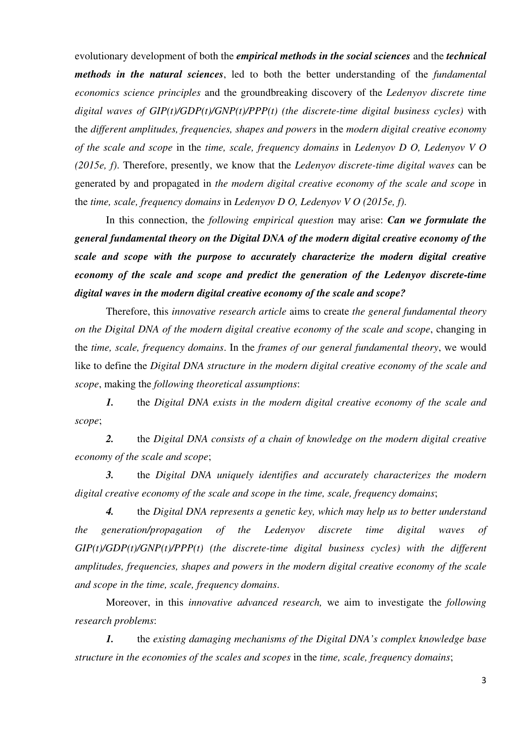evolutionary development of both the *empirical methods in the social sciences* and the *technical methods in the natural sciences*, led to both the better understanding of the *fundamental economics science principles* and the groundbreaking discovery of the *Ledenyov discrete time digital waves of GIP(t)/GDP(t)/GNP(t)/PPP(t) (the discrete-time digital business cycles)* with the *different amplitudes, frequencies, shapes and powers* in the *modern digital creative economy of the scale and scope* in the *time, scale, frequency domains* in *Ledenyov D O, Ledenyov V O (2015e, f)*. Therefore, presently, we know that the *Ledenyov discrete-time digital waves* can be generated by and propagated in *the modern digital creative economy of the scale and scope* in the *time, scale, frequency domains* in *Ledenyov D O, Ledenyov V O (2015e, f)*.

In this connection, the *following empirical question* may arise: *Can we formulate the general fundamental theory on the Digital DNA of the modern digital creative economy of the scale and scope with the purpose to accurately characterize the modern digital creative economy of the scale and scope and predict the generation of the Ledenyov discrete-time digital waves in the modern digital creative economy of the scale and scope?*

Therefore, this *innovative research article* aims to create *the general fundamental theory on the Digital DNA of the modern digital creative economy of the scale and scope*, changing in the *time, scale, frequency domains*. In the *frames of our general fundamental theory*, we would like to define the *Digital DNA structure in the modern digital creative economy of the scale and scope*, making the *following theoretical assumptions*:

*1.* the *Digital DNA exists in the modern digital creative economy of the scale and scope*;

*2.* the *Digital DNA consists of a chain of knowledge on the modern digital creative economy of the scale and scope*;

*3.* the *Digital DNA uniquely identifies and accurately characterizes the modern digital creative economy of the scale and scope in the time, scale, frequency domains*;

*4.* the *Digital DNA represents a genetic key, which may help us to better understand the generation/propagation of the Ledenyov discrete time digital waves of GIP(t)/GDP(t)/GNP(t)/PPP(t) (the discrete-time digital business cycles) with the different amplitudes, frequencies, shapes and powers in the modern digital creative economy of the scale and scope in the time, scale, frequency domains*.

Moreover, in this *innovative advanced research,* we aim to investigate the *following research problems*:

*1.* the *existing damaging mechanisms of the Digital DNA's complex knowledge base structure in the economies of the scales and scopes* in the *time, scale, frequency domains*;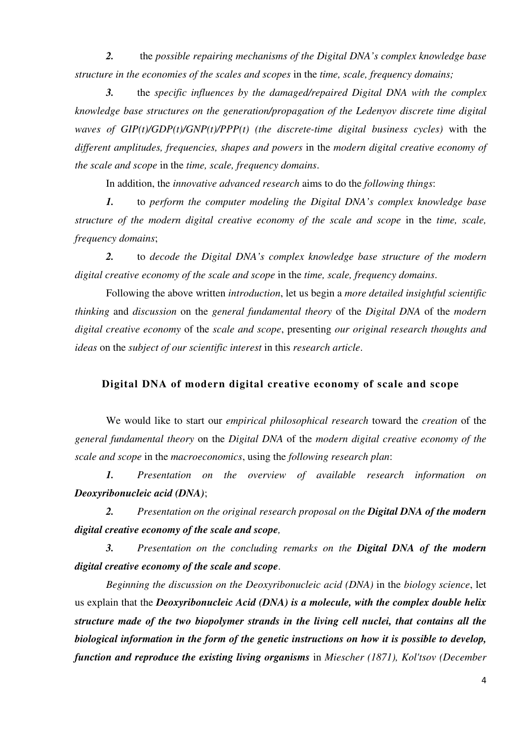*2.* the *possible repairing mechanisms of the Digital DNA's complex knowledge base structure in the economies of the scales and scopes* in the *time, scale, frequency domains;*

*3.* the *specific influences by the damaged/repaired Digital DNA with the complex knowledge base structures on the generation/propagation of the Ledenyov discrete time digital waves of GIP(t)/GDP(t)/GNP(t)/PPP(t) (the discrete-time digital business cycles)* with the *different amplitudes, frequencies, shapes and powers* in the *modern digital creative economy of the scale and scope* in the *time, scale, frequency domains*.

In addition, the *innovative advanced research* aims to do the *following things*:

*1.* to *perform the computer modeling the Digital DNA's complex knowledge base structure of the modern digital creative economy of the scale and scope in the time, scale, frequency domains*;

*2.* to *decode the Digital DNA's complex knowledge base structure of the modern digital creative economy of the scale and scope* in the *time, scale, frequency domains*.

Following the above written *introduction*, let us begin a *more detailed insightful scientific thinking* and *discussion* on the *general fundamental theory* of the *Digital DNA* of the *modern digital creative economy* of the *scale and scope*, presenting *our original research thoughts and ideas* on the *subject of our scientific interest* in this *research article*.

## **Digital DNA of modern digital creative economy of scale and scope**

We would like to start our *empirical philosophical research* toward the *creation* of the *general fundamental theory* on the *Digital DNA* of the *modern digital creative economy of the scale and scope* in the *macroeconomics*, using the *following research plan*:

*1. Presentation on the overview of available research information on Deoxyribonucleic acid (DNA)*;

*2. Presentation on the original research proposal on the Digital DNA of the modern digital creative economy of the scale and scope,* 

*3. Presentation on the concluding remarks on the Digital DNA of the modern digital creative economy of the scale and scope*.

*Beginning the discussion on the Deoxyribonucleic acid (DNA)* in the *biology science*, let us explain that the *Deoxyribonucleic Acid (DNA) is a molecule, with the complex double helix structure made of the two biopolymer strands in the living cell nuclei, that contains all the biological information in the form of the genetic instructions on how it is possible to develop, function and reproduce the existing living organisms* in *Miescher (1871), Kol'tsov (December*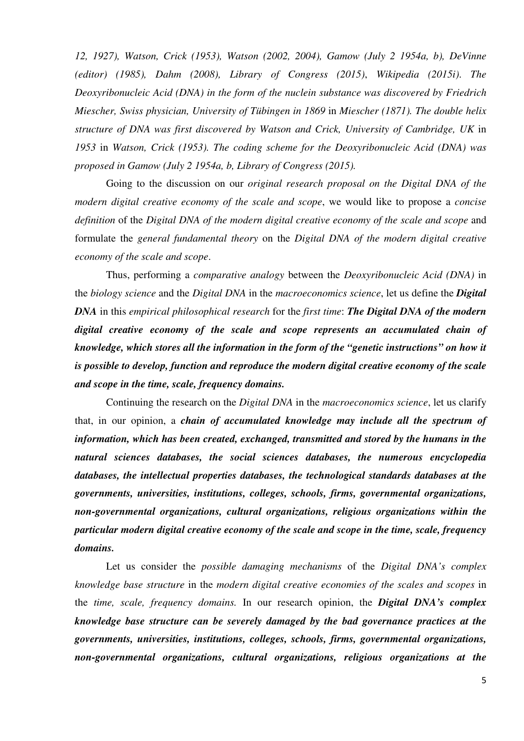*12, 1927), Watson, Crick (1953), Watson (2002, 2004), Gamow (July 2 1954a, b), DeVinne (editor) (1985), Dahm (2008), Library of Congress (2015)*, *Wikipedia (2015i)*. *The Deoxyribonucleic Acid (DNA) in the form of the nuclein substance was discovered by Friedrich Miescher, Swiss physician, University of Tübingen in 1869* in *Miescher (1871). The double helix structure of DNA was first discovered by Watson and Crick, University of Cambridge, UK* in *1953* in *Watson, Crick (1953). The coding scheme for the Deoxyribonucleic Acid (DNA) was proposed in Gamow (July 2 1954a, b, Library of Congress (2015).*

Going to the discussion on our *original research proposal on the Digital DNA of the modern digital creative economy of the scale and scope*, we would like to propose a *concise definition* of the *Digital DNA of the modern digital creative economy of the scale and scope* and formulate the *general fundamental theory* on the *Digital DNA of the modern digital creative economy of the scale and scope*.

Thus, performing a *comparative analogy* between the *Deoxyribonucleic Acid (DNA)* in the *biology science* and the *Digital DNA* in the *macroeconomics science*, let us define the *Digital DNA* in this *empirical philosophical research* for the *first time*: *The Digital DNA of the modern digital creative economy of the scale and scope represents an accumulated chain of knowledge, which stores all the information in the form of the "genetic instructions" on how it is possible to develop, function and reproduce the modern digital creative economy of the scale and scope in the time, scale, frequency domains.*

Continuing the research on the *Digital DNA* in the *macroeconomics science*, let us clarify that, in our opinion, a *chain of accumulated knowledge may include all the spectrum of information, which has been created, exchanged, transmitted and stored by the humans in the natural sciences databases, the social sciences databases, the numerous encyclopedia databases, the intellectual properties databases, the technological standards databases at the governments, universities, institutions, colleges, schools, firms, governmental organizations, non-governmental organizations, cultural organizations, religious organizations within the particular modern digital creative economy of the scale and scope in the time, scale, frequency domains.*

Let us consider the *possible damaging mechanisms* of the *Digital DNA's complex knowledge base structure* in the *modern digital creative economies of the scales and scopes* in the *time, scale, frequency domains.* In our research opinion, the *Digital DNA's complex knowledge base structure can be severely damaged by the bad governance practices at the governments, universities, institutions, colleges, schools, firms, governmental organizations, non-governmental organizations, cultural organizations, religious organizations at the*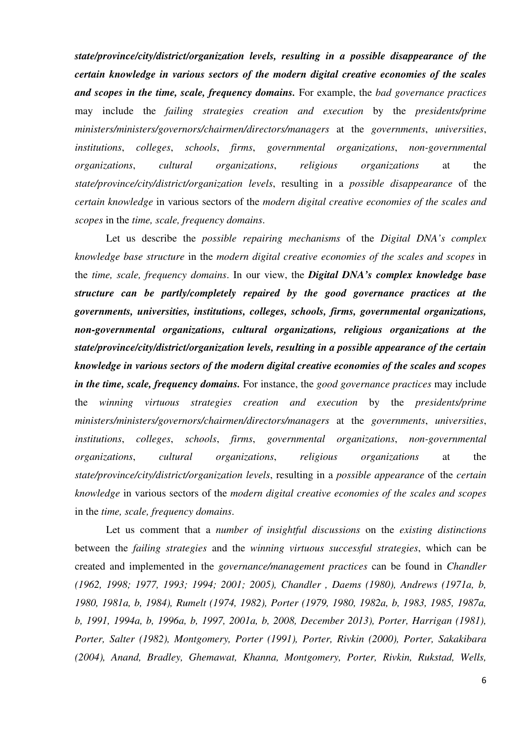*state/province/city/district/organization levels, resulting in a possible disappearance of the certain knowledge in various sectors of the modern digital creative economies of the scales and scopes in the time, scale, frequency domains.* For example, the *bad governance practices* may include the *failing strategies creation and execution* by the *presidents/prime ministers/ministers/governors/chairmen/directors/managers* at the *governments*, *universities*, *institutions*, *colleges*, *schools*, *firms*, *governmental organizations*, *non-governmental organizations*, *cultural organizations*, *religious organizations* at the *state/province/city/district/organization levels*, resulting in a *possible disappearance* of the *certain knowledge* in various sectors of the *modern digital creative economies of the scales and scopes* in the *time, scale, frequency domains*.

Let us describe the *possible repairing mechanisms* of the *Digital DNA's complex knowledge base structure* in the *modern digital creative economies of the scales and scopes* in the *time, scale, frequency domains*. In our view, the *Digital DNA's complex knowledge base structure can be partly/completely repaired by the good governance practices at the governments, universities, institutions, colleges, schools, firms, governmental organizations, non-governmental organizations, cultural organizations, religious organizations at the state/province/city/district/organization levels, resulting in a possible appearance of the certain knowledge in various sectors of the modern digital creative economies of the scales and scopes in the time, scale, frequency domains.* For instance, the *good governance practices* may include the *winning virtuous strategies creation and execution* by the *presidents/prime ministers/ministers/governors/chairmen/directors/managers* at the *governments*, *universities*, *institutions*, *colleges*, *schools*, *firms*, *governmental organizations*, *non-governmental organizations*, *cultural organizations*, *religious organizations* at the *state/province/city/district/organization levels*, resulting in a *possible appearance* of the *certain knowledge* in various sectors of the *modern digital creative economies of the scales and scopes*  in the *time, scale, frequency domains*.

Let us comment that a *number of insightful discussions* on the *existing distinctions* between the *failing strategies* and the *winning virtuous successful strategies*, which can be created and implemented in the *governance/management practices* can be found in *Chandler (1962, 1998; 1977, 1993; 1994; 2001; 2005), Chandler , Daems (1980), Andrews (1971a, b, 1980, 1981a, b, 1984), Rumelt (1974, 1982), Porter (1979, 1980, 1982a, b, 1983, 1985, 1987a, b, 1991, 1994a, b, 1996a, b, 1997, 2001a, b, 2008, December 2013), Porter, Harrigan (1981), Porter, Salter (1982), Montgomery, Porter (1991), Porter, Rivkin (2000), Porter, Sakakibara (2004), Anand, Bradley, Ghemawat, Khanna, Montgomery, Porter, Rivkin, Rukstad, Wells,*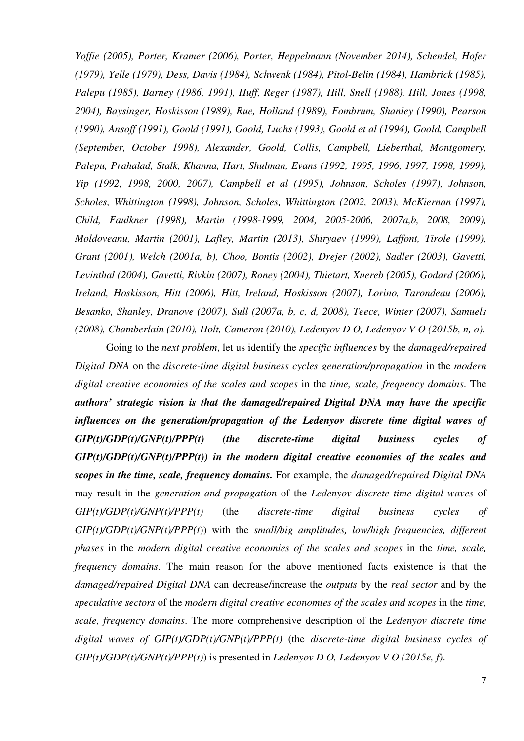*Yoffie (2005), Porter, Kramer (2006), Porter, Heppelmann (November 2014), Schendel, Hofer (1979), Yelle (1979), Dess, Davis (1984), Schwenk (1984), Pitol-Belin (1984), Hambrick (1985), Palepu (1985), Barney (1986, 1991), Huff, Reger (1987), Hill, Snell (1988), Hill, Jones (1998, 2004), Baysinger, Hoskisson (1989), Rue, Holland (1989), Fombrum, Shanley (1990), Pearson (1990), Ansoff (1991), Goold (1991), Goold, Luchs (1993), Goold et al (1994), Goold, Campbell (September, October 1998), Alexander, Goold, Collis, Campbell, Lieberthal, Montgomery, Palepu, Prahalad, Stalk, Khanna, Hart, Shulman, Evans (1992, 1995, 1996, 1997, 1998, 1999), Yip (1992, 1998, 2000, 2007), Campbell et al (1995), Johnson, Scholes (1997), Johnson, Scholes, Whittington (1998), Johnson, Scholes, Whittington (2002, 2003), McKiernan (1997), Child, Faulkner (1998), Martin (1998-1999, 2004, 2005-2006, 2007a,b, 2008, 2009), Moldoveanu, Martin (2001), Lafley, Martin (2013), Shiryaev (1999), Laffont, Tirole (1999), Grant (2001), Welch (2001a, b), Choo, Bontis (2002), Drejer (2002), Sadler (2003), Gavetti, Levinthal (2004), Gavetti, Rivkin (2007), Roney (2004), Thietart, Xuereb (2005), Godard (2006), Ireland, Hoskisson, Hitt (2006), Hitt, Ireland, Hoskisson (2007), Lorino, Tarondeau (2006), Besanko, Shanley, Dranove (2007), Sull (2007a, b, c, d, 2008), Teece, Winter (2007), Samuels (2008), Chamberlain (2010), Holt, Cameron (2010), Ledenyov D O, Ledenyov V O (2015b, n, o).*

Going to the *next problem*, let us identify the *specific influences* by the *damaged/repaired Digital DNA* on the *discrete-time digital business cycles generation/propagation* in the *modern digital creative economies of the scales and scopes* in the *time, scale, frequency domains*. The *authors' strategic vision is that the damaged/repaired Digital DNA may have the specific influences on the generation/propagation of the Ledenyov discrete time digital waves of GIP(t)/GDP(t)/GNP(t)/PPP(t) (the discrete-time digital business cycles of GIP(t)/GDP(t)/GNP(t)/PPP(t)) in the modern digital creative economies of the scales and scopes in the time, scale, frequency domains.* For example, the *damaged/repaired Digital DNA*  may result in the *generation and propagation* of the *Ledenyov discrete time digital waves* of *GIP(t)/GDP(t)/GNP(t)/PPP(t)* (the *discrete-time digital business cycles of GIP(t)/GDP(t)/GNP(t)/PPP(t*)) with the *small/big amplitudes, low/high frequencies, different phases* in the *modern digital creative economies of the scales and scopes* in the *time, scale, frequency domains*. The main reason for the above mentioned facts existence is that the *damaged/repaired Digital DNA* can decrease/increase the *outputs* by the *real sector* and by the *speculative sectors* of the *modern digital creative economies of the scales and scopes* in the *time, scale, frequency domains*. The more comprehensive description of the *Ledenyov discrete time digital waves of GIP(t)/GDP(t)/GNP(t)/PPP(t)* (the *discrete-time digital business cycles of GIP(t)/GDP(t)/GNP(t)/PPP(t)*) is presented in *Ledenyov D O, Ledenyov V O (2015e, f)*.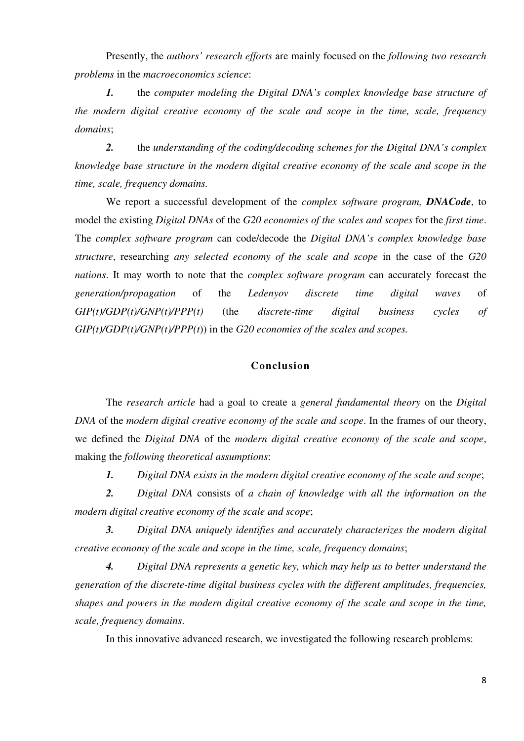Presently, the *authors' research efforts* are mainly focused on the *following two research problems* in the *macroeconomics science*:

*1.* the *computer modeling the Digital DNA's complex knowledge base structure of the modern digital creative economy of the scale and scope in the time, scale, frequency domains*;

*2.* the *understanding of the coding/decoding schemes for the Digital DNA's complex knowledge base structure in the modern digital creative economy of the scale and scope in the time, scale, frequency domains.*

We report a successful development of the *complex software program, DNACode*, to model the existing *Digital DNAs* of the *G20 economies of the scales and scopes* for the *first time*. The *complex software program* can code/decode the *Digital DNA's complex knowledge base structure*, researching *any selected economy of the scale and scope* in the case of the *G20 nations*. It may worth to note that the *complex software program* can accurately forecast the *generation/propagation* of the *Ledenyov discrete time digital waves* of *GIP(t)/GDP(t)/GNP(t)/PPP(t)* (the *discrete-time digital business cycles of GIP(t)/GDP(t)/GNP(t)/PPP(t*)) in the *G20 economies of the scales and scopes.*

## **Conclusion**

The *research article* had a goal to create a *general fundamental theory* on the *Digital DNA* of the *modern digital creative economy of the scale and scope*. In the frames of our theory, we defined the *Digital DNA* of the *modern digital creative economy of the scale and scope*, making the *following theoretical assumptions*:

*1. Digital DNA exists in the modern digital creative economy of the scale and scope*;

*2. Digital DNA* consists of *a chain of knowledge with all the information on the modern digital creative economy of the scale and scope*;

*3. Digital DNA uniquely identifies and accurately characterizes the modern digital creative economy of the scale and scope in the time, scale, frequency domains*;

*4. Digital DNA represents a genetic key, which may help us to better understand the generation of the discrete-time digital business cycles with the different amplitudes, frequencies, shapes and powers in the modern digital creative economy of the scale and scope in the time, scale, frequency domains*.

In this innovative advanced research, we investigated the following research problems: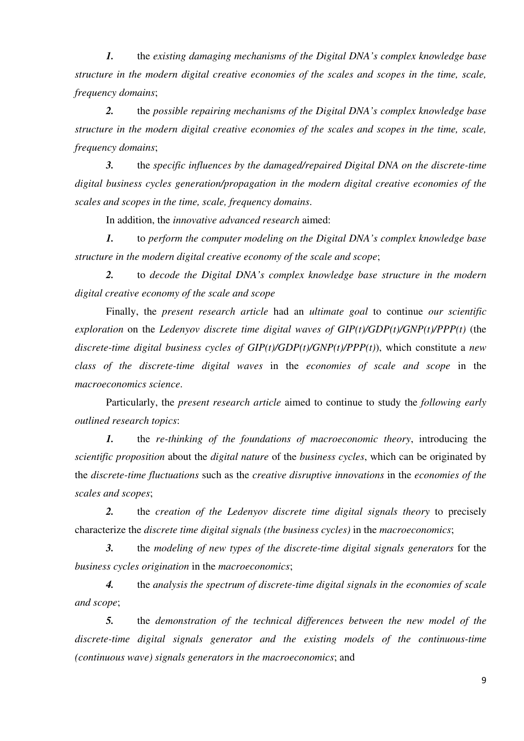*1.* the *existing damaging mechanisms of the Digital DNA's complex knowledge base structure in the modern digital creative economies of the scales and scopes in the time, scale, frequency domains*;

*2.* the *possible repairing mechanisms of the Digital DNA's complex knowledge base structure in the modern digital creative economies of the scales and scopes in the time, scale, frequency domains*;

*3.* the *specific influences by the damaged/repaired Digital DNA on the discrete-time digital business cycles generation/propagation in the modern digital creative economies of the scales and scopes in the time, scale, frequency domains*.

In addition, the *innovative advanced research* aimed:

*1.* to *perform the computer modeling on the Digital DNA's complex knowledge base structure in the modern digital creative economy of the scale and scope*;

*2.* to *decode the Digital DNA's complex knowledge base structure in the modern digital creative economy of the scale and scope*

Finally, the *present research article* had an *ultimate goal* to continue *our scientific exploration* on the *Ledenyov discrete time digital waves of GIP(t)/GDP(t)/GNP(t)/PPP(t)* (the *discrete-time digital business cycles of GIP(t)/GDP(t)/GNP(t)/PPP(t)*), which constitute a *new class of the discrete-time digital waves* in the *economies of scale and scope* in the *macroeconomics science*.

Particularly, the *present research article* aimed to continue to study the *following early outlined research topics*:

*1.* the *re-thinking of the foundations of macroeconomic theory*, introducing the *scientific proposition* about the *digital nature* of the *business cycles*, which can be originated by the *discrete-time fluctuations* such as the *creative disruptive innovations* in the *economies of the scales and scopes*;

*2.* the *creation of the Ledenyov discrete time digital signals theory* to precisely characterize the *discrete time digital signals (the business cycles)* in the *macroeconomics*;

*3.* the *modeling of new types of the discrete-time digital signals generators* for the *business cycles origination* in the *macroeconomics*;

*4.* the *analysis the spectrum of discrete-time digital signals in the economies of scale and scope*;

*5.* the *demonstration of the technical differences between the new model of the discrete-time digital signals generator and the existing models of the continuous-time (continuous wave) signals generators in the macroeconomics*; and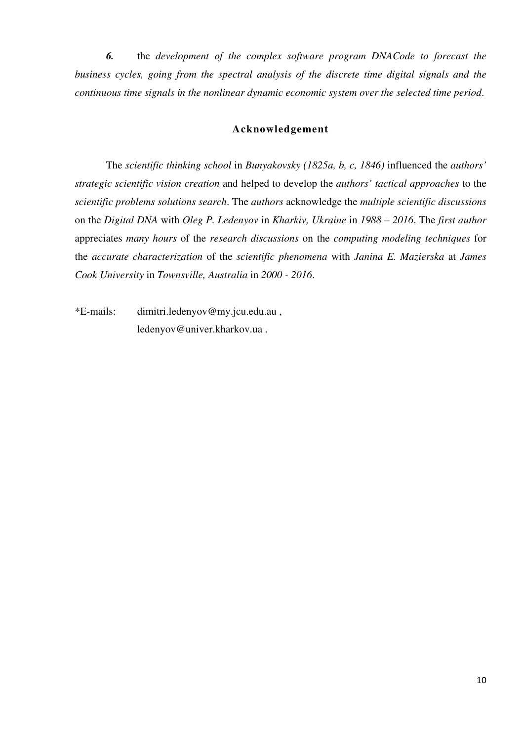*6.* the *development of the complex software program DNACode to forecast the business cycles, going from the spectral analysis of the discrete time digital signals and the continuous time signals in the nonlinear dynamic economic system over the selected time period*.

#### **Acknowledgement**

The *scientific thinking school* in *Bunyakovsky (1825a, b, c, 1846)* influenced the *authors' strategic scientific vision creation* and helped to develop the *authors' tactical approaches* to the *scientific problems solutions search*. The *authors* acknowledge the *multiple scientific discussions*  on the *Digital DNA* with *Oleg P. Ledenyov* in *Kharkiv, Ukraine* in *1988* – *2016*. The *first author* appreciates *many hours* of the *research discussions* on the *computing modeling techniques* for the *accurate characterization* of the *scientific phenomena* with *Janina E. Mazierska* at *James Cook University* in *Townsville, Australia* in *2000 - 2016*.

\*E-mails: dimitri.ledenyov@my.jcu.edu.au , ledenyov@univer.kharkov.ua .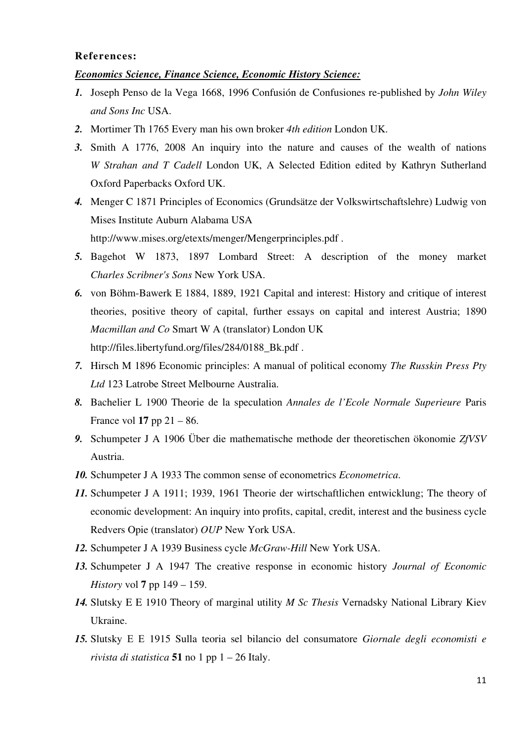#### **References:**

## *Economics Science, Finance Science, Economic History Science:*

- *1.* Joseph Penso de la Vega 1668, 1996 Confusión de Confusiones re-published by *John Wiley and Sons Inc* USA.
- *2.* Mortimer Th 1765 Every man his own broker *4th edition* London UK.
- *3.* Smith A 1776, 2008 An inquiry into the nature and causes of the wealth of nations *W Strahan and T Cadell* London UK, A Selected Edition edited by Kathryn Sutherland Oxford Paperbacks Oxford UK.
- *4.* Menger C 1871 Principles of Economics (Grundsätze der Volkswirtschaftslehre) Ludwig von Mises Institute Auburn Alabama USA http://www.mises.org/etexts/menger/Mengerprinciples.pdf .
- *5.* Bagehot W 1873, 1897 Lombard Street: A description of the money market *Charles Scribner's Sons* New York USA.
- *6.* von Böhm-Bawerk E 1884, 1889, 1921 Capital and interest: History and critique of interest theories, positive theory of capital, further essays on capital and interest Austria; 1890 *Macmillan and Co* Smart W A (translator) London UK http://files.libertyfund.org/files/284/0188\_Bk.pdf .
- *7.* Hirsch M 1896 Economic principles: A manual of political economy *The Russkin Press Pty Ltd* 123 Latrobe Street Melbourne Australia.
- *8.* Bachelier L 1900 Theorie de la speculation *Annales de l'Ecole Normale Superieure* Paris France vol **17** pp 21 – 86.
- *9.* Schumpeter J A 1906 Über die mathematische methode der theoretischen ökonomie *ZfVSV* Austria.
- *10.* Schumpeter J A 1933 The common sense of econometrics *Econometrica*.
- *11.* Schumpeter J A 1911; 1939, 1961 Theorie der wirtschaftlichen entwicklung; The theory of economic development: An inquiry into profits, capital, credit, interest and the business cycle Redvers Opie (translator) *OUP* New York USA.
- *12.* Schumpeter J A 1939 Business cycle *McGraw-Hill* New York USA.
- *13.* Schumpeter J A 1947 The creative response in economic history *Journal of Economic History* vol **7** pp 149 – 159.
- *14.* Slutsky E E 1910 Theory of marginal utility *M Sc Thesis* Vernadsky National Library Kiev Ukraine.
- *15.* Slutsky Е Е 1915 Sulla teoria sel bilancio del consumatore *Giornale degli economisti e rivista di statistica* **51** no 1 pp 1 – 26 Italy.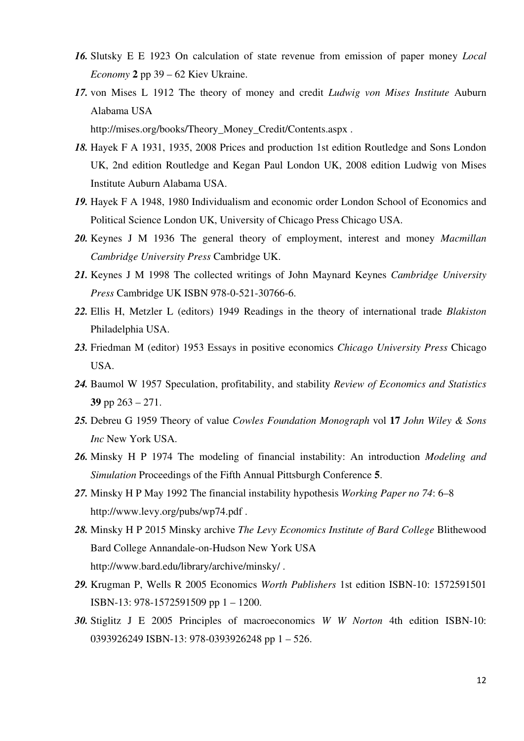- *16.* Slutsky E E 1923 On calculation of state revenue from emission of paper money *Local Economy* **2** pp 39 – 62 Kiev Ukraine.
- *17.* von Mises L 1912 The theory of money and credit *Ludwig von Mises Institute* Auburn Alabama USA

http://mises.org/books/Theory\_Money\_Credit/Contents.aspx .

- *18.* Hayek F A 1931, 1935, 2008 Prices and production 1st edition Routledge and Sons London UK, 2nd edition Routledge and Kegan Paul London UK, 2008 edition Ludwig von Mises Institute Auburn Alabama USA.
- *19.* Hayek F A 1948, 1980 Individualism and economic order London School of Economics and Political Science London UK, University of Chicago Press Chicago USA.
- *20.* Keynes J M 1936 The general theory of employment, interest and money *Macmillan Cambridge University Press* Cambridge UK.
- *21.* Keynes J M 1998 The collected writings of John Maynard Keynes *Cambridge University Press* Cambridge UK ISBN 978-0-521-30766-6.
- *22.* Ellis H, Metzler L (editors) 1949 Readings in the theory of international trade *Blakiston* Philadelphia USA.
- *23.* Friedman M (editor) 1953 Essays in positive economics *Chicago University Press* Chicago USA.
- *24.* Baumol W 1957 Speculation, profitability, and stability *Review of Economics and Statistics* **39** pp 263 – 271.
- *25.* Debreu G 1959 Theory of value *Cowles Foundation Monograph* vol **17** *John Wiley & Sons Inc* New York USA.
- *26.* Minsky H P 1974 The modeling of financial instability: An introduction *Modeling and Simulation* Proceedings of the Fifth Annual Pittsburgh Conference **5**.
- *27.* Minsky H P May 1992 The financial instability hypothesis *Working Paper no 74*: 6–8 http://www.levy.org/pubs/wp74.pdf .
- *28.* Minsky H P 2015 Minsky archive *The Levy Economics Institute of Bard College* Blithewood Bard College Annandale-on-Hudson New York USA http://www.bard.edu/library/archive/minsky/ .
- *29.* Krugman P, Wells R 2005 Economics *Worth Publishers* 1st edition ISBN-10: 1572591501 ISBN-13: 978-1572591509 pp 1 – 1200.
- *30.* Stiglitz J E 2005 Principles of macroeconomics *W W Norton* 4th edition ISBN-10: 0393926249 ISBN-13: 978-0393926248 pp 1 – 526.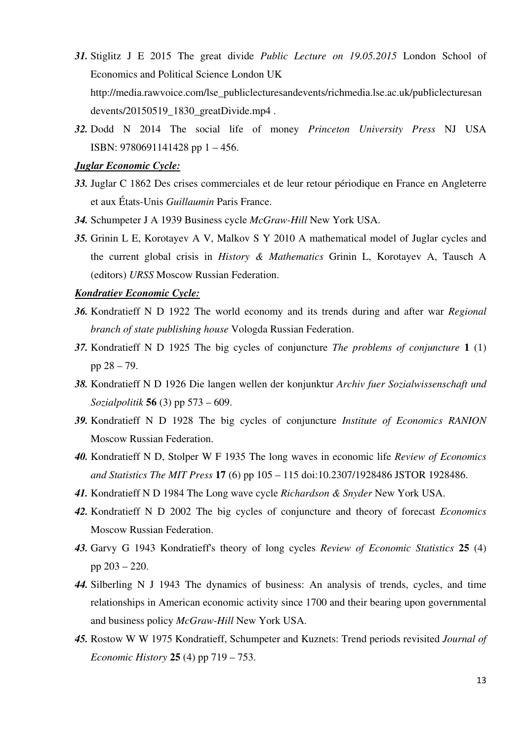- *31.* Stiglitz J E 2015 The great divide *Public Lecture on 19.05.2015* London School of Economics and Political Science London UK http://media.rawvoice.com/lse\_publiclecturesandevents/richmedia.lse.ac.uk/publiclecturesan devents/20150519\_1830\_greatDivide.mp4 .
- *32.* Dodd N 2014 The social life of money *Princeton University Press* NJ USA ISBN: 9780691141428 pp 1 – 456.

#### *Juglar Economic Cycle:*

- *33.* Juglar C 1862 Des crises commerciales et de leur retour périodique en France en Angleterre et aux États-Unis *Guillaumin* Paris France.
- *34.* Schumpeter J A 1939 Business cycle *McGraw-Hill* New York USA.
- *35.* Grinin L E, Korotayev A V, Malkov S Y 2010 A mathematical model of Juglar cycles and the current global crisis in *History & Mathematics* Grinin L, Korotayev A, Tausch A (editors) *URSS* Moscow Russian Federation.

## *Kondratiev Economic Cycle:*

- *36.* Kondratieff N D 1922 The world economy and its trends during and after war *Regional branch of state publishing house* Vologda Russian Federation.
- *37.* Kondratieff N D 1925 The big cycles of conjuncture *The problems of conjuncture* **1** (1) pp 28 – 79.
- *38.* Kondratieff N D 1926 Die langen wellen der konjunktur *Archiv fuer Sozialwissenschaft und Sozialpolitik* **56** (3) pp 573 – 609.
- *39.* Kondratieff N D 1928 The big cycles of conjuncture *Institute of Economics RANION* Moscow Russian Federation.
- *40.* Kondratieff N D, Stolper W F 1935 The long waves in economic life *Review of Economics and Statistics The MIT Press* **17** (6) pp 105 – 115 doi:10.2307/1928486 JSTOR 1928486.
- *41.* Kondratieff N D 1984 The Long wave cycle *Richardson & Snyder* New York USA.
- *42.* Kondratieff N D 2002 The big cycles of conjuncture and theory of forecast *Economics*  Moscow Russian Federation.
- *43.* Garvy G 1943 Kondratieff's theory of long cycles *Review of Economic Statistics* **25** (4) pp 203 – 220.
- *44.* Silberling N J 1943 The dynamics of business: An analysis of trends, cycles, and time relationships in American economic activity since 1700 and their bearing upon governmental and business policy *McGraw-Hill* New York USA.
- *45.* Rostow W W 1975 Kondratieff, Schumpeter and Kuznets: Trend periods revisited *Journal of Economic History* **25** (4) pp 719 – 753.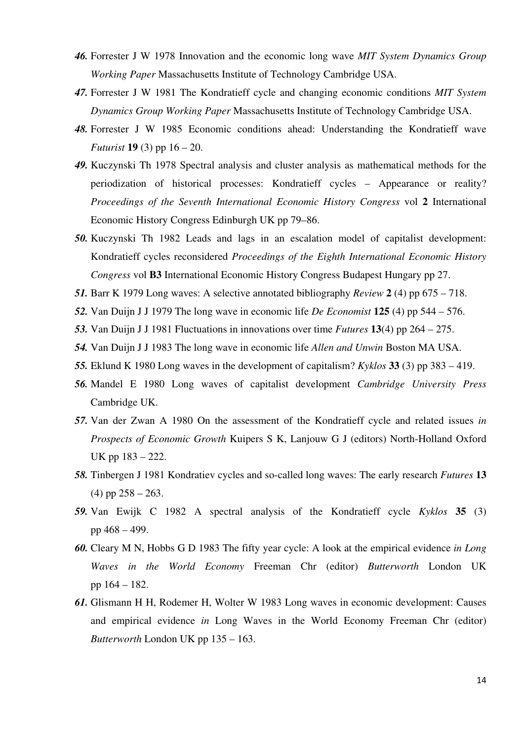- *46.* Forrester J W 1978 Innovation and the economic long wave *MIT System Dynamics Group Working Paper* Massachusetts Institute of Technology Cambridge USA.
- *47.* Forrester J W 1981 The Kondratieff cycle and changing economic conditions *MIT System Dynamics Group Working Paper* Massachusetts Institute of Technology Cambridge USA.
- *48.* Forrester J W 1985 Economic conditions ahead: Understanding the Kondratieff wave *Futurist* **19** (3) pp 16 – 20.
- *49.* Kuczynski Th 1978 Spectral analysis and cluster analysis as mathematical methods for the periodization of historical processes: Kondratieff cycles – Appearance or reality? *Proceedings of the Seventh International Economic History Congress* vol **2** International Economic History Congress Edinburgh UK pp 79–86.
- *50.* Kuczynski Th 1982 Leads and lags in an escalation model of capitalist development: Kondratieff cycles reconsidered *Proceedings of the Eighth International Economic History Congress* vol **B3** International Economic History Congress Budapest Hungary pp 27.
- *51.* Barr K 1979 Long waves: A selective annotated bibliography *Review* **2** (4) pp 675 718.
- *52.* Van Duijn J J 1979 The long wave in economic life *De Economist* **125** (4) pp 544 576.
- *53.* Van Duijn J J 1981 Fluctuations in innovations over time *Futures* **13**(4) pp 264 275.
- *54.* Van Duijn J J 1983 The long wave in economic life *Allen and Unwin* Boston MA USA.
- *55.* Eklund K 1980 Long waves in the development of capitalism? *Kyklos* **33** (3) pp 383 419.
- *56.* Mandel E 1980 Long waves of capitalist development *Cambridge University Press* Cambridge UK.
- *57.* Van der Zwan A 1980 On the assessment of the Kondratieff cycle and related issues *in Prospects of Economic Growth* Kuipers S K, Lanjouw G J (editors) North-Holland Oxford UK pp 183 – 222.
- *58.* Tinbergen J 1981 Kondratiev cycles and so-called long waves: The early research *Futures* **13**  $(4)$  pp  $258 - 263$ .
- *59.* Van Ewijk C 1982 A spectral analysis of the Kondratieff cycle *Kyklos* **35** (3) pp 468 – 499.
- *60.* Cleary M N, Hobbs G D 1983 The fifty year cycle: A look at the empirical evidence *in Long Waves in the World Economy* Freeman Chr (editor) *Butterworth* London UK pp 164 – 182.
- *61.* Glismann H H, Rodemer H, Wolter W 1983 Long waves in economic development: Causes and empirical evidence *in* Long Waves in the World Economy Freeman Chr (editor) *Butterworth* London UK pp 135 – 163.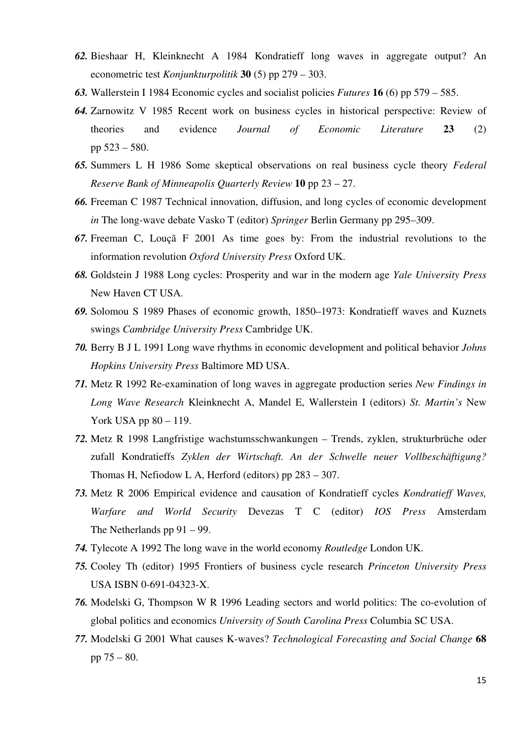- *62.* Bieshaar H, Kleinknecht A 1984 Kondratieff long waves in aggregate output? An econometric test *Konjunkturpolitik* **30** (5) pp 279 – 303.
- *63.* Wallerstein I 1984 Economic cycles and socialist policies *Futures* **16** (6) pp 579 585.
- *64.* Zarnowitz V 1985 Recent work on business cycles in historical perspective: Review of theories and evidence *Journal of Economic Literature* **23** (2) pp 523 – 580.
- *65.* Summers L H 1986 Some skeptical observations on real business cycle theory *Federal Reserve Bank of Minneapolis Quarterly Review* **10** pp 23 – 27.
- *66.* Freeman C 1987 Technical innovation, diffusion, and long cycles of economic development *in* The long-wave debate Vasko T (editor) *Springer* Berlin Germany pp 295–309.
- *67.* Freeman C, Louçã F 2001 As time goes by: From the industrial revolutions to the information revolution *Oxford University Press* Oxford UK.
- *68.* Goldstein J 1988 Long cycles: Prosperity and war in the modern age *Yale University Press* New Haven CT USA.
- *69.* Solomou S 1989 Phases of economic growth, 1850–1973: Kondratieff waves and Kuznets swings *Cambridge University Press* Cambridge UK.
- *70.* Berry B J L 1991 Long wave rhythms in economic development and political behavior *Johns Hopkins University Press* Baltimore MD USA.
- *71.* Metz R 1992 Re-examination of long waves in aggregate production series *New Findings in Long Wave Research* Kleinknecht A, Mandel E, Wallerstein I (editors) *St. Martin's* New York USA pp 80 – 119.
- *72.* Metz R 1998 Langfristige wachstumsschwankungen Trends, zyklen, strukturbrüche oder zufall Kondratieffs *Zyklen der Wirtschaft. An der Schwelle neuer Vollbeschäftigung?* Thomas H, Nefiodow L A, Herford (editors) pp 283 – 307.
- *73.* Metz R 2006 Empirical evidence and causation of Kondratieff cycles *Kondratieff Waves, Warfare and World Security* Devezas T C (editor) *IOS Press* Amsterdam The Netherlands pp 91 – 99.
- *74.* Tylecote A 1992 The long wave in the world economy *Routledge* London UK.
- *75.* Cooley Th (editor) 1995 Frontiers of business cycle research *Princeton University Press* USA ISBN 0-691-04323-X.
- *76.* Modelski G, Thompson W R 1996 Leading sectors and world politics: The co-evolution of global politics and economics *University of South Carolina Press* Columbia SC USA.
- *77.* Modelski G 2001 What causes K-waves? *Technological Forecasting and Social Change* **68**  pp 75 – 80.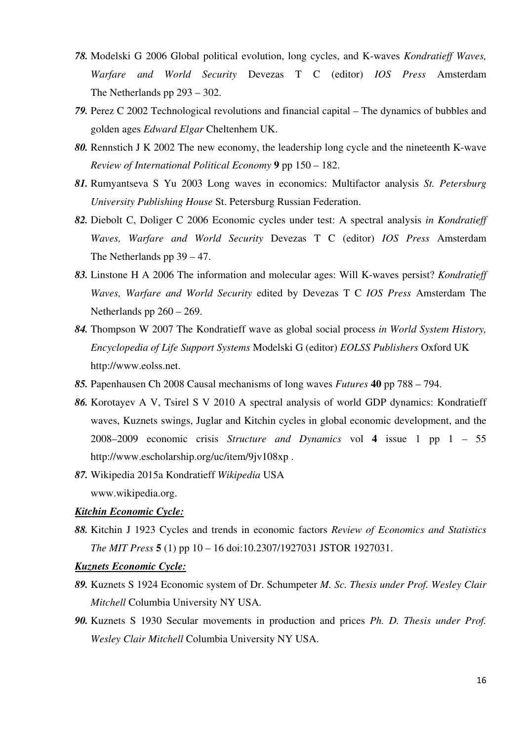- *78.* Modelski G 2006 Global political evolution, long cycles, and K-waves *Kondratieff Waves, Warfare and World Security* Devezas T C (editor) *IOS Press* Amsterdam The Netherlands pp 293 – 302.
- *79.* Perez C 2002 Technological revolutions and financial capital The dynamics of bubbles and golden ages *Edward Elgar* Cheltenhem UK.
- *80.* Rennstich J K 2002 The new economy, the leadership long cycle and the nineteenth K-wave *Review of International Political Economy* **9** pp 150 – 182.
- *81.* Rumyantseva S Yu 2003 Long waves in economics: Multifactor analysis *St. Petersburg University Publishing House* St. Petersburg Russian Federation.
- *82.* Diebolt C, Doliger C 2006 Economic cycles under test: A spectral analysis *in Kondratieff Waves, Warfare and World Security* Devezas T C (editor) *IOS Press* Amsterdam The Netherlands pp 39 – 47.
- *83.* Linstone H A 2006 The information and molecular ages: Will K-waves persist? *Kondratieff Waves, Warfare and World Security* edited by Devezas T C *IOS Press* Amsterdam The Netherlands pp 260 – 269.
- *84.* Thompson W 2007 The Kondratieff wave as global social process *in World System History, Encyclopedia of Life Support Systems* Modelski G (editor) *EOLSS Publishers* Oxford UK http://www.eolss.net.
- *85.* Papenhausen Ch 2008 Causal mechanisms of long waves *Futures* **40** pp 788 794.
- *86.* Korotayev A V, Tsirel S V 2010 A spectral analysis of world GDP dynamics: Kondratieff waves, Kuznets swings, Juglar and Kitchin cycles in global economic development, and the 2008–2009 economic crisis *Structure and Dynamics* vol **4** issue 1 pp 1 – 55 http://www.escholarship.org/uc/item/9jv108xp .
- *87.* Wikipedia 2015a Kondratieff *Wikipedia* USA www.wikipedia.org.

## *Kitchin Economic Cycle:*

*88.* Kitchin J 1923 Cycles and trends in economic factors *Review of Economics and Statistics The MIT Press* **5** (1) pp 10 – 16 doi:10.2307/1927031 JSTOR 1927031.

# *Kuznets Economic Cycle:*

- *89.* Kuznets S 1924 Economic system of Dr. Schumpeter *M. Sc. Thesis under Prof. Wesley Clair Mitchell* Columbia University NY USA.
- *90.* Kuznets S 1930 Secular movements in production and prices *Ph. D. Thesis under Prof. Wesley Clair Mitchell* Columbia University NY USA.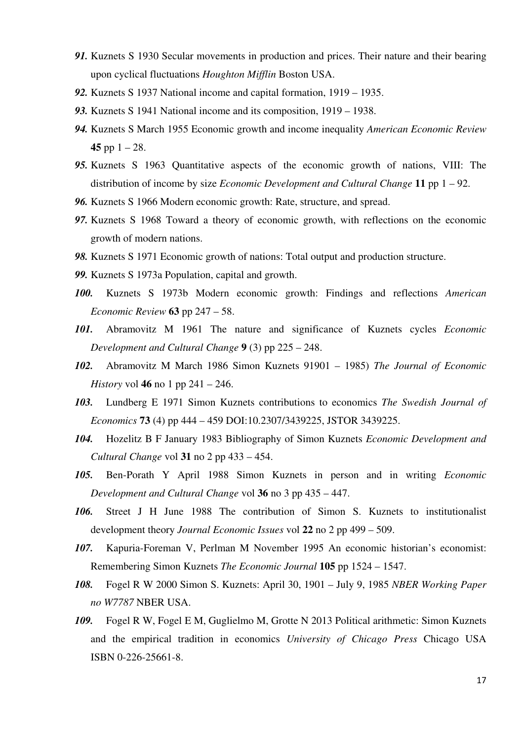- *91.* Kuznets S 1930 Secular movements in production and prices. Their nature and their bearing upon cyclical fluctuations *Houghton Mifflin* Boston USA.
- *92.* Kuznets S 1937 National income and capital formation, 1919 1935.
- *93.* Kuznets S 1941 National income and its composition, 1919 1938.
- *94.* Kuznets S March 1955 Economic growth and income inequality *American Economic Review* **45** pp  $1 - 28$ .
- *95.* Kuznets S 1963 Quantitative aspects of the economic growth of nations, VIII: The distribution of income by size *Economic Development and Cultural Change* **11** pp 1 – 92.
- *96.* Kuznets S 1966 Modern economic growth: Rate, structure, and spread.
- *97.* Kuznets S 1968 Toward a theory of economic growth, with reflections on the economic growth of modern nations.
- *98.* Kuznets S 1971 Economic growth of nations: Total output and production structure.
- *99.* Kuznets S 1973a Population, capital and growth.
- *100.* Kuznets S 1973b Modern economic growth: Findings and reflections *American Economic Review* **63** pp 247 – 58.
- *101.* Abramovitz M 1961 The nature and significance of Kuznets cycles *Economic Development and Cultural Change* **9** (3) pp 225 – 248.
- *102.* Abramovitz M March 1986 Simon Kuznets 91901 1985) *The Journal of Economic History* vol **46** no 1 pp 241 – 246.
- *103.* Lundberg E 1971 Simon Kuznets contributions to economics *The Swedish Journal of Economics* **73** (4) pp 444 – 459 DOI:10.2307/3439225, JSTOR 3439225.
- *104.* Hozelitz B F January 1983 Bibliography of Simon Kuznets *Economic Development and Cultural Change* vol **31** no 2 pp 433 – 454.
- *105.* Ben-Porath Y April 1988 Simon Kuznets in person and in writing *Economic Development and Cultural Change* vol **36** no 3 pp 435 – 447.
- *106.* Street J H June 1988 The contribution of Simon S. Kuznets to institutionalist development theory *Journal Economic Issues* vol **22** no 2 pp 499 – 509.
- *107.* Kapuria-Foreman V, Perlman M November 1995 An economic historian's economist: Remembering Simon Kuznets *The Economic Journal* **105** pp 1524 – 1547.
- *108.* Fogel R W 2000 Simon S. Kuznets: April 30, 1901 July 9, 1985 *NBER Working Paper no W7787* NBER USA.
- *109.* Fogel R W, Fogel E M, Guglielmo M, Grotte N 2013 Political arithmetic: Simon Kuznets and the empirical tradition in economics *University of Chicago Press* Chicago USA ISBN 0-226-25661-8.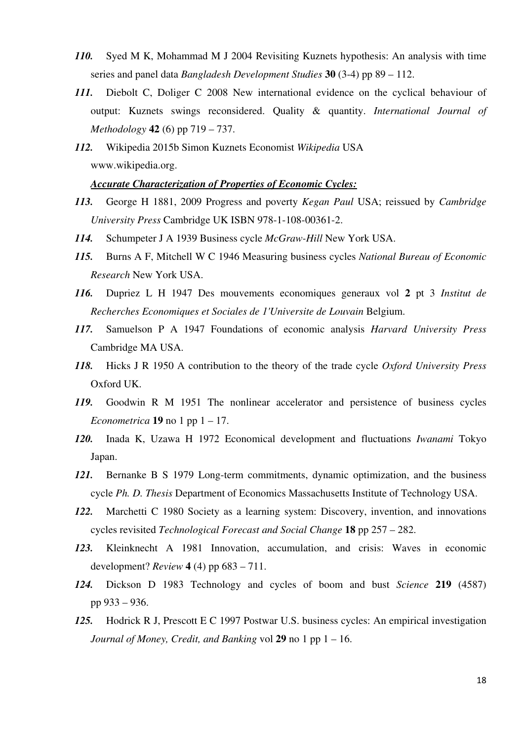- *110.* Syed M K, Mohammad M J 2004 Revisiting Kuznets hypothesis: An analysis with time series and panel data *Bangladesh Development Studies* **30** (3-4) pp 89 – 112.
- *111.* Diebolt C, Doliger C 2008 New international evidence on the cyclical behaviour of output: Kuznets swings reconsidered. Quality & quantity. *International Journal of Methodology* **42** (6) pp 719 – 737.
- *112.* Wikipedia 2015b Simon Kuznets Economist *Wikipedia* USA www.wikipedia.org.

## *Accurate Characterization of Properties of Economic Cycles:*

- *113.* George H 1881, 2009 Progress and poverty *Kegan Paul* USA; reissued by *Cambridge University Press* Cambridge UK ISBN 978-1-108-00361-2.
- *114.* Schumpeter J A 1939 Business cycle *McGraw-Hill* New York USA.
- *115.* Burns A F, Mitchell W C 1946 Measuring business cycles *National Bureau of Economic Research* New York USA.
- *116.* Dupriez L H 1947 Des mouvements economiques generaux vol **2** pt 3 *Institut de Recherches Economiques et Sociales de 1'Universite de Louvain* Belgium.
- *117.* Samuelson P A 1947 Foundations of economic analysis *Harvard University Press* Cambridge MA USA.
- *118.* Hicks J R 1950 A contribution to the theory of the trade cycle *Oxford University Press* Oxford UK.
- *119.* Goodwin R M 1951 The nonlinear accelerator and persistence of business cycles *Econometrica* **19** no 1 pp 1 – 17.
- *120.* Inada K, Uzawa H 1972 Economical development and fluctuations *Iwanami* Tokyo Japan.
- *121.* Bernanke B S 1979 Long-term commitments, dynamic optimization, and the business cycle *Ph. D. Thesis* Department of Economics Massachusetts Institute of Technology USA.
- *122.* Marchetti C 1980 Society as a learning system: Discovery, invention, and innovations cycles revisited *Technological Forecast and Social Change* **18** pp 257 – 282.
- *123.* Kleinknecht A 1981 Innovation, accumulation, and crisis: Waves in economic development? *Review* **4** (4) pp 683 – 711.
- *124.* Dickson D 1983 Technology and cycles of boom and bust *Science* **219** (4587) pp 933 – 936.
- *125.* Hodrick R J, Prescott E C 1997 Postwar U.S. business cycles: An empirical investigation *Journal of Money, Credit, and Banking* vol **29** no 1 pp 1 – 16.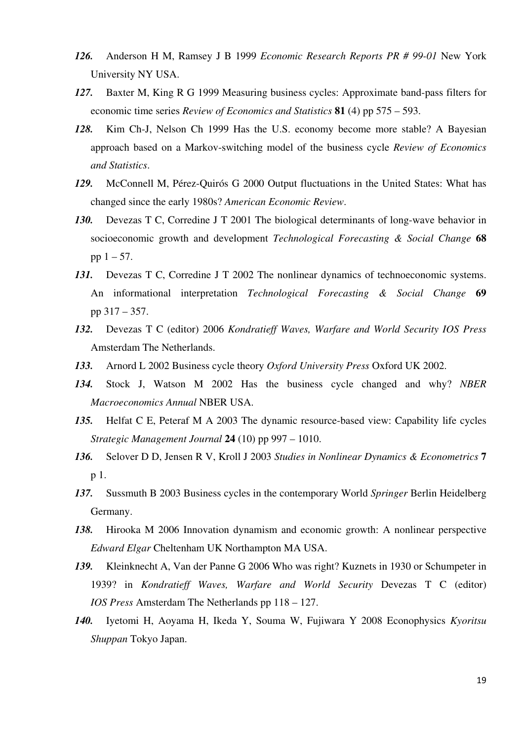- *126.* Anderson H M, Ramsey J B 1999 *Economic Research Reports PR # 99-01* New York University NY USA.
- *127.* Baxter M, King R G 1999 Measuring business cycles: Approximate band-pass filters for economic time series *Review of Economics and Statistics* **81** (4) pp 575 – 593.
- *128.* Kim Ch-J, Nelson Ch 1999 Has the U.S. economy become more stable? A Bayesian approach based on a Markov-switching model of the business cycle *Review of Economics and Statistics*.
- *129.* McConnell M, Pérez-Quirós G 2000 Output fluctuations in the United States: What has changed since the early 1980s? *American Economic Review*.
- *130.* Devezas T C, Corredine J T 2001 The biological determinants of long-wave behavior in socioeconomic growth and development *Technological Forecasting & Social Change* **68** pp  $1 - 57$ .
- 131. Devezas T C, Corredine J T 2002 The nonlinear dynamics of technoeconomic systems. An informational interpretation *Technological Forecasting & Social Change* **69** pp 317 – 357.
- *132.* Devezas T C (editor) 2006 *Kondratieff Waves, Warfare and World Security IOS Press* Amsterdam The Netherlands.
- *133.* Arnord L 2002 Business cycle theory *Oxford University Press* Oxford UK 2002.
- *134.* Stock J, Watson M 2002 Has the business cycle changed and why? *NBER Macroeconomics Annual* NBER USA.
- *135.* Helfat C E, Peteraf M A 2003 The dynamic resource-based view: Capability life cycles *Strategic Management Journal* **24** (10) pp 997 – 1010.
- *136.* Selover D D, Jensen R V, Kroll J 2003 *Studies in Nonlinear Dynamics & Econometrics* **7** p 1.
- *137.* Sussmuth B 2003 Business cycles in the contemporary World *Springer* Berlin Heidelberg Germany.
- *138.* Hirooka M 2006 Innovation dynamism and economic growth: A nonlinear perspective *Edward Elgar* Cheltenham UK Northampton MA USA.
- *139.* Kleinknecht A, Van der Panne G 2006 Who was right? Kuznets in 1930 or Schumpeter in 1939? in *Kondratieff Waves, Warfare and World Security* Devezas T C (editor) *IOS Press* Amsterdam The Netherlands pp 118 – 127.
- *140.* Iyetomi H, Aoyama H, Ikeda Y, Souma W, Fujiwara Y 2008 Econophysics *Kyoritsu Shuppan* Tokyo Japan.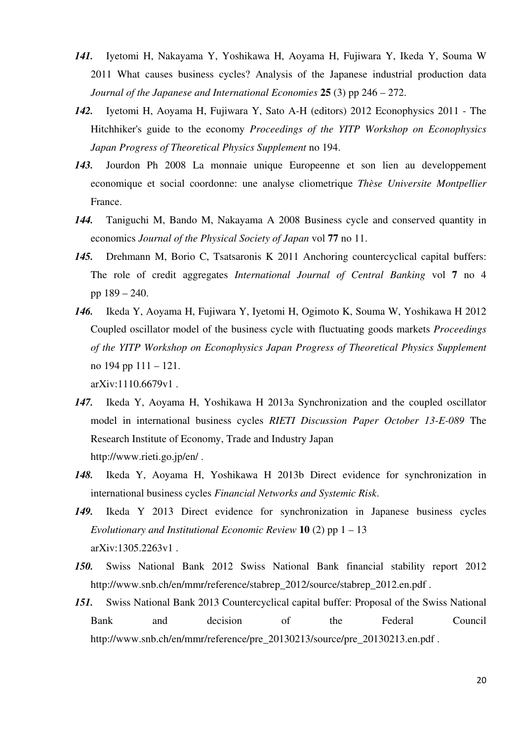- *141.* Iyetomi H, Nakayama Y, Yoshikawa H, Aoyama H, Fujiwara Y, Ikeda Y, Souma W 2011 What causes business cycles? Analysis of the Japanese industrial production data *Journal of the Japanese and International Economies* **25** (3) pp 246 – 272.
- *142.* Iyetomi H, Aoyama H, Fujiwara Y, Sato A-H (editors) 2012 Econophysics 2011 The Hitchhiker's guide to the economy *Proceedings of the YITP Workshop on Econophysics Japan Progress of Theoretical Physics Supplement* no 194.
- *143.* Jourdon Ph 2008 La monnaie unique Europeenne et son lien au developpement economique et social coordonne: une analyse cliometrique *Thèse Universite Montpellier* France.
- *144.* Taniguchi M, Bando M, Nakayama A 2008 Business cycle and conserved quantity in economics *Journal of the Physical Society of Japan* vol **77** no 11.
- *145.* Drehmann M, Borio C, Tsatsaronis K 2011 Anchoring countercyclical capital buffers: The role of credit aggregates *International Journal of Central Banking* vol **7** no 4 pp 189 – 240.
- *146.* Ikeda Y, Aoyama H, Fujiwara Y, Iyetomi H, Ogimoto K, Souma W, Yoshikawa H 2012 Coupled oscillator model of the business cycle with fluctuating goods markets *Proceedings of the YITP Workshop on Econophysics Japan Progress of Theoretical Physics Supplement*  no 194 pp 111 – 121.

arXiv:1110.6679v1 .

- *147.* Ikeda Y, Aoyama H, Yoshikawa H 2013a Synchronization and the coupled oscillator model in international business cycles *RIETI Discussion Paper October 13-E-089* The Research Institute of Economy, Trade and Industry Japan http://www.rieti.go.jp/en/ .
- *148.* Ikeda Y, Aoyama H, Yoshikawa H 2013b Direct evidence for synchronization in international business cycles *Financial Networks and Systemic Risk*.
- *149.* Ikeda Y 2013 Direct evidence for synchronization in Japanese business cycles *Evolutionary and Institutional Economic Review* **10** (2) pp 1 – 13 arXiv:1305.2263v1 .
- *150.* Swiss National Bank 2012 Swiss National Bank financial stability report 2012 http://www.snb.ch/en/mmr/reference/stabrep\_2012/source/stabrep\_2012.en.pdf .
- *151.* Swiss National Bank 2013 Countercyclical capital buffer: Proposal of the Swiss National Bank and decision of the Federal Council http://www.snb.ch/en/mmr/reference/pre\_20130213/source/pre\_20130213.en.pdf .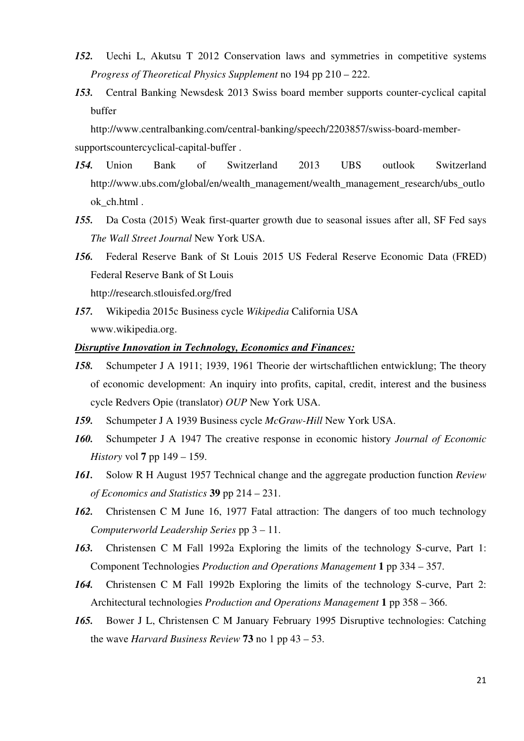- *152.* Uechi L, Akutsu T 2012 Conservation laws and symmetries in competitive systems *Progress of Theoretical Physics Supplement* no 194 pp 210 – 222.
- *153.* Central Banking Newsdesk 2013 Swiss board member supports counter-cyclical capital buffer

http://www.centralbanking.com/central-banking/speech/2203857/swiss-board-membersupportscountercyclical-capital-buffer .

- *154.* Union Bank of Switzerland 2013 UBS outlook Switzerland http://www.ubs.com/global/en/wealth\_management/wealth\_management\_research/ubs\_outlo ok\_ch.html .
- *155.* Da Costa (2015) Weak first-quarter growth due to seasonal issues after all, SF Fed says *The Wall Street Journal* New York USA.
- *156.* Federal Reserve Bank of St Louis 2015 US Federal Reserve Economic Data (FRED) Federal Reserve Bank of St Louis http://research.stlouisfed.org/fred
- *157.* Wikipedia 2015c Business cycle *Wikipedia* California USA www.wikipedia.org.

#### *Disruptive Innovation in Technology, Economics and Finances:*

- *158.* Schumpeter J A 1911; 1939, 1961 Theorie der wirtschaftlichen entwicklung; The theory of economic development: An inquiry into profits, capital, credit, interest and the business cycle Redvers Opie (translator) *OUP* New York USA.
- *159.* Schumpeter J A 1939 Business cycle *McGraw-Hill* New York USA.
- *160.* Schumpeter J A 1947 The creative response in economic history *Journal of Economic History* vol **7** pp 149 – 159.
- *161.* Solow R H August 1957 Technical change and the aggregate production function *Review of Economics and Statistics* **39** pp 214 – 231.
- *162.* Christensen C M June 16, 1977 Fatal attraction: The dangers of too much technology *Computerworld Leadership Series* pp 3 – 11.
- *163.* Christensen C M Fall 1992a Exploring the limits of the technology S-curve, Part 1: Component Technologies *Production and Operations Management* **1** pp 334 – 357.
- *164.* Christensen C M Fall 1992b Exploring the limits of the technology S-curve, Part 2: Architectural technologies *Production and Operations Management* **1** pp 358 – 366.
- *165.* Bower J L, Christensen C M January February 1995 Disruptive technologies: Catching the wave *Harvard Business Review* **73** no 1 pp 43 – 53.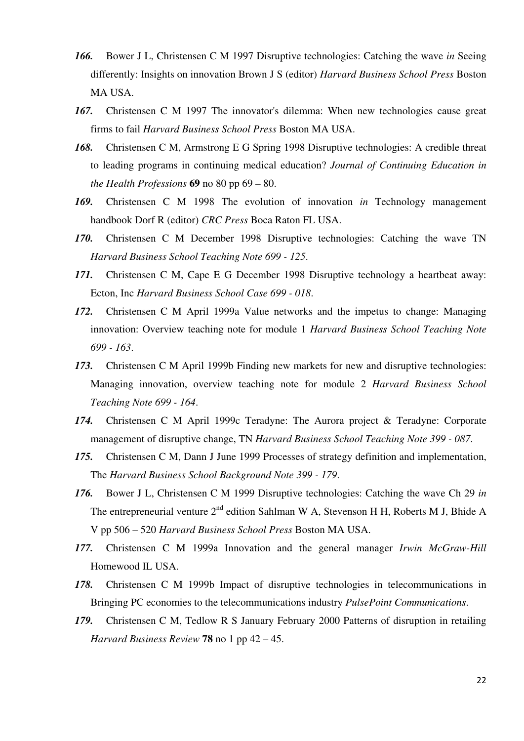- *166.* Bower J L, Christensen C M 1997 Disruptive technologies: Catching the wave *in* Seeing differently: Insights on innovation Brown J S (editor) *Harvard Business School Press* Boston MA USA.
- *167.* Christensen C M 1997 The innovator's dilemma: When new technologies cause great firms to fail *Harvard Business School Press* Boston MA USA.
- *168.* Christensen C M, Armstrong E G Spring 1998 Disruptive technologies: A credible threat to leading programs in continuing medical education? *Journal of Continuing Education in the Health Professions* **69** no 80 pp 69 – 80.
- *169.* Christensen C M 1998 The evolution of innovation *in* Technology management handbook Dorf R (editor) *CRC Press* Boca Raton FL USA.
- *170.* Christensen C M December 1998 Disruptive technologies: Catching the wave TN *Harvard Business School Teaching Note 699 - 125*.
- *171.* Christensen C M, Cape E G December 1998 Disruptive technology a heartbeat away: Ecton, Inc *Harvard Business School Case 699 - 018*.
- *172.* Christensen C M April 1999a Value networks and the impetus to change: Managing innovation: Overview teaching note for module 1 *Harvard Business School Teaching Note 699 - 163*.
- *173.* Christensen C M April 1999b Finding new markets for new and disruptive technologies: Managing innovation, overview teaching note for module 2 *Harvard Business School Teaching Note 699 - 164*.
- *174.* Christensen C M April 1999c Teradyne: The Aurora project & Teradyne: Corporate management of disruptive change, TN *Harvard Business School Teaching Note 399 - 087*.
- *175.* Christensen C M, Dann J June 1999 Processes of strategy definition and implementation, The *Harvard Business School Background Note 399 - 179*.
- *176.* Bower J L, Christensen C M 1999 Disruptive technologies: Catching the wave Ch 29 *in* The entrepreneurial venture 2<sup>nd</sup> edition Sahlman W A, Stevenson H H, Roberts M J, Bhide A V pp 506 – 520 *Harvard Business School Press* Boston MA USA.
- *177.* Christensen C M 1999a Innovation and the general manager *Irwin McGraw-Hill* Homewood IL USA.
- *178.* Christensen C M 1999b Impact of disruptive technologies in telecommunications in Bringing PC economies to the telecommunications industry *PulsePoint Communications*.
- *179.* Christensen C M, Tedlow R S January February 2000 Patterns of disruption in retailing *Harvard Business Review* **78** no 1 pp 42 – 45.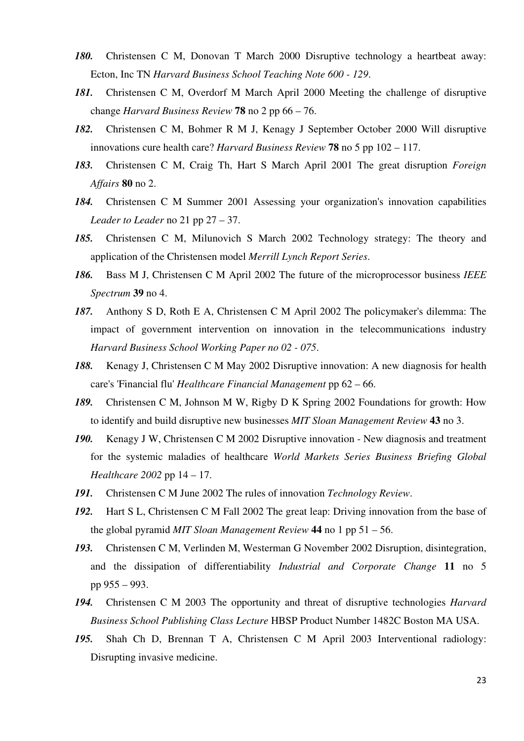- *180.* Christensen C M, Donovan T March 2000 Disruptive technology a heartbeat away: Ecton, Inc TN *Harvard Business School Teaching Note 600 - 129*.
- *181.* Christensen C M, Overdorf M March April 2000 Meeting the challenge of disruptive change *Harvard Business Review* **78** no 2 pp 66 – 76.
- *182.* Christensen C M, Bohmer R M J, Kenagy J September October 2000 Will disruptive innovations cure health care? *Harvard Business Review* **78** no 5 pp 102 – 117.
- *183.* Christensen C M, Craig Th, Hart S March April 2001 The great disruption *Foreign Affairs* **80** no 2.
- *184.* Christensen C M Summer 2001 Assessing your organization's innovation capabilities *Leader to Leader* no 21 pp 27 – 37.
- *185.* Christensen C M, Milunovich S March 2002 Technology strategy: The theory and application of the Christensen model *Merrill Lynch Report Series*.
- *186.* Bass M J, Christensen C M April 2002 The future of the microprocessor business *IEEE Spectrum* **39** no 4.
- *187.* Anthony S D, Roth E A, Christensen C M April 2002 The policymaker's dilemma: The impact of government intervention on innovation in the telecommunications industry *Harvard Business School Working Paper no 02 - 075*.
- *188.* Kenagy J, Christensen C M May 2002 Disruptive innovation: A new diagnosis for health care's 'Financial flu' *Healthcare Financial Management* pp 62 – 66.
- *189.* Christensen C M, Johnson M W, Rigby D K Spring 2002 Foundations for growth: How to identify and build disruptive new businesses *MIT Sloan Management Review* **43** no 3.
- *190.* Kenagy J W, Christensen C M 2002 Disruptive innovation New diagnosis and treatment for the systemic maladies of healthcare *World Markets Series Business Briefing Global Healthcare 2002* pp 14 – 17.
- *191.* Christensen C M June 2002 The rules of innovation *Technology Review*.
- *192.* Hart S L, Christensen C M Fall 2002 The great leap: Driving innovation from the base of the global pyramid *MIT Sloan Management Review* **44** no 1 pp 51 – 56.
- *193.* Christensen C M, Verlinden M, Westerman G November 2002 Disruption, disintegration, and the dissipation of differentiability *Industrial and Corporate Change* **11** no 5 pp 955 – 993.
- *194.* Christensen C M 2003 The opportunity and threat of disruptive technologies *Harvard Business School Publishing Class Lecture* HBSP Product Number 1482C Boston MA USA.
- *195.* Shah Ch D, Brennan T A, Christensen C M April 2003 Interventional radiology: Disrupting invasive medicine.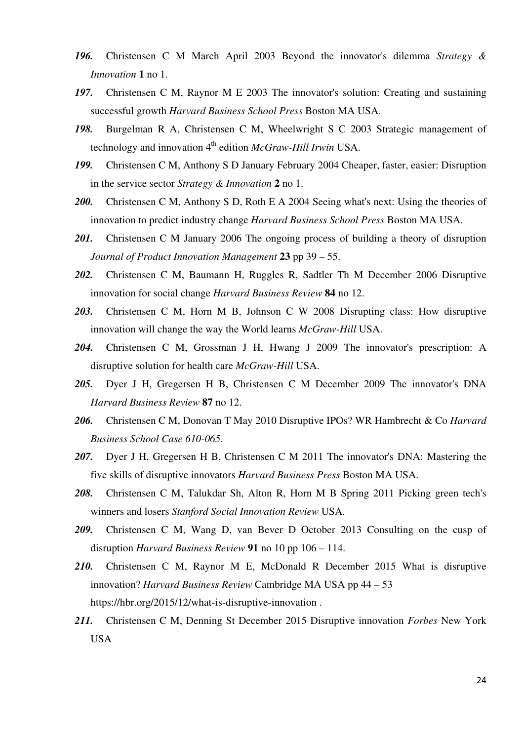- *196.* Christensen C M March April 2003 Beyond the innovator's dilemma *Strategy & Innovation* **1** no 1.
- *197.* Christensen C M, Raynor M E 2003 The innovator's solution: Creating and sustaining successful growth *Harvard Business School Press* Boston MA USA.
- *198.* Burgelman R A, Christensen C M, Wheelwright S C 2003 Strategic management of technology and innovation 4<sup>th</sup> edition *McGraw-Hill Irwin* USA.
- *199.* Christensen C M, Anthony S D January February 2004 Cheaper, faster, easier: Disruption in the service sector *Strategy & Innovation* **2** no 1.
- *200.* Christensen C M, Anthony S D, Roth E A 2004 Seeing what's next: Using the theories of innovation to predict industry change *Harvard Business School Press* Boston MA USA.
- *201.* Christensen C M January 2006 The ongoing process of building a theory of disruption *Journal of Product Innovation Management* **23** pp 39 – 55.
- *202.* Christensen C M, Baumann H, Ruggles R, Sadtler Th M December 2006 Disruptive innovation for social change *Harvard Business Review* **84** no 12.
- *203.* Christensen C M, Horn M B, Johnson C W 2008 Disrupting class: How disruptive innovation will change the way the World learns *McGraw-Hill* USA.
- *204.* Christensen C M, Grossman J H, Hwang J 2009 The innovator's prescription: A disruptive solution for health care *McGraw-Hill* USA.
- *205.* Dyer J H, Gregersen H B, Christensen C M December 2009 The innovator's DNA *Harvard Business Review* **87** no 12.
- *206.* Christensen C M, Donovan T May 2010 Disruptive IPOs? WR Hambrecht & Co *Harvard Business School Case 610-065*.
- *207.* Dyer J H, Gregersen H B, Christensen C M 2011 The innovator's DNA: Mastering the five skills of disruptive innovators *Harvard Business Press* Boston MA USA.
- *208.* Christensen C M, Talukdar Sh, Alton R, Horn M B Spring 2011 Picking green tech's winners and losers *Stanford Social Innovation Review* USA.
- *209.* Christensen C M, Wang D, van Bever D October 2013 Consulting on the cusp of disruption *Harvard Business Review* **91** no 10 pp 106 – 114.
- *210.* Christensen C M, Raynor M E, McDonald R December 2015 What is disruptive innovation? *Harvard Business Review* Cambridge MA USA pp 44 – 53 https://hbr.org/2015/12/what-is-disruptive-innovation.
- *211.* Christensen C M, Denning St December 2015 Disruptive innovation *Forbes* New York USA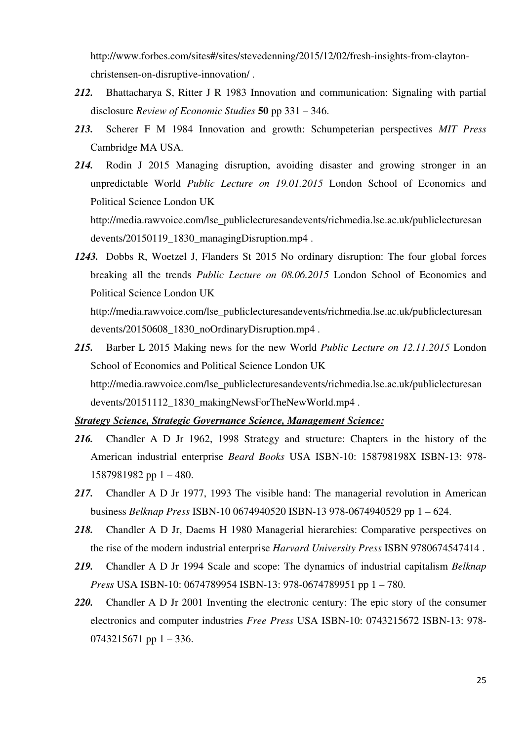http://www.forbes.com/sites#/sites/stevedenning/2015/12/02/fresh-insights-from-claytonchristensen-on-disruptive-innovation/ .

- *212.* Bhattacharya S, Ritter J R 1983 Innovation and communication: Signaling with partial disclosure *Review of Economic Studies* **50** pp 331 – 346.
- *213.* Scherer F M 1984 Innovation and growth: Schumpeterian perspectives *MIT Press* Cambridge MA USA.
- *214.* Rodin J 2015 Managing disruption, avoiding disaster and growing stronger in an unpredictable World *Public Lecture on 19.01.2015* London School of Economics and Political Science London UK http://media.rawvoice.com/lse\_publiclecturesandevents/richmedia.lse.ac.uk/publiclecturesan devents/20150119\_1830\_managingDisruption.mp4.
- *1243.* Dobbs R, Woetzel J, Flanders St 2015 No ordinary disruption: The four global forces breaking all the trends *Public Lecture on 08.06.2015* London School of Economics and Political Science London UK

http://media.rawvoice.com/lse\_publiclecturesandevents/richmedia.lse.ac.uk/publiclecturesan devents/20150608\_1830\_noOrdinaryDisruption.mp4 .

*215.* Barber L 2015 Making news for the new World *Public Lecture on 12.11.2015* London School of Economics and Political Science London UK http://media.rawvoice.com/lse\_publiclecturesandevents/richmedia.lse.ac.uk/publiclecturesan devents/20151112\_1830\_makingNewsForTheNewWorld.mp4.

# *Strategy Science, Strategic Governance Science, Management Science:*

- *216.* Chandler A D Jr 1962, 1998 Strategy and structure: Chapters in the history of the American industrial enterprise *Beard Books* USA ISBN-10: 158798198X ISBN-13: 978- 1587981982 pp 1 – 480.
- *217.* Chandler A D Jr 1977, 1993 The visible hand: The managerial revolution in American business *Belknap Press* ISBN-10 0674940520 ISBN-13 978-0674940529 pp 1 – 624.
- *218.* Chandler A D Jr, Daems H 1980 Managerial hierarchies: Comparative perspectives on the rise of the modern industrial enterprise *Harvard University Press* ISBN 9780674547414 .
- *219.* Chandler A D Jr 1994 Scale and scope: The dynamics of industrial capitalism *Belknap Press* USA ISBN-10: 0674789954 ISBN-13: 978-0674789951 pp 1 – 780.
- *220.* Chandler A D Jr 2001 Inventing the electronic century: The epic story of the consumer electronics and computer industries *Free Press* USA ISBN-10: 0743215672 ISBN-13: 978- 0743215671 pp  $1 - 336$ .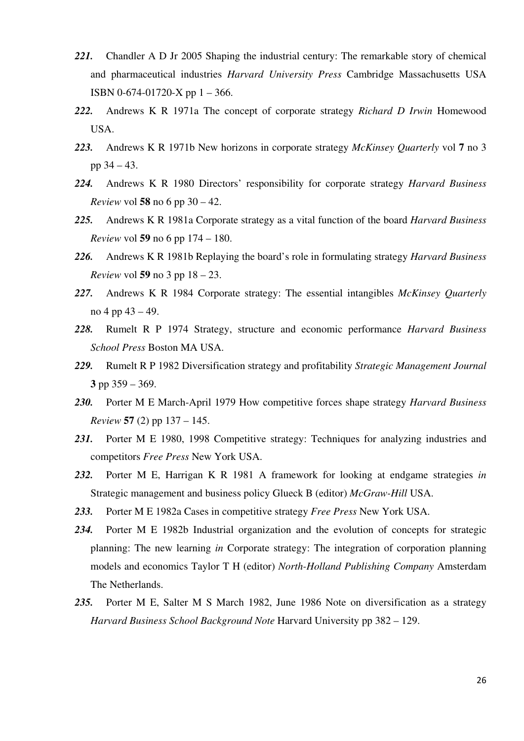- *221.* Chandler A D Jr 2005 Shaping the industrial century: The remarkable story of chemical and pharmaceutical industries *Harvard University Press* Cambridge Massachusetts USA ISBN 0-674-01720-X pp 1 – 366.
- *222.* Andrews K R 1971a The concept of corporate strategy *Richard D Irwin* Homewood USA.
- *223.* Andrews K R 1971b New horizons in corporate strategy *McKinsey Quarterly* vol **7** no 3 pp 34 – 43.
- *224.* Andrews K R 1980 Directors' responsibility for corporate strategy *Harvard Business Review* vol **58** no 6 pp 30 – 42.
- *225.* Andrews K R 1981a Corporate strategy as a vital function of the board *Harvard Business Review* vol **59** no 6 pp 174 – 180.
- *226.* Andrews K R 1981b Replaying the board's role in formulating strategy *Harvard Business Review* vol **59** no 3 pp 18 – 23.
- *227.* Andrews K R 1984 Corporate strategy: The essential intangibles *McKinsey Quarterly* no 4 pp 43 – 49.
- *228.* Rumelt R P 1974 Strategy, structure and economic performance *Harvard Business School Press* Boston MA USA.
- *229.* Rumelt R P 1982 Diversification strategy and profitability *Strategic Management Journal* **3** pp 359 – 369.
- *230.* Porter M E March-April 1979 How competitive forces shape strategy *Harvard Business Review* **57** (2) pp 137 – 145.
- 231. Porter M E 1980, 1998 Competitive strategy: Techniques for analyzing industries and competitors *Free Press* New York USA.
- *232.* Porter M E, Harrigan K R 1981 A framework for looking at endgame strategies *in* Strategic management and business policy Glueck B (editor) *McGraw-Hill* USA.
- *233.* Porter M E 1982a Cases in competitive strategy *Free Press* New York USA.
- *234.* Porter M E 1982b Industrial organization and the evolution of concepts for strategic planning: The new learning *in* Corporate strategy: The integration of corporation planning models and economics Taylor T H (editor) *North-Holland Publishing Company* Amsterdam The Netherlands.
- *235.* Porter M E, Salter M S March 1982, June 1986 Note on diversification as a strategy *Harvard Business School Background Note* Harvard University pp 382 – 129.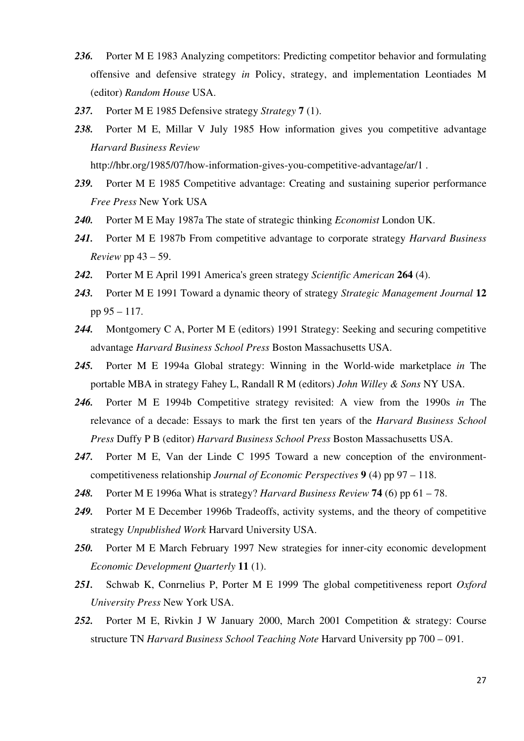- *236.* Porter M E 1983 Analyzing competitors: Predicting competitor behavior and formulating offensive and defensive strategy *in* Policy, strategy, and implementation Leontiades M (editor) *Random House* USA.
- *237.* Porter M E 1985 Defensive strategy *Strategy* **7** (1).
- *238.* Porter M E, Millar V July 1985 How information gives you competitive advantage *Harvard Business Review*

http://hbr.org/1985/07/how-information-gives-you-competitive-advantage/ar/1.

- *239.* Porter M E 1985 Competitive advantage: Creating and sustaining superior performance *Free Press* New York USA
- *240.* Porter M E May 1987a The state of strategic thinking *Economist* London UK.
- *241.* Porter M E 1987b From competitive advantage to corporate strategy *Harvard Business Review* pp 43 – 59.
- *242.* Porter M E April 1991 America's green strategy *Scientific American* **264** (4).
- *243.* Porter M E 1991 Toward a dynamic theory of strategy *Strategic Management Journal* **12** pp 95 – 117.
- *244.* Montgomery C A, Porter M E (editors) 1991 Strategy: Seeking and securing competitive advantage *Harvard Business School Press* Boston Massachusetts USA.
- *245.* Porter M E 1994a Global strategy: Winning in the World-wide marketplace *in* The portable MBA in strategy Fahey L, Randall R M (editors) *John Willey & Sons* NY USA.
- *246.* Porter M E 1994b Competitive strategy revisited: A view from the 1990s *in* The relevance of a decade: Essays to mark the first ten years of the *Harvard Business School Press* Duffy P B (editor) *Harvard Business School Press* Boston Massachusetts USA.
- *247.* Porter M E, Van der Linde C 1995 Toward a new conception of the environmentcompetitiveness relationship *Journal of Economic Perspectives* **9** (4) pp 97 – 118.
- *248.* Porter M E 1996a What is strategy? *Harvard Business Review* **74** (6) pp 61 78.
- *249.* Porter M E December 1996b Tradeoffs, activity systems, and the theory of competitive strategy *Unpublished Work* Harvard University USA.
- *250.* Porter M E March February 1997 New strategies for inner-city economic development *Economic Development Quarterly* **11** (1).
- *251.* Schwab K, Conrnelius P, Porter M E 1999 The global competitiveness report *Oxford University Press* New York USA.
- *252.* Porter M E, Rivkin J W January 2000, March 2001 Competition & strategy: Course structure TN *Harvard Business School Teaching Note* Harvard University pp 700 – 091.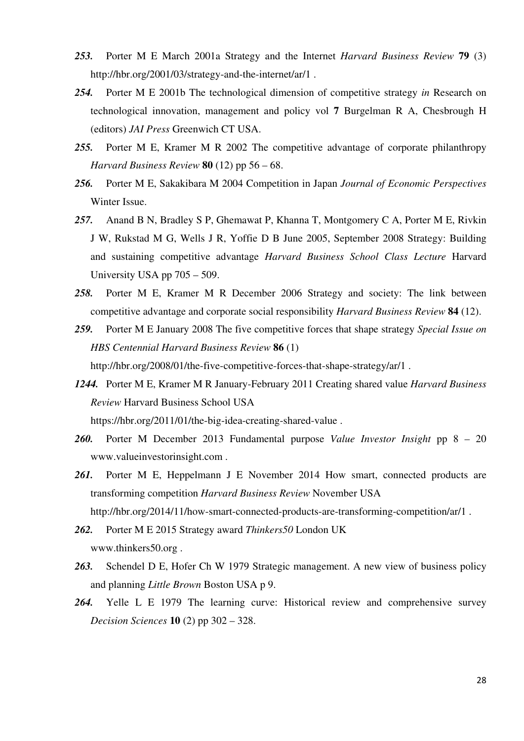- *253.* Porter M E March 2001a Strategy and the Internet *Harvard Business Review* **79** (3) http://hbr.org/2001/03/strategy-and-the-internet/ar/1 .
- *254.* Porter M E 2001b The technological dimension of competitive strategy *in* Research on technological innovation, management and policy vol **7** Burgelman R A, Chesbrough H (editors) *JAI Press* Greenwich CT USA.
- *255.* Porter M E, Kramer M R 2002 The competitive advantage of corporate philanthropy *Harvard Business Review* **80** (12) pp 56 – 68.
- *256.* Porter M E, Sakakibara M 2004 Competition in Japan *Journal of Economic Perspectives*  Winter Issue.
- *257.* Anand B N, Bradley S P, Ghemawat P, Khanna T, Montgomery C A, Porter M E, Rivkin J W, Rukstad M G, Wells J R, Yoffie D B June 2005, September 2008 Strategy: Building and sustaining competitive advantage *Harvard Business School Class Lecture* Harvard University USA pp 705 – 509.
- *258.* Porter M E, Kramer M R December 2006 Strategy and society: The link between competitive advantage and corporate social responsibility *Harvard Business Review* **84** (12).
- *259.* Porter M E January 2008 The five competitive forces that shape strategy *Special Issue on HBS Centennial Harvard Business Review* **86** (1) http://hbr.org/2008/01/the-five-competitive-forces-that-shape-strategy/ar/1 .
- *1244.* Porter M E, Kramer M R January-February 2011 Creating shared value *Harvard Business Review* Harvard Business School USA

https://hbr.org/2011/01/the-big-idea-creating-shared-value .

- *260.* Porter M December 2013 Fundamental purpose *Value Investor Insight* pp 8 20 www.valueinvestorinsight.com .
- *261.* Porter M E, Heppelmann J E November 2014 How smart, connected products are transforming competition *Harvard Business Review* November USA http://hbr.org/2014/11/how-smart-connected-products-are-transforming-competition/ar/1 .
- *262.* Porter M E 2015 Strategy award *Thinkers50* London UK www.thinkers50.org .
- *263.* Schendel D E, Hofer Ch W 1979 Strategic management. A new view of business policy and planning *Little Brown* Boston USA p 9.
- *264.* Yelle L E 1979 The learning curve: Historical review and comprehensive survey *Decision Sciences* **10** (2) pp 302 – 328.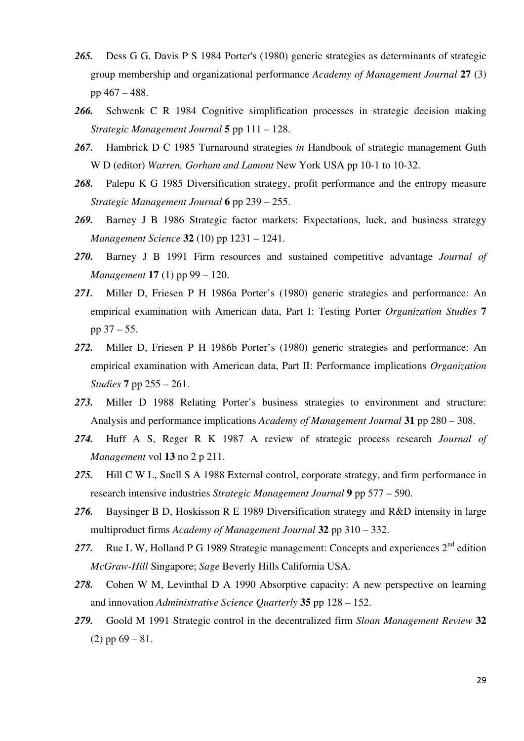- *265.* Dess G G, Davis P S 1984 Porter's (1980) generic strategies as determinants of strategic group membership and organizational performance *Academy of Management Journal* **27** (3) pp 467 – 488.
- *266.* Schwenk C R 1984 Cognitive simplification processes in strategic decision making *Strategic Management Journal* **5** pp 111 – 128.
- *267.* Hambrick D C 1985 Turnaround strategies *in* Handbook of strategic management Guth W D (editor) *Warren, Gorham and Lamont* New York USA pp 10-1 to 10-32.
- *268.* Palepu K G 1985 Diversification strategy, profit performance and the entropy measure *Strategic Management Journal* **6** pp 239 – 255.
- *269.* Barney J B 1986 Strategic factor markets: Expectations, luck, and business strategy *Management Science* **32** (10) pp 1231 – 1241.
- *270.* Barney J B 1991 Firm resources and sustained competitive advantage *Journal of Management* **17** (1) pp 99 – 120.
- *271.* Miller D, Friesen P H 1986a Porter's (1980) generic strategies and performance: An empirical examination with American data, Part I: Testing Porter *Organization Studies* **7** pp 37 – 55.
- *272.* Miller D, Friesen P H 1986b Porter's (1980) generic strategies and performance: An empirical examination with American data, Part II: Performance implications *Organization Studies* **7** pp 255 – 261.
- *273.* Miller D 1988 Relating Porter's business strategies to environment and structure: Analysis and performance implications *Academy of Management Journal* **31** pp 280 – 308.
- *274.* Huff A S, Reger R K 1987 A review of strategic process research *Journal of Management* vol **13** no 2 p 211.
- *275.* Hill C W L, Snell S A 1988 External control, corporate strategy, and firm performance in research intensive industries *Strategic Management Journal* **9** pp 577 – 590.
- *276.* Baysinger B D, Hoskisson R E 1989 Diversification strategy and R&D intensity in large multiproduct firms *Academy of Management Journal* **32** pp 310 – 332.
- 277. Rue L W, Holland P G 1989 Strategic management: Concepts and experiences 2<sup>nd</sup> edition *McGraw-Hill* Singapore; *Sage* Beverly Hills California USA.
- *278.* Cohen W M, Levinthal D A 1990 Absorptive capacity: A new perspective on learning and innovation *Administrative Science Quarterly* **35** pp 128 – 152.
- *279.* Goold M 1991 Strategic control in the decentralized firm *Sloan Management Review* **32**  (2) pp  $69 - 81$ .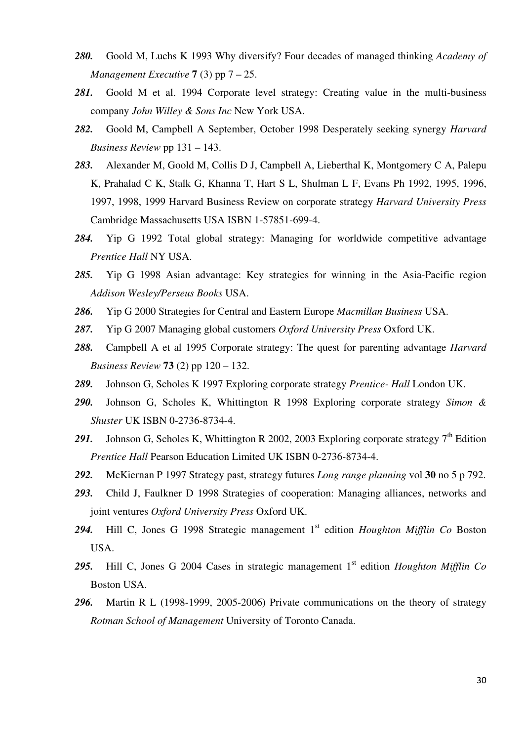- *280.* Goold M, Luchs K 1993 Why diversify? Four decades of managed thinking *Academy of Management Executive*  $7(3)$  pp  $7 - 25$ .
- *281.* Goold M et al. 1994 Corporate level strategy: Creating value in the multi-business company *John Willey & Sons Inc* New York USA.
- *282.* Goold M, Campbell A September, October 1998 Desperately seeking synergy *Harvard Business Review* pp 131 – 143.
- *283.* Alexander M, Goold M, Collis D J, Campbell A, Lieberthal K, Montgomery C A, Palepu K, Prahalad C K, Stalk G, Khanna T, Hart S L, Shulman L F, Evans Ph 1992, 1995, 1996, 1997, 1998, 1999 Harvard Business Review on corporate strategy *Harvard University Press* Cambridge Massachusetts USA ISBN 1-57851-699-4.
- *284.* Yip G 1992 Total global strategy: Managing for worldwide competitive advantage *Prentice Hall* NY USA.
- *285.* Yip G 1998 Asian advantage: Key strategies for winning in the Asia-Pacific region *Addison Wesley/Perseus Books* USA.
- *286.* Yip G 2000 Strategies for Central and Eastern Europe *Macmillan Business* USA.
- *287.* Yip G 2007 Managing global customers *Oxford University Press* Oxford UK.
- *288.* Campbell A et al 1995 Corporate strategy: The quest for parenting advantage *Harvard Business Review* **73** (2) pp 120 – 132.
- *289.* Johnson G, Scholes K 1997 Exploring corporate strategy *Prentice- Hall* London UK.
- *290.* Johnson G, Scholes K, Whittington R 1998 Exploring corporate strategy *Simon & Shuster* UK ISBN 0-2736-8734-4.
- 291. Johnson G, Scholes K, Whittington R 2002, 2003 Exploring corporate strategy 7<sup>th</sup> Edition *Prentice Hall* Pearson Education Limited UK ISBN 0-2736-8734-4.
- *292.* McKiernan P 1997 Strategy past, strategy futures *Long range planning* vol **30** no 5 p 792.
- *293.* Child J, Faulkner D 1998 Strategies of cooperation: Managing alliances, networks and joint ventures *Oxford University Press* Oxford UK.
- 294. Hill C, Jones G 1998 Strategic management 1<sup>st</sup> edition *Houghton Mifflin Co* Boston USA.
- 295. Hill C, Jones G 2004 Cases in strategic management 1<sup>st</sup> edition *Houghton Mifflin Co* Boston USA.
- *296.* Martin R L (1998-1999, 2005-2006) Private communications on the theory of strategy *Rotman School of Management* University of Toronto Canada.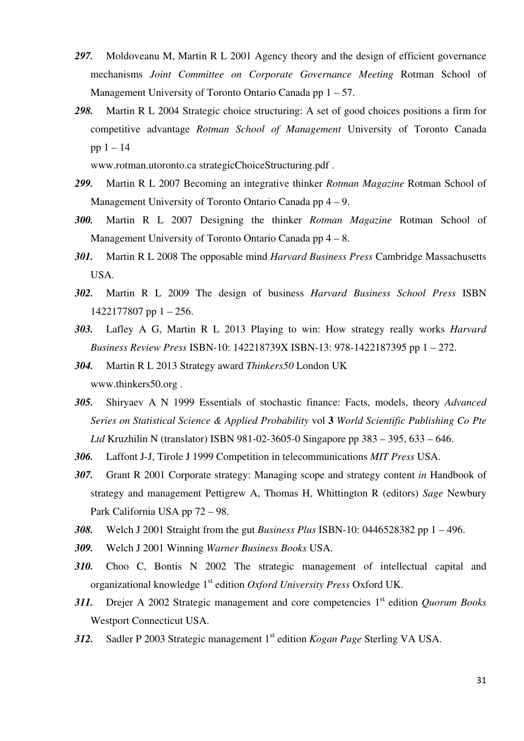- 297. Moldoveanu M, Martin R L 2001 Agency theory and the design of efficient governance mechanisms *Joint Committee on Corporate Governance Meeting* Rotman School of Management University of Toronto Ontario Canada pp 1 – 57.
- *298.* Martin R L 2004 Strategic choice structuring: A set of good choices positions a firm for competitive advantage *Rotman School of Management* University of Toronto Canada pp 1 – 14

www.rotman.utoronto.ca strategicChoiceStructuring.pdf .

- *299.* Martin R L 2007 Becoming an integrative thinker *Rotman Magazine* Rotman School of Management University of Toronto Ontario Canada pp 4 – 9.
- *300.* Martin R L 2007 Designing the thinker *Rotman Magazine* Rotman School of Management University of Toronto Ontario Canada pp 4 – 8.
- *301.* Martin R L 2008 The opposable mind *Harvard Business Press* Cambridge Massachusetts USA.
- *302.* Martin R L 2009 The design of business *Harvard Business School Press* ISBN 1422177807 pp 1 – 256.
- *303.* Lafley A G, Martin R L 2013 Playing to win: How strategy really works *Harvard Business Review Press* ISBN-10: 142218739X ISBN-13: 978-1422187395 pp 1 – 272.
- *304.* Martin R L 2013 Strategy award *Thinkers50* London UK www.thinkers50.org .
- *305.* Shiryaev A N 1999 Essentials of stochastic finance: Facts, models, theory *Advanced Series on Statistical Science & Applied Probability* vol **3** *World Scientific Publishing Co Pte Ltd* Kruzhilin N (translator) ISBN 981-02-3605-0 Singapore pp 383 – 395, 633 – 646.
- *306.* Laffont J-J, Tirole J 1999 Competition in telecommunications *MIT Press* USA.
- *307.* Grant R 2001 Corporate strategy: Managing scope and strategy content *in* Handbook of strategy and management Pettigrew A, Thomas H, Whittington R (editors) *Sage* Newbury Park California USA pp 72 – 98.
- *308.* Welch J 2001 Straight from the gut *Business Plus* ISBN-10: 0446528382 pp 1 496.
- *309.* Welch J 2001 Winning *Warner Business Books* USA.
- *310.* Choo C, Bontis N 2002 The strategic management of intellectual capital and organizational knowledge 1st edition *Oxford University Press* Oxford UK.
- **311.** Drejer A 2002 Strategic management and core competencies 1<sup>st</sup> edition *Quorum Books* Westport Connecticut USA.
- *312.* Sadler P 2003 Strategic management 1st edition *Kogan Page* Sterling VA USA.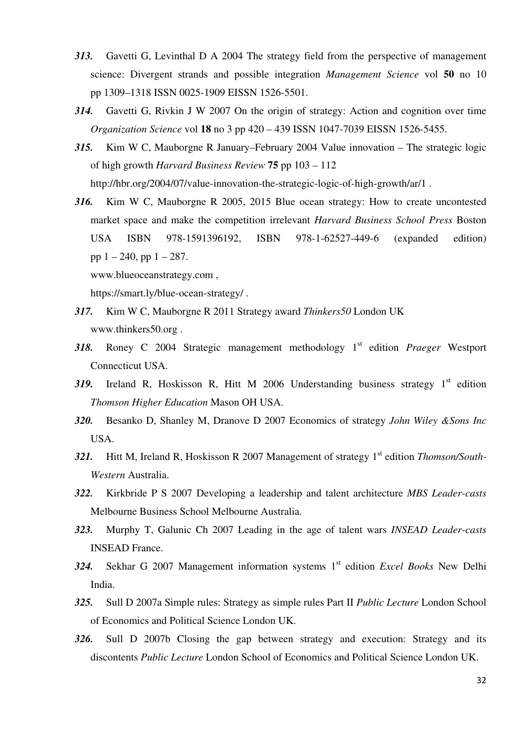- *313.* Gavetti G, Levinthal D A 2004 The strategy field from the perspective of management science: Divergent strands and possible integration *Management Science* vol **50** no 10 pp 1309–1318 ISSN 0025-1909 EISSN 1526-5501.
- *314.* Gavetti G, Rivkin J W 2007 On the origin of strategy: Action and cognition over time *Organization Science* vol **18** no 3 pp 420 – 439 ISSN 1047-7039 EISSN 1526-5455.
- *315.* Kim W C, Mauborgne R January–February 2004 Value innovation The strategic logic of high growth *Harvard Business Review* **75** pp 103 – 112 http://hbr.org/2004/07/value-innovation-the-strategic-logic-of-high-growth/ar/1.
- *316.* Kim W C, Mauborgne R 2005, 2015 Blue ocean strategy: How to create uncontested market space and make the competition irrelevant *Harvard Business School Press* Boston USA ISBN 978-1591396192, ISBN 978-1-62527-449-6 (expanded edition) pp  $1 - 240$ , pp  $1 - 287$ .

www.blueoceanstrategy.com ,

https://smart.ly/blue-ocean-strategy/ .

- *317.* Kim W C, Mauborgne R 2011 Strategy award *Thinkers50* London UK www.thinkers50.org .
- *318.* Roney C 2004 Strategic management methodology 1st edition *Praeger* Westport Connecticut USA.
- 319. Ireland R, Hoskisson R, Hitt M 2006 Understanding business strategy 1<sup>st</sup> edition *Thomson Higher Education* Mason OH USA.
- *320.* Besanko D, Shanley M, Dranove D 2007 Economics of strategy *John Wiley &Sons Inc*  USA.
- 321. Hitt M, Ireland R, Hoskisson R 2007 Management of strategy 1<sup>st</sup> edition *Thomson/South*-*Western* Australia.
- *322.* Kirkbride P S 2007 Developing a leadership and talent architecture *MBS Leader-casts* Melbourne Business School Melbourne Australia.
- *323.* Murphy T, Galunic Ch 2007 Leading in the age of talent wars *INSEAD Leader-casts* INSEAD France.
- 324. Sekhar G 2007 Management information systems 1<sup>st</sup> edition *Excel Books* New Delhi India.
- *325.* Sull D 2007a Simple rules: Strategy as simple rules Part II *Public Lecture* London School of Economics and Political Science London UK.
- *326.* Sull D 2007b Closing the gap between strategy and execution: Strategy and its discontents *Public Lecture* London School of Economics and Political Science London UK.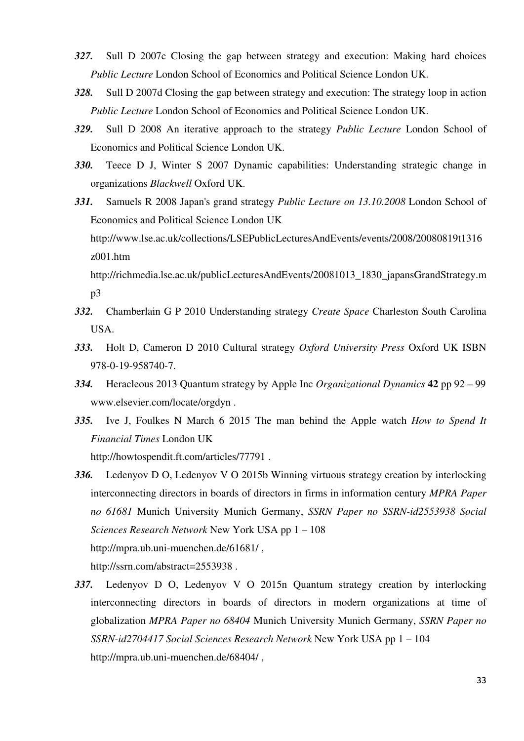- *327.* Sull D 2007c Closing the gap between strategy and execution: Making hard choices *Public Lecture* London School of Economics and Political Science London UK.
- *328.* Sull D 2007d Closing the gap between strategy and execution: The strategy loop in action *Public Lecture* London School of Economics and Political Science London UK.
- *329.* Sull D 2008 An iterative approach to the strategy *Public Lecture* London School of Economics and Political Science London UK.
- *330.* Teece D J, Winter S 2007 Dynamic capabilities: Understanding strategic change in organizations *Blackwell* Oxford UK.
- *331.* Samuels R 2008 Japan's grand strategy *Public Lecture on 13.10.2008* London School of Economics and Political Science London UK http://www.lse.ac.uk/collections/LSEPublicLecturesAndEvents/events/2008/20080819t1316 z001.htm http://richmedia.lse.ac.uk/publicLecturesAndEvents/20081013\_1830\_japansGrandStrategy.m

p3

- *332.* Chamberlain G P 2010 Understanding strategy *Create Space* Charleston South Carolina USA.
- *333.* Holt D, Cameron D 2010 Cultural strategy *Oxford University Press* Oxford UK ISBN 978-0-19-958740-7.
- *334.* Heracleous 2013 Quantum strategy by Apple Inc *Organizational Dynamics* **42** pp 92 99 www.elsevier.com/locate/orgdyn .
- *335.* Ive J, Foulkes N March 6 2015 The man behind the Apple watch *How to Spend It Financial Times* London UK

http://howtospendit.ft.com/articles/77791 .

*336.* Ledenyov D O, Ledenyov V O 2015b Winning virtuous strategy creation by interlocking interconnecting directors in boards of directors in firms in information century *MPRA Paper no 61681* Munich University Munich Germany, *SSRN Paper no SSRN-id2553938 Social Sciences Research Network* New York USA pp 1 – 108 http://mpra.ub.uni-muenchen.de/61681/ , http://ssrn.com/abstract=2553938.

*337.* Ledenyov D O, Ledenyov V O 2015n Quantum strategy creation by interlocking interconnecting directors in boards of directors in modern organizations at time of globalization *MPRA Paper no 68404* Munich University Munich Germany, *SSRN Paper no SSRN-id2704417 Social Sciences Research Network* New York USA pp 1 – 104 http://mpra.ub.uni-muenchen.de/68404/ ,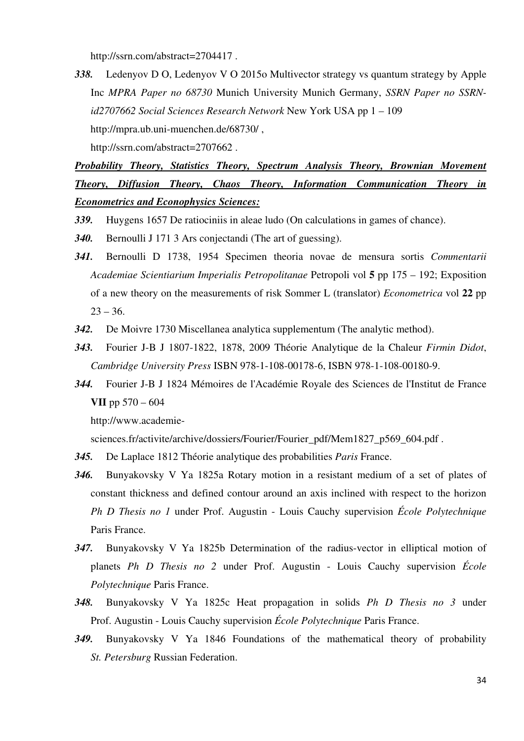http://ssrn.com/abstract=2704417 .

*338.* Ledenyov D O, Ledenyov V O 2015o Multivector strategy vs quantum strategy by Apple Inc *MPRA Paper no 68730* Munich University Munich Germany, *SSRN Paper no SSRNid2707662 Social Sciences Research Network* New York USA pp 1 – 109 http://mpra.ub.uni-muenchen.de/68730/ , http://ssrn.com/abstract=2707662.

*Probability Theory, Statistics Theory, Spectrum Analysis Theory, Brownian Movement Theory, Diffusion Theory, Chaos Theory, Information Communication Theory in Econometrics and Econophysics Sciences:*

- *339.* Huygens 1657 De ratiociniis in aleae ludo (On calculations in games of chance).
- *340.* Bernoulli J 171 3 Ars conjectandi (The art of guessing).
- *341.* Bernoulli D 1738, 1954 Specimen theoria novae de mensura sortis *Commentarii Academiae Scientiarium Imperialis Petropolitanae* Petropoli vol **5** pp 175 – 192; Exposition of a new theory on the measurements of risk Sommer L (translator) *Econometrica* vol **22** pp  $23 - 36.$
- *342.* De Moivre 1730 Miscellanea analytica supplementum (The analytic method).
- *343.* Fourier J-B J 1807-1822, 1878, 2009 Théorie Analytique de la Chaleur *Firmin Didot*, *Cambridge University Press* ISBN 978-1-108-00178-6, ISBN 978-1-108-00180-9.
- *344.* Fourier J-B J 1824 Mémoires de l'Académie Royale des Sciences de l'Institut de France **VII** pp 570 – 604

http://www.academie-

sciences.fr/activite/archive/dossiers/Fourier/Fourier\_pdf/Mem1827\_p569\_604.pdf .

- *345.* De Laplace 1812 Théorie analytique des probabilities *Paris* France.
- *346.* Bunyakovsky V Ya 1825a Rotary motion in a resistant medium of a set of plates of constant thickness and defined contour around an axis inclined with respect to the horizon *Ph D Thesis no 1* under Prof. Augustin - Louis Cauchy supervision *École Polytechnique* Paris France.
- *347.* Bunyakovsky V Ya 1825b Determination of the radius-vector in elliptical motion of planets *Ph D Thesis no 2* under Prof. Augustin - Louis Cauchy supervision *École Polytechnique* Paris France.
- *348.* Bunyakovsky V Ya 1825c Heat propagation in solids *Ph D Thesis no 3* under Prof. Augustin - Louis Cauchy supervision *École Polytechnique* Paris France.
- *349.* Bunyakovsky V Ya 1846 Foundations of the mathematical theory of probability *St. Petersburg* Russian Federation.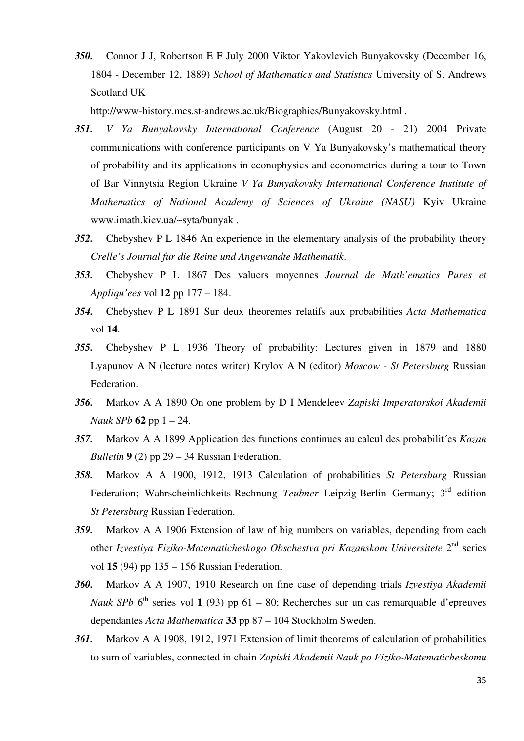*350.* Connor J J, Robertson E F July 2000 Viktor Yakovlevich Bunyakovsky (December 16, 1804 - December 12, 1889) *School of Mathematics and Statistics* University of St Andrews Scotland UK

http://www-history.mcs.st-andrews.ac.uk/Biographies/Bunyakovsky.html .

- *351. V Ya Bunyakovsky International Conference* (August 20 21) 2004 Private communications with conference participants on V Ya Bunyakovsky's mathematical theory of probability and its applications in econophysics and econometrics during a tour to Town of Bar Vinnytsia Region Ukraine *V Ya Bunyakovsky International Conference Institute of Mathematics of National Academy of Sciences of Ukraine (NASU)* Kyiv Ukraine www.imath.kiev.ua/~syta/bunyak .
- *352.* Chebyshev P L 1846 An experience in the elementary analysis of the probability theory *Crelle's Journal fur die Reine und Angewandte Mathematik*.
- *353.* Chebyshev P L 1867 Des valuers moyennes *Journal de Math'ematics Pures et Appliqu'ees* vol **12** pp 177 – 184.
- *354.* Chebyshev P L 1891 Sur deux theoremes relatifs aux probabilities *Acta Mathematica* vol **14**.
- *355.* Chebyshev P L 1936 Theory of probability: Lectures given in 1879 and 1880 Lyapunov A N (lecture notes writer) Krylov A N (editor) *Moscow - St Petersburg* Russian Federation.
- *356.* Markov A A 1890 On one problem by D I Mendeleev *Zapiski Imperatorskoi Akademii Nauk SPb* **62** pp 1 – 24.
- *357.* Markov A A 1899 Application des functions continues au calcul des probabilit´es *Kazan Bulletin* **9** (2) pp 29 – 34 Russian Federation.
- *358.* Markov A A 1900, 1912, 1913 Calculation of probabilities *St Petersburg* Russian Federation; Wahrscheinlichkeits-Rechnung *Teubner* Leipzig-Berlin Germany; 3rd edition *St Petersburg* Russian Federation.
- *359.* Markov A A 1906 Extension of law of big numbers on variables, depending from each other *Izvestiya Fiziko-Matematicheskogo Obschestva pri Kazanskom Universitete* 2nd series vol **15** (94) pp 135 – 156 Russian Federation.
- *360.* Markov A A 1907, 1910 Research on fine case of depending trials *Izvestiya Akademii Nauk SPb* 6<sup>th</sup> series vol **1** (93) pp 61 – 80; Recherches sur un cas remarquable d'epreuves dependantes *Acta Mathematica* **33** pp 87 – 104 Stockholm Sweden.
- *361.* Markov A A 1908, 1912, 1971 Extension of limit theorems of calculation of probabilities to sum of variables, connected in chain *Zapiski Akademii Nauk po Fiziko-Matematicheskomu*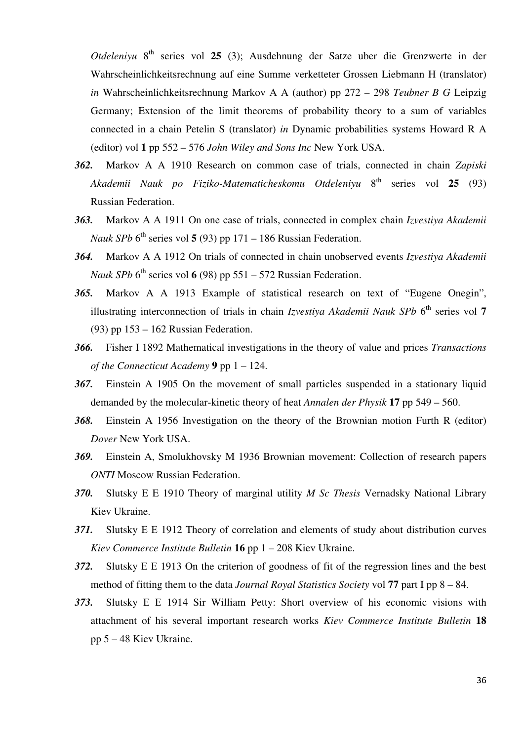*Otdeleniyu* 8th series vol **25** (3); Ausdehnung der Satze uber die Grenzwerte in der Wahrscheinlichkeitsrechnung auf eine Summe verketteter Grossen Liebmann H (translator) *in* Wahrscheinlichkeitsrechnung Markov A A (author) pp 272 – 298 *Teubner B G* Leipzig Germany; Extension of the limit theorems of probability theory to a sum of variables connected in a chain Petelin S (translator) *in* Dynamic probabilities systems Howard R A (editor) vol **1** pp 552 – 576 *John Wiley and Sons Inc* New York USA.

- *362.* Markov A A 1910 Research on common case of trials, connected in chain *Zapiski Akademii Nauk po Fiziko-Matematicheskomu Otdeleniyu* 8th series vol **25** (93) Russian Federation.
- *363.* Markov A A 1911 On one case of trials, connected in complex chain *Izvestiya Akademii Nauk SPb*  $6<sup>th</sup>$  series vol **5** (93) pp 171 – 186 Russian Federation.
- *364.* Markov A A 1912 On trials of connected in chain unobserved events *Izvestiya Akademii Nauk SPb* 6<sup>th</sup> series vol 6 (98) pp 551 – 572 Russian Federation.
- *365.* Markov A A 1913 Example of statistical research on text of "Eugene Onegin", illustrating interconnection of trials in chain *Izvestiva Akademii Nauk SPb* 6<sup>th</sup> series vol 7 (93) pp 153 – 162 Russian Federation.
- *366.* Fisher I 1892 Mathematical investigations in the theory of value and prices *Transactions of the Connecticut Academy* **9** pp 1 – 124.
- *367.* Einstein A 1905 On the movement of small particles suspended in a stationary liquid demanded by the molecular-kinetic theory of heat *Annalen der Physik* **17** pp 549 – 560.
- *368.* Einstein A 1956 Investigation on the theory of the Brownian motion Furth R (editor) *Dover* New York USA.
- *369.* Einstein A, Smolukhovsky M 1936 Brownian movement: Collection of research papers *ONTI* Moscow Russian Federation.
- *370.* Slutsky E E 1910 Theory of marginal utility *M Sc Thesis* Vernadsky National Library Kiev Ukraine.
- *371.* Slutsky Е Е 1912 Theory of correlation and elements of study about distribution curves *Kiev Commerce Institute Bulletin* **16** pp 1 – 208 Kiev Ukraine.
- *372.* Slutsky Е Е 1913 On the criterion of goodness of fit of the regression lines and the best method of fitting them to the data *Journal Royal Statistics Society* vol **77** part I pp 8 – 84.
- *373.* Slutsky Е Е 1914 Sir William Petty: Short overview of his economic visions with attachment of his several important research works *Kiev Commerce Institute Bulletin* **18** pp 5 – 48 Kiev Ukraine.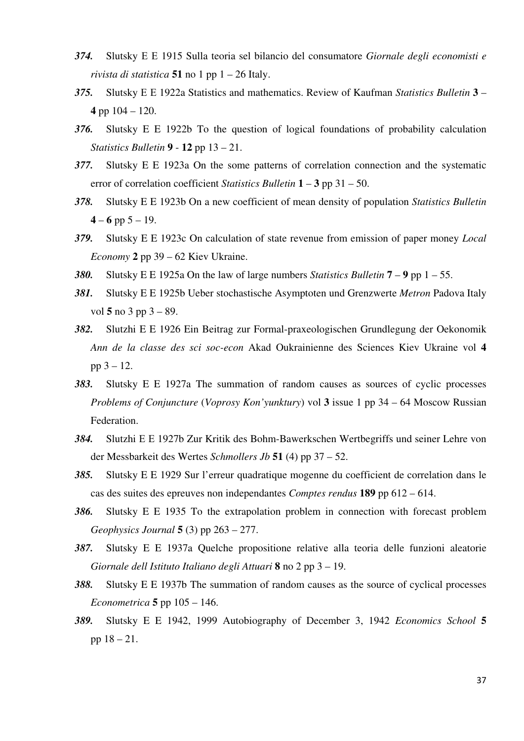- *374.* Slutsky Е Е 1915 Sulla teoria sel bilancio del consumatore *Giornale degli economisti e rivista di statistica* **51** no 1 pp 1 – 26 Italy.
- *375.* Slutsky Е Е 1922a Statistics and mathematics. Review of Kaufman *Statistics Bulletin* **3 4** pp 104 – 120.
- *376.* Slutsky E E 1922b To the question of logical foundations of probability calculation *Statistics Bulletin* **9** - **12** pp 13 – 21.
- *377.* Slutsky E E 1923a On the some patterns of correlation connection and the systematic error of correlation coefficient *Statistics Bulletin* **1** – **3** pp 31 – 50.
- *378.* Slutsky E E 1923b On a new coefficient of mean density of population *Statistics Bulletin*   $4 - 6$  pp  $5 - 19$ .
- *379.* Slutsky E E 1923c On calculation of state revenue from emission of paper money *Local Economy* **2** pp 39 – 62 Kiev Ukraine.
- *380.* Slutsky E E 1925a On the law of large numbers *Statistics Bulletin* **7 9** pp 1 55.
- *381.* Slutsky E E 1925b Ueber stochastische Asymptoten und Grenzwerte *Metron* Padova Italy vol **5** no 3 pp 3 – 89.
- *382.* Slutzhi E E 1926 Ein Beitrag zur Formal-praxeologischen Grundlegung der Oekonomik *Ann de la classe des sci soc-econ* Akad Oukrainienne des Sciences Kiev Ukraine vol **4** pp 3 – 12.
- *383.* Slutsky E E 1927a The summation of random causes as sources of cyclic processes *Problems of Conjuncture* (*Voprosy Kon'yunktury*) vol **3** issue 1 pp 34 – 64 Moscow Russian Federation.
- *384.* Slutzhi Е Е 1927b Zur Kritik des Bohm-Bawerkschen Wertbegriffs und seiner Lehre von der Messbarkeit des Wertes *Schmollers Jb* **51** (4) pp 37 – 52.
- *385.* Slutsky E E 1929 Sur l'erreur quadratique mogenne du coefficient de correlation dans le cas des suites des epreuves non independantes *Comptes rendus* **189** pp 612 – 614.
- *386.* Slutsky E E 1935 To the extrapolation problem in connection with forecast problem *Geophysics Journal* **5** (3) pp 263 – 277.
- *387.* Slutsky E E 1937a Quelche propositione relative alla teoria delle funzioni aleatorie *Giornale dell Istituto Italiano degli Attuari* **8** no 2 pp 3 – 19.
- *388.* Slutsky E E 1937b The summation of random causes as the source of cyclical processes *Econometrica* **5** pp 105 – 146.
- *389.* Slutsky E E 1942, 1999 Autobiography of December 3, 1942 *Economics School* **5**  pp 18 – 21.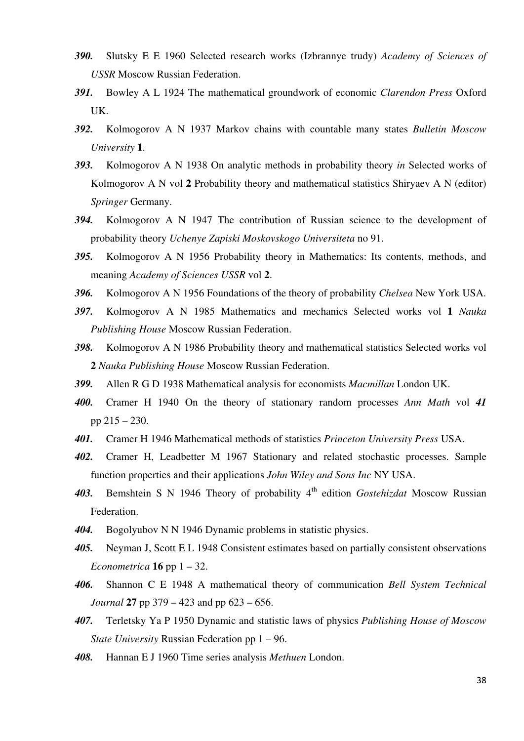- *390.* Slutsky E E 1960 Selected research works (Izbrannye trudy) *Academy of Sciences of USSR* Moscow Russian Federation.
- *391.* Bowley A L 1924 The mathematical groundwork of economic *Clarendon Press* Oxford UK.
- *392.* Kolmogorov A N 1937 Markov chains with countable many states *Bulletin Moscow University* **1**.
- *393.* Kolmogorov A N 1938 On analytic methods in probability theory *in* Selected works of Kolmogorov A N vol **2** Probability theory and mathematical statistics Shiryaev A N (editor) *Springer* Germany.
- *394.* Kolmogorov A N 1947 The contribution of Russian science to the development of probability theory *Uchenye Zapiski Moskovskogo Universiteta* no 91.
- *395.* Kolmogorov A N 1956 Probability theory in Mathematics: Its contents, methods, and meaning *Academy of Sciences USSR* vol **2**.
- *396.* Kolmogorov A N 1956 Foundations of the theory of probability *Chelsea* New York USA.
- *397.* Kolmogorov A N 1985 Mathematics and mechanics Selected works vol **1** *Nauka Publishing House* Moscow Russian Federation.
- *398.* Kolmogorov A N 1986 Probability theory and mathematical statistics Selected works vol **2** *Nauka Publishing House* Moscow Russian Federation.
- *399.* Allen R G D 1938 Mathematical analysis for economists *Macmillan* London UK.
- *400.* Cramer H 1940 On the theory of stationary random processes *Ann Math* vol *41* pp 215 – 230.
- *401.* Cramer H 1946 Mathematical methods of statistics *Princeton University Press* USA.
- *402.* Cramer H, Leadbetter M 1967 Stationary and related stochastic processes. Sample function properties and their applications *John Wiley and Sons Inc* NY USA.
- 403. Bemshtein S N 1946 Theory of probability 4<sup>th</sup> edition *Gostehizdat* Moscow Russian Federation.
- *404.* Bogolyubov N N 1946 Dynamic problems in statistic physics.
- *405.* Neyman J, Scott E L 1948 Consistent estimates based on partially consistent observations *Econometrica* **16** pp 1 – 32.
- *406.* Shannon C E 1948 A mathematical theory of communication *Bell System Technical Journal* **27** pp 379 – 423 and pp 623 – 656.
- *407.* Terletsky Ya P 1950 Dynamic and statistic laws of physics *Publishing House of Moscow State University* Russian Federation pp 1 – 96.
- *408.* Hannan E J 1960 Time series analysis *Methuen* London.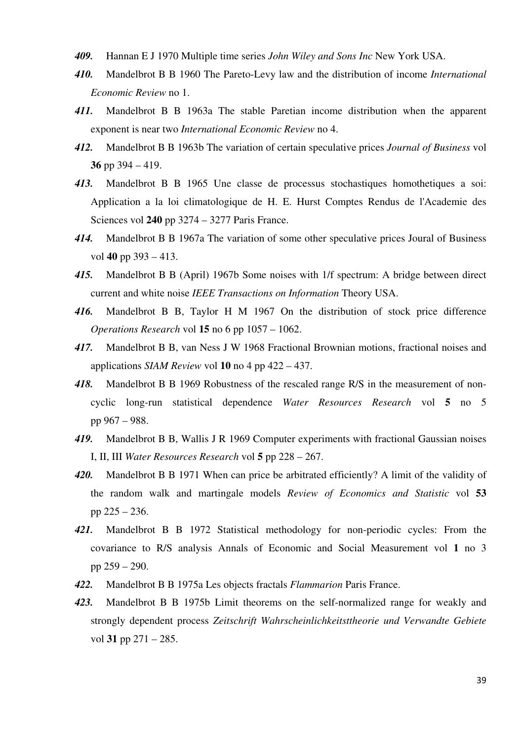- *409.* Hannan E J 1970 Multiple time series *John Wiley and Sons Inc* New York USA.
- *410.* Mandelbrot B B 1960 The Pareto-Levy law and the distribution of income *International Economic Review* no 1.
- *411.* Mandelbrot B B 1963a The stable Paretian income distribution when the apparent exponent is near two *International Economic Review* no 4.
- *412.* Mandelbrot B B 1963b The variation of certain speculative prices *Journal of Business* vol **36** pp 394 – 419.
- *413.* Mandelbrot B B 1965 Une classe de processus stochastiques homothetiques a soi: Application a la loi climatologique de H. E. Hurst Comptes Rendus de l'Academie des Sciences vol **240** pp 3274 – 3277 Paris France.
- *414.* Mandelbrot B B 1967a The variation of some other speculative prices Joural of Business vol **40** pp 393 – 413.
- *415.* Mandelbrot B B (April) 1967b Some noises with 1/f spectrum: A bridge between direct current and white noise *IEEE Transactions on Information* Theory USA.
- *416.* Mandelbrot B B, Taylor H M 1967 On the distribution of stock price difference *Operations Research* vol **15** no 6 pp 1057 – 1062.
- *417.* Mandelbrot B B, van Ness J W 1968 Fractional Brownian motions, fractional noises and applications *SIAM Review* vol **10** no 4 pp 422 – 437.
- *418.* Mandelbrot B B 1969 Robustness of the rescaled range R/S in the measurement of noncyclic long-run statistical dependence *Water Resources Research* vol **5** no 5 pp 967 – 988.
- *419.* Mandelbrot B B, Wallis J R 1969 Computer experiments with fractional Gaussian noises I, II, III *Water Resources Research* vol **5** pp 228 – 267.
- *420.* Mandelbrot B B 1971 When can price be arbitrated efficiently? A limit of the validity of the random walk and martingale models *Review of Economics and Statistic* vol **53** pp 225 – 236.
- *421.* Mandelbrot B B 1972 Statistical methodology for non-periodic cycles: From the covariance to R/S analysis Annals of Economic and Social Measurement vol **1** no 3 pp 259 – 290.
- *422.* Mandelbrot B B 1975a Les objects fractals *Flammarion* Paris France.
- *423.* Mandelbrot B B 1975b Limit theorems on the self-normalized range for weakly and strongly dependent process *Zeitschrift Wahrscheinlichkeitsttheorie und Verwandte Gebiete* vol **31** pp 271 – 285.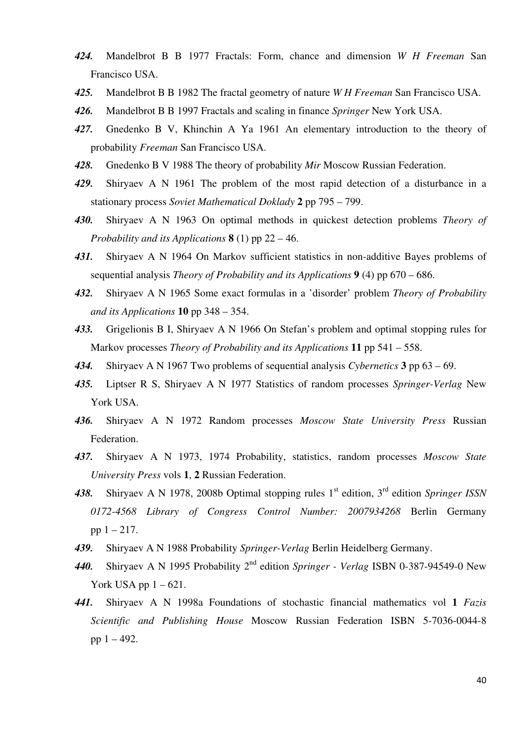- *424.* Mandelbrot B B 1977 Fractals: Form, chance and dimension *W H Freeman* San Francisco USA.
- *425.* Mandelbrot B B 1982 The fractal geometry of nature *W H Freeman* San Francisco USA.
- *426.* Mandelbrot B B 1997 Fractals and scaling in finance *Springer* New York USA.
- *427.* Gnedenko B V, Khinchin A Ya 1961 An elementary introduction to the theory of probability *Freeman* San Francisco USA.
- *428.* Gnedenko B V 1988 The theory of probability *Mir* Moscow Russian Federation.
- *429.* Shiryaev A N 1961 The problem of the most rapid detection of a disturbance in a stationary process *Soviet Mathematical Doklady* **2** pp 795 – 799.
- *430.* Shiryaev A N 1963 On optimal methods in quickest detection problems *Theory of Probability and its Applications* **8** (1) pp 22 – 46.
- *431.* Shiryaev A N 1964 On Markov sufficient statistics in non-additive Bayes problems of sequential analysis *Theory of Probability and its Applications* **9** (4) pp 670 – 686.
- *432.* Shiryaev A N 1965 Some exact formulas in a 'disorder' problem *Theory of Probability and its Applications* **10** pp 348 – 354.
- *433.* Grigelionis B I, Shiryaev A N 1966 On Stefan's problem and optimal stopping rules for Markov processes *Theory of Probability and its Applications* **11** pp 541 – 558.
- *434.* Shiryaev A N 1967 Two problems of sequential analysis *Cybernetics* **3** pp 63 69.
- *435.* Liptser R S, Shiryaev A N 1977 Statistics of random processes *Springer-Verlag* New York USA.
- *436.* Shiryaev A N 1972 Random processes *Moscow State University Press* Russian Federation.
- *437.* Shiryaev A N 1973, 1974 Probability, statistics, random processes *Moscow State University Press* vols **1**, **2** Russian Federation.
- 438. Shiryaev A N 1978, 2008b Optimal stopping rules 1<sup>st</sup> edition, 3<sup>rd</sup> edition *Springer ISSN 0172-4568 Library of Congress Control Number: 2007934268* Berlin Germany pp  $1 - 217$ .
- *439.* Shiryaev A N 1988 Probability *Springer-Verlag* Berlin Heidelberg Germany.
- *440.* Shiryaev A N 1995 Probability 2nd edition *Springer Verlag* ISBN 0-387-94549-0 New York USA pp  $1 - 621$ .
- *441.* Shiryaev A N 1998a Foundations of stochastic financial mathematics vol **1** *Fazis Scientific and Publishing House* Moscow Russian Federation ISBN 5-7036-0044-8 pp 1 – 492.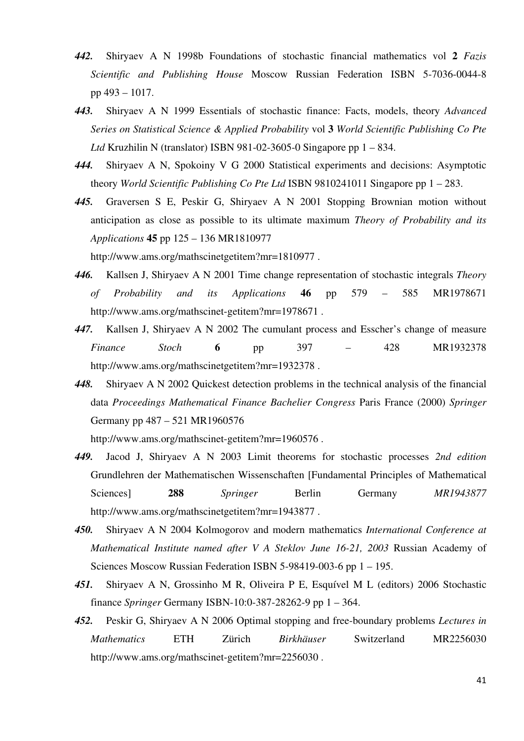- *442.* Shiryaev A N 1998b Foundations of stochastic financial mathematics vol **2** *Fazis Scientific and Publishing House* Moscow Russian Federation ISBN 5-7036-0044-8 pp 493 – 1017.
- *443.* Shiryaev A N 1999 Essentials of stochastic finance: Facts, models, theory *Advanced Series on Statistical Science & Applied Probability* vol **3** *World Scientific Publishing Co Pte Ltd* Kruzhilin N (translator) ISBN 981-02-3605-0 Singapore pp 1 – 834.
- *444.* Shiryaev A N, Spokoiny V G 2000 Statistical experiments and decisions: Asymptotic theory *World Scientific Publishing Co Pte Ltd* ISBN 9810241011 Singapore pp 1 – 283.
- *445.* Graversen S E, Peskir G, Shiryaev A N 2001 Stopping Brownian motion without anticipation as close as possible to its ultimate maximum *Theory of Probability and its Applications* **45** pp 125 – 136 MR1810977

http://www.ams.org/mathscinetgetitem?mr=1810977 .

- *446.* Kallsen J, Shiryaev A N 2001 Time change representation of stochastic integrals *Theory of Probability and its Applications* **46** pp 579 – 585 MR1978671 http://www.ams.org/mathscinet-getitem?mr=1978671.
- *447.* Kallsen J, Shiryaev A N 2002 The cumulant process and Esscher's change of measure *Finance Stoch* **6** pp 397 – 428 MR1932378 http://www.ams.org/mathscinetgetitem?mr=1932378 .
- *448.* Shiryaev A N 2002 Quickest detection problems in the technical analysis of the financial data *Proceedings Mathematical Finance Bachelier Congress* Paris France (2000) *Springer*  Germany pp 487 – 521 MR1960576

http://www.ams.org/mathscinet-getitem?mr=1960576 .

- *449.* Jacod J, Shiryaev A N 2003 Limit theorems for stochastic processes *2nd edition*  Grundlehren der Mathematischen Wissenschaften [Fundamental Principles of Mathematical Sciences] **288** *Springer* Berlin Germany *MR1943877*  http://www.ams.org/mathscinetgetitem?mr=1943877.
- *450.* Shiryaev A N 2004 Kolmogorov and modern mathematics *International Conference at Mathematical Institute named after V A Steklov June 16-21, 2003* Russian Academy of Sciences Moscow Russian Federation ISBN 5-98419-003-6 pp 1 – 195.
- *451.* Shiryaev A N, Grossinho M R, Oliveira P E, Esquível M L (editors) 2006 Stochastic finance *Springer* Germany ISBN-10:0-387-28262-9 pp 1 – 364.
- *452.* Peskir G, Shiryaev A N 2006 Optimal stopping and free-boundary problems *Lectures in Mathematics* ETH Zürich *Birkhäuser* Switzerland MR2256030 http://www.ams.org/mathscinet-getitem?mr=2256030 .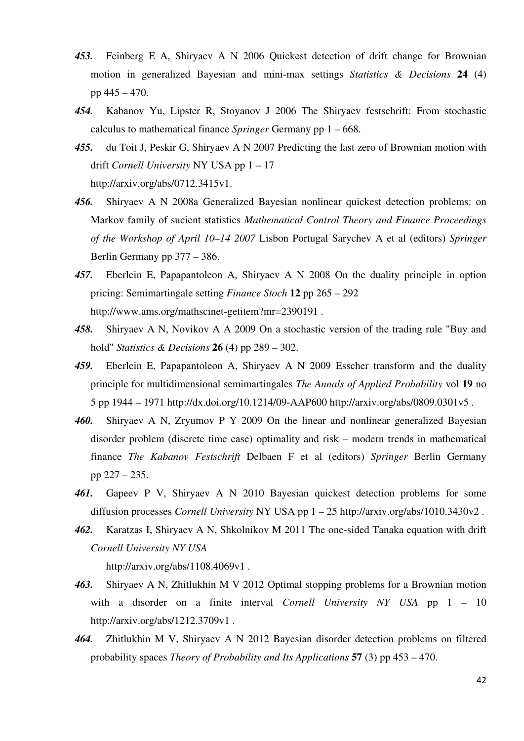- *453.* Feinberg E A, Shiryaev A N 2006 Quickest detection of drift change for Brownian motion in generalized Bayesian and mini-max settings *Statistics & Decisions* **24** (4) pp 445 – 470.
- *454.* Kabanov Yu, Lipster R, Stoyanov J 2006 The Shiryaev festschrift: From stochastic calculus to mathematical finance *Springer* Germany pp 1 – 668.
- *455.* du Toit J, Peskir G, Shiryaev A N 2007 Predicting the last zero of Brownian motion with drift *Cornell University* NY USA pp 1 – 17 http://arxiv.org/abs/0712.3415v1.
- *456.* Shiryaev A N 2008a Generalized Bayesian nonlinear quickest detection problems: on Markov family of sucient statistics *Mathematical Control Theory and Finance Proceedings of the Workshop of April 10–14 2007* Lisbon Portugal Sarychev A et al (editors) *Springer*  Berlin Germany pp 377 – 386.
- *457.* Eberlein E, Papapantoleon A, Shiryaev A N 2008 On the duality principle in option pricing: Semimartingale setting *Finance Stoch* **12** pp 265 – 292 http://www.ams.org/mathscinet-getitem?mr=2390191 .
- *458.* Shiryaev A N, Novikov A A 2009 On a stochastic version of the trading rule "Buy and hold" *Statistics & Decisions* **26** (4) pp 289 – 302.
- *459.* Eberlein E, Papapantoleon A, Shiryaev A N 2009 Esscher transform and the duality principle for multidimensional semimartingales *The Annals of Applied Probability* vol **19** no 5 pp 1944 – 1971 http://dx.doi.org/10.1214/09-AAP600 http://arxiv.org/abs/0809.0301v5 .
- *460.* Shiryaev A N, Zryumov P Y 2009 On the linear and nonlinear generalized Bayesian disorder problem (discrete time case) optimality and risk – modern trends in mathematical finance *The Kabanov Festschrift* Delbaen F et al (editors) *Springer* Berlin Germany pp 227 – 235.
- *461.* Gapeev P V, Shiryaev A N 2010 Bayesian quickest detection problems for some diffusion processes *Cornell University* NY USA pp 1 – 25 http://arxiv.org/abs/1010.3430v2 .
- *462.* Karatzas I, Shiryaev A N, Shkolnikov M 2011 The one-sided Tanaka equation with drift *Cornell University NY USA*

http://arxiv.org/abs/1108.4069v1 .

- *463.* Shiryaev A N, Zhitlukhin M V 2012 Optimal stopping problems for a Brownian motion with a disorder on a finite interval *Cornell University NY USA* pp 1 – 10 http://arxiv.org/abs/1212.3709v1 .
- *464.* Zhitlukhin M V, Shiryaev A N 2012 Bayesian disorder detection problems on filtered probability spaces *Theory of Probability and Its Applications* **57** (3) pp 453 – 470.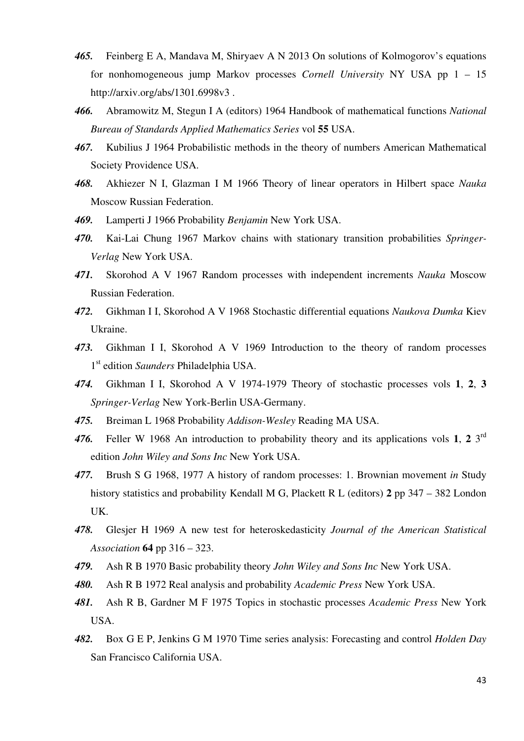- *465.* Feinberg E A, Mandava M, Shiryaev A N 2013 On solutions of Kolmogorov's equations for nonhomogeneous jump Markov processes *Cornell University* NY USA pp 1 – 15 http://arxiv.org/abs/1301.6998v3 .
- *466.* Abramowitz M, Stegun I A (editors) 1964 Handbook of mathematical functions *National Bureau of Standards Applied Mathematics Series* vol **55** USA.
- *467.* Kubilius J 1964 Probabilistic methods in the theory of numbers American Mathematical Society Providence USA.
- *468.* Akhiezer N I, Glazman I M 1966 Theory of linear operators in Hilbert space *Nauka* Moscow Russian Federation.
- *469.* Lamperti J 1966 Probability *Benjamin* New York USA.
- *470.* Kai-Lai Chung 1967 Markov chains with stationary transition probabilities *Springer-Verlag* New York USA.
- *471.* Skorohod A V 1967 Random processes with independent increments *Nauka* Moscow Russian Federation.
- *472.* Gikhman I I, Skorohod A V 1968 Stochastic differential equations *Naukova Dumka* Kiev Ukraine.
- *473.* Gikhman I I, Skorohod A V 1969 Introduction to the theory of random processes 1 st edition *Saunders* Philadelphia USA.
- *474.* Gikhman I I, Skorohod A V 1974-1979 Theory of stochastic processes vols **1**, **2**, **3** *Springer-Verlag* New York-Berlin USA-Germany.
- *475.* Breiman L 1968 Probability *Addison-Wesley* Reading MA USA.
- *476.* Feller W 1968 An introduction to probability theory and its applications vols **1**, **2** 3rd edition *John Wiley and Sons Inc* New York USA.
- *477.* Brush S G 1968, 1977 A history of random processes: 1. Brownian movement *in* Study history statistics and probability Kendall M G, Plackett R L (editors) **2** pp 347 – 382 London UK.
- *478.* Glesjer H 1969 A new test for heteroskedasticity *Journal of the American Statistical Association* **64** pp 316 – 323.
- *479.* Ash R B 1970 Basic probability theory *John Wiley and Sons Inc* New York USA.
- *480.* Ash R B 1972 Real analysis and probability *Academic Press* New York USA.
- *481.* Ash R B, Gardner M F 1975 Topics in stochastic processes *Academic Press* New York USA.
- *482.* Box G E P, Jenkins G M 1970 Time series analysis: Forecasting and control *Holden Day* San Francisco California USA.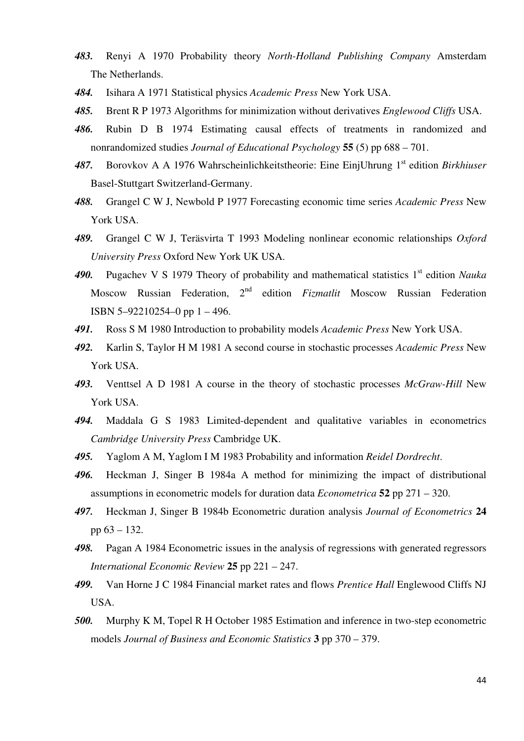- *483.* Renyi A 1970 Probability theory *North-Holland Publishing Company* Amsterdam The Netherlands.
- *484.* Isihara A 1971 Statistical physics *Academic Press* New York USA.
- *485.* Brent R P 1973 Algorithms for minimization without derivatives *Englewood Cliffs* USA.
- *486.* Rubin D B 1974 Estimating causal effects of treatments in randomized and nonrandomized studies *Journal of Educational Psychology* **55** (5) pp 688 – 701.
- *487.* Borovkov A A 1976 Wahrscheinlichkeitstheorie: Eine EinjUhrung 1st edition *Birkhiuser* Basel-Stuttgart Switzerland-Germany.
- *488.* Grangel C W J, Newbold P 1977 Forecasting economic time series *Academic Press* New York USA.
- *489.* Grangel C W J, Teräsvirta T 1993 Modeling nonlinear economic relationships *Oxford University Press* Oxford New York UK USA.
- 490. Pugachev V S 1979 Theory of probability and mathematical statistics 1<sup>st</sup> edition *Nauka* Moscow Russian Federation, 2nd edition *Fizmatlit* Moscow Russian Federation ISBN 5–92210254–0 pp 1 – 496.
- *491.* Ross S M 1980 Introduction to probability models *Academic Press* New York USA.
- *492.* Karlin S, Taylor H M 1981 A second course in stochastic processes *Academic Press* New York USA.
- *493.* Venttsel A D 1981 A course in the theory of stochastic processes *McGraw-Hill* New York USA.
- *494.* Maddala G S 1983 Limited-dependent and qualitative variables in econometrics *Cambridge University Press* Cambridge UK.
- *495.* Yaglom A M, Yaglom I M 1983 Probability and information *Reidel Dordrecht*.
- *496.* Heckman J, Singer B 1984a A method for minimizing the impact of distributional assumptions in econometric models for duration data *Econometrica* **52** pp 271 – 320.
- *497.* Heckman J, Singer B 1984b Econometric duration analysis *Journal of Econometrics* **24** pp 63 – 132.
- *498.* Pagan A 1984 Econometric issues in the analysis of regressions with generated regressors *International Economic Review* **25** pp 221 – 247.
- *499.* Van Horne J C 1984 Financial market rates and flows *Prentice Hall* Englewood Cliffs NJ USA.
- *500.* Murphy K M, Topel R H October 1985 Estimation and inference in two-step econometric models *Journal of Business and Economic Statistics* **3** pp 370 – 379.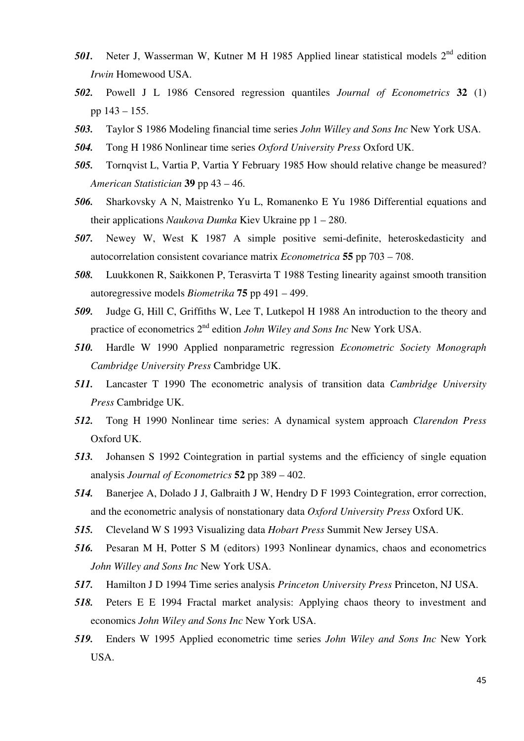- 501. Neter J, Wasserman W, Kutner M H 1985 Applied linear statistical models 2<sup>nd</sup> edition *Irwin* Homewood USA.
- *502.* Powell J L 1986 Censored regression quantiles *Journal of Econometrics* **32** (1) pp 143 – 155.
- *503.* Taylor S 1986 Modeling financial time series *John Willey and Sons Inc* New York USA.
- *504.* Tong H 1986 Nonlinear time series *Oxford University Press* Oxford UK.
- *505.* Tornqvist L, Vartia P, Vartia Y February 1985 How should relative change be measured? *American Statistician* **39** pp 43 – 46.
- *506.* Sharkovsky A N, Maistrenko Yu L, Romanenko E Yu 1986 Differential equations and their applications *Naukova Dumka* Kiev Ukraine pp 1 – 280.
- *507.* Newey W, West K 1987 A simple positive semi-definite, heteroskedasticity and autocorrelation consistent covariance matrix *Econometrica* **55** pp 703 – 708.
- *508.* Luukkonen R, Saikkonen P, Terasvirta T 1988 Testing linearity against smooth transition autoregressive models *Biometrika* **75** pp 491 – 499.
- *509.* Judge G, Hill C, Griffiths W, Lee T, Lutkepol H 1988 An introduction to the theory and practice of econometrics 2nd edition *John Wiley and Sons Inc* New York USA.
- *510.* Hardle W 1990 Applied nonparametric regression *Econometric Society Monograph Cambridge University Press* Cambridge UK.
- *511.* Lancaster T 1990 The econometric analysis of transition data *Cambridge University Press* Cambridge UK.
- *512.* Tong H 1990 Nonlinear time series: A dynamical system approach *Clarendon Press* Oxford UK.
- *513.* Johansen S 1992 Cointegration in partial systems and the efficiency of single equation analysis *Journal of Econometrics* **52** pp 389 – 402.
- *514.* Banerjee A, Dolado J J, Galbraith J W, Hendry D F 1993 Cointegration, error correction, and the econometric analysis of nonstationary data *Oxford University Press* Oxford UK.
- *515.* Cleveland W S 1993 Visualizing data *Hobart Press* Summit New Jersey USA.
- *516.* Pesaran M H, Potter S M (editors) 1993 Nonlinear dynamics, chaos and econometrics *John Willey and Sons Inc* New York USA.
- *517.* Hamilton J D 1994 Time series analysis *Princeton University Press* Princeton, NJ USA.
- *518.* Peters E E 1994 Fractal market analysis: Applying chaos theory to investment and economics *John Wiley and Sons Inc* New York USA.
- *519.* Enders W 1995 Applied econometric time series *John Wiley and Sons Inc* New York USA.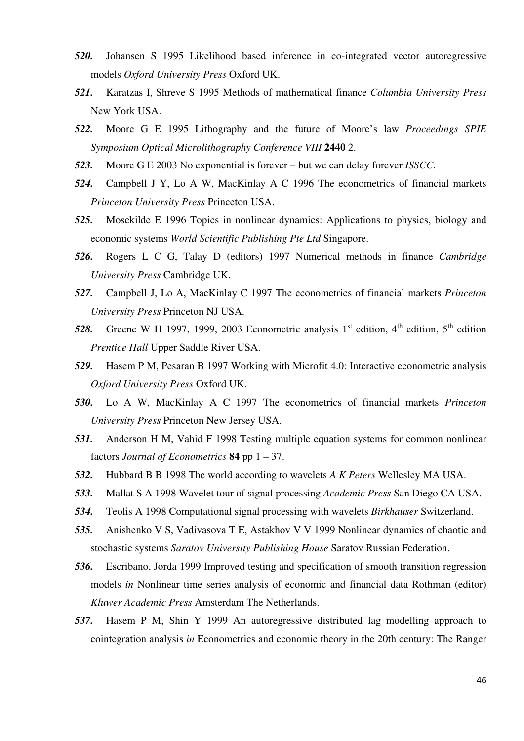- *520.* Johansen S 1995 Likelihood based inference in co-integrated vector autoregressive models *Oxford University Press* Oxford UK.
- *521.* Karatzas I, Shreve S 1995 Methods of mathematical finance *Columbia University Press* New York USA.
- *522.* Moore G E 1995 Lithography and the future of Moore's law *Proceedings SPIE Symposium Optical Microlithography Conference VIII* **2440** 2.
- *523.* Moore G E 2003 No exponential is forever but we can delay forever *ISSCC*.
- *524.* Campbell J Y, Lo A W, MacKinlay A C 1996 The econometrics of financial markets *Princeton University Press* Princeton USA.
- *525.* Mosekilde E 1996 Topics in nonlinear dynamics: Applications to physics, biology and economic systems *World Scientific Publishing Pte Ltd* Singapore.
- *526.* Rogers L C G, Talay D (editors) 1997 Numerical methods in finance *Cambridge University Press* Cambridge UK.
- *527.* Campbell J, Lo A, MacKinlay C 1997 The econometrics of financial markets *Princeton University Press* Princeton NJ USA.
- 528. Greene W H 1997, 1999, 2003 Econometric analysis 1<sup>st</sup> edition, 4<sup>th</sup> edition, 5<sup>th</sup> edition *Prentice Hall* Upper Saddle River USA.
- *529.* Hasem P M, Pesaran B 1997 Working with Microfit 4.0: Interactive econometric analysis *Oxford University Press* Oxford UK.
- *530.* Lo A W, MacKinlay A C 1997 The econometrics of financial markets *Princeton University Press* Princeton New Jersey USA.
- *531.* Anderson H M, Vahid F 1998 Testing multiple equation systems for common nonlinear factors *Journal of Econometrics* **84** pp 1 – 37.
- *532.* Hubbard B B 1998 The world according to wavelets *A K Peters* Wellesley MA USA.
- *533.* Mallat S A 1998 Wavelet tour of signal processing *Academic Press* San Diego CA USA.
- *534.* Teolis A 1998 Computational signal processing with wavelets *Birkhauser* Switzerland.
- *535.* Anishenko V S, Vadivasova T E, Astakhov V V 1999 Nonlinear dynamics of chaotic and stochastic systems *Saratov University Publishing House* Saratov Russian Federation.
- *536.* Escribano, Jorda 1999 Improved testing and specification of smooth transition regression models *in* Nonlinear time series analysis of economic and financial data Rothman (editor) *Kluwer Academic Press* Amsterdam The Netherlands.
- *537.* Hasem P M, Shin Y 1999 An autoregressive distributed lag modelling approach to cointegration analysis *in* Econometrics and economic theory in the 20th century: The Ranger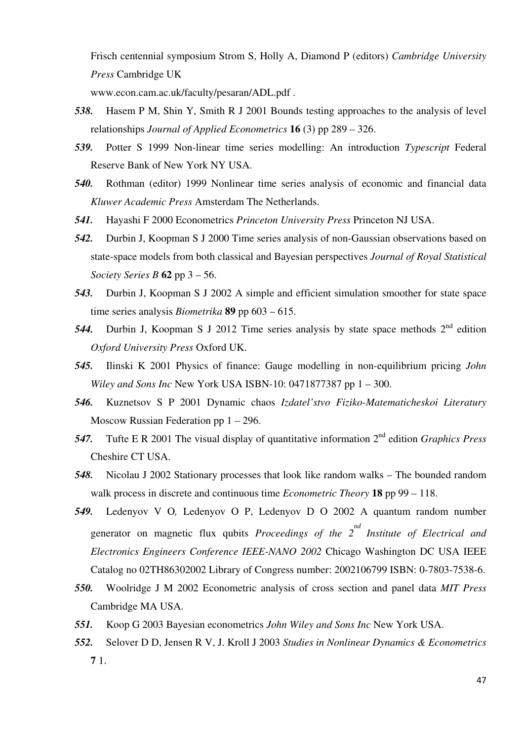Frisch centennial symposium Strom S, Holly A, Diamond P (editors) *Cambridge University Press* Cambridge UK

www.econ.cam.ac.uk/faculty/pesaran/ADL.pdf .

- *538.* Hasem P M, Shin Y, Smith R J 2001 Bounds testing approaches to the analysis of level relationships *Journal of Applied Econometrics* **16** (3) pp 289 – 326.
- *539.* Potter S 1999 Non-linear time series modelling: An introduction *Typescript* Federal Reserve Bank of New York NY USA.
- *540.* Rothman (editor) 1999 Nonlinear time series analysis of economic and financial data *Kluwer Academic Press* Amsterdam The Netherlands.
- *541.* Hayashi F 2000 Econometrics *Princeton University Press* Princeton NJ USA.
- *542.* Durbin J, Koopman S J 2000 Time series analysis of non-Gaussian observations based on state-space models from both classical and Bayesian perspectives *Journal of Royal Statistical Society Series B* **62** pp 3 – 56.
- *543.* Durbin J, Koopman S J 2002 A simple and efficient simulation smoother for state space time series analysis *Biometrika* **89** pp 603 – 615.
- 544. Durbin J, Koopman S J 2012 Time series analysis by state space methods 2<sup>nd</sup> edition *Oxford University Press* Oxford UK.
- *545.* Ilinski K 2001 Physics of finance: Gauge modelling in non-equilibrium pricing *John Wiley and Sons Inc* New York USA ISBN-10: 0471877387 pp 1 – 300.
- *546.* Kuznetsov S P 2001 Dynamic chaos *Izdatel'stvo Fiziko-Matematicheskoi Literatury* Moscow Russian Federation pp 1 – 296.
- *547.* Tufte E R 2001 The visual display of quantitative information 2nd edition *Graphics Press* Cheshire CT USA.
- *548.* Nicolau J 2002 Stationary processes that look like random walks The bounded random walk process in discrete and continuous time *Econometric Theory* **18** pp 99 – 118.
- *549.* Ledenyov V O*,* Ledenyov O P, Ledenyov D O 2002 A quantum random number generator on magnetic flux qubits *Proceedings of the 2<sup>nd</sup> Institute of Electrical and Electronics Engineers Conference IEEE-NANO 2002* Chicago Washington DC USA IEEE Catalog no 02TH86302002 Library of Congress number: 2002106799 ISBN: 0-7803-7538-6.
- *550.* Woolridge J M 2002 Econometric analysis of cross section and panel data *MIT Press* Cambridge MA USA.
- *551.* Koop G 2003 Bayesian econometrics *John Wiley and Sons Inc* New York USA.
- *552.* Selover D D, Jensen R V, J. Kroll J 2003 *Studies in Nonlinear Dynamics & Econometrics*  **7** 1.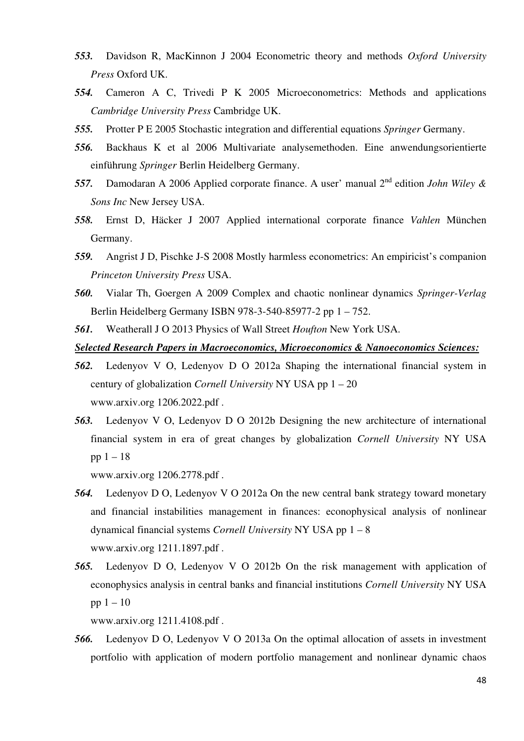- *553.* Davidson R, MacKinnon J 2004 Econometric theory and methods *Oxford University Press* Oxford UK.
- *554.* Cameron A C, Trivedi P K 2005 Microeconometrics: Methods and applications *Cambridge University Press* Cambridge UK.
- *555.* Protter P E 2005 Stochastic integration and differential equations *Springer* Germany.
- *556.* Backhaus K et al 2006 Multivariate analysemethoden. Eine anwendungsorientierte einführung *Springer* Berlin Heidelberg Germany.
- *557.* Damodaran A 2006 Applied corporate finance. A user' manual 2nd edition *John Wiley & Sons Inc* New Jersey USA.
- *558.* Ernst D, Häcker J 2007 Applied international corporate finance *Vahlen* München Germany.
- *559.* Angrist J D, Pischke J-S 2008 Mostly harmless econometrics: An empiricist's companion *Princeton University Press* USA.
- *560.* Vialar Th, Goergen A 2009 Complex and chaotic nonlinear dynamics *Springer-Verlag* Berlin Heidelberg Germany ISBN 978-3-540-85977-2 pp 1 – 752.
- *561.* Weatherall J O 2013 Physics of Wall Street *Houfton* New York USA.

#### *Selected Research Papers in Macroeconomics, Microeconomics & Nanoeconomics Sciences:*

- *562.* Ledenyov V O, Ledenyov D O 2012a Shaping the international financial system in century of globalization *Cornell University* NY USA pp 1 – 20 www.arxiv.org 1206.2022.pdf .
- *563.* Ledenyov V O, Ledenyov D O 2012b Designing the new architecture of international financial system in era of great changes by globalization *Cornell University* NY USA pp 1 – 18

www.arxiv.org 1206.2778.pdf .

- *564.* Ledenyov D O, Ledenyov V O 2012a On the new central bank strategy toward monetary and financial instabilities management in finances: econophysical analysis of nonlinear dynamical financial systems *Cornell University* NY USA pp 1 – 8 www.arxiv.org 1211.1897.pdf .
- *565.* Ledenyov D O, Ledenyov V O 2012b On the risk management with application of econophysics analysis in central banks and financial institutions *Cornell University* NY USA pp  $1 - 10$

www.arxiv.org 1211.4108.pdf .

*566.* Ledenyov D O, Ledenyov V O 2013a On the optimal allocation of assets in investment portfolio with application of modern portfolio management and nonlinear dynamic chaos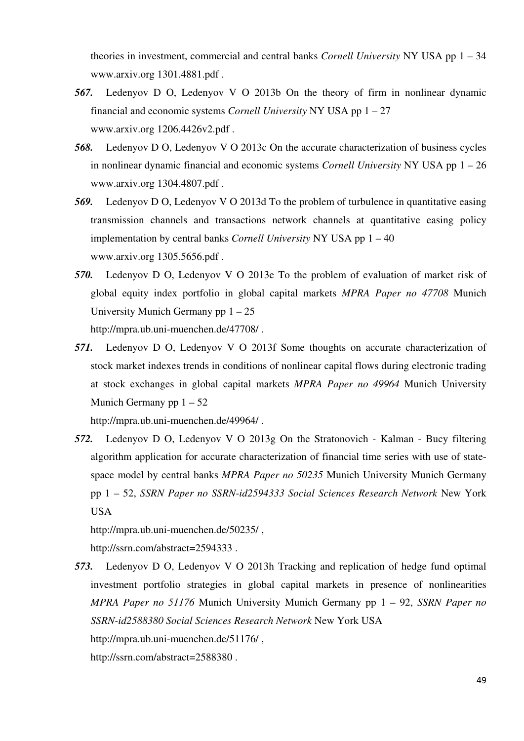theories in investment, commercial and central banks *Cornell University* NY USA pp 1 – 34 www.arxiv.org 1301.4881.pdf .

- *567.* Ledenyov D O, Ledenyov V O 2013b On the theory of firm in nonlinear dynamic financial and economic systems *Cornell University* NY USA pp 1 – 27 www.arxiv.org 1206.4426v2.pdf .
- *568.* Ledenyov D O, Ledenyov V O 2013c On the accurate characterization of business cycles in nonlinear dynamic financial and economic systems *Cornell University* NY USA pp 1 – 26 www.arxiv.org 1304.4807.pdf .
- *569.* Ledenyov D O, Ledenyov V O 2013d To the problem of turbulence in quantitative easing transmission channels and transactions network channels at quantitative easing policy implementation by central banks *Cornell University* NY USA pp 1 – 40 www.arxiv.org 1305.5656.pdf .
- *570.* Ledenyov D O, Ledenyov V O 2013e To the problem of evaluation of market risk of global equity index portfolio in global capital markets *MPRA Paper no 47708* Munich University Munich Germany pp  $1 - 25$ http://mpra.ub.uni-muenchen.de/47708/ .
- *571.* Ledenyov D O, Ledenyov V O 2013f Some thoughts on accurate characterization of stock market indexes trends in conditions of nonlinear capital flows during electronic trading at stock exchanges in global capital markets *MPRA Paper no 49964* Munich University Munich Germany pp  $1 - 52$

http://mpra.ub.uni-muenchen.de/49964/ .

*572.* Ledenyov D O, Ledenyov V O 2013g On the Stratonovich - Kalman - Bucy filtering algorithm application for accurate characterization of financial time series with use of statespace model by central banks *MPRA Paper no 50235* Munich University Munich Germany pp 1 – 52, *SSRN Paper no SSRN-id2594333 Social Sciences Research Network* New York USA

http://mpra.ub.uni-muenchen.de/50235/ ,

http://ssrn.com/abstract=2594333 .

*573.* Ledenyov D O, Ledenyov V O 2013h Tracking and replication of hedge fund optimal investment portfolio strategies in global capital markets in presence of nonlinearities *MPRA Paper no 51176* Munich University Munich Germany pp 1 – 92, *SSRN Paper no SSRN-id2588380 Social Sciences Research Network* New York USA http://mpra.ub.uni-muenchen.de/51176/ ,

http://ssrn.com/abstract=2588380 .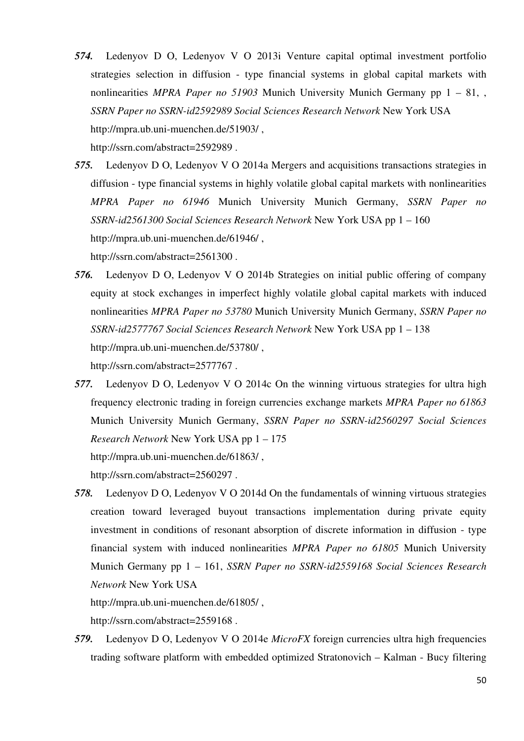- *574.* Ledenyov D O, Ledenyov V O 2013i Venture capital optimal investment portfolio strategies selection in diffusion - type financial systems in global capital markets with nonlinearities *MPRA Paper no 51903* Munich University Munich Germany pp 1 – 81, , *SSRN Paper no SSRN-id2592989 Social Sciences Research Network* New York USA http://mpra.ub.uni-muenchen.de/51903/ , http://ssrn.com/abstract=2592989.
- *575.* Ledenyov D O, Ledenyov V O 2014a Mergers and acquisitions transactions strategies in diffusion - type financial systems in highly volatile global capital markets with nonlinearities *MPRA Paper no 61946* Munich University Munich Germany, *SSRN Paper no SSRN-id2561300 Social Sciences Research Network* New York USA pp 1 – 160 http://mpra.ub.uni-muenchen.de/61946/ , http://ssrn.com/abstract=2561300 .

*576.* Ledenyov D O, Ledenyov V O 2014b Strategies on initial public offering of company equity at stock exchanges in imperfect highly volatile global capital markets with induced nonlinearities *MPRA Paper no 53780* Munich University Munich Germany, *SSRN Paper no SSRN-id2577767 Social Sciences Research Network* New York USA pp 1 – 138 http://mpra.ub.uni-muenchen.de/53780/ , http://ssrn.com/abstract=2577767.

*577.* Ledenyov D O, Ledenyov V O 2014c On the winning virtuous strategies for ultra high frequency electronic trading in foreign currencies exchange markets *MPRA Paper no 61863*  Munich University Munich Germany, *SSRN Paper no SSRN-id2560297 Social Sciences Research Network* New York USA pp 1 – 175 http://mpra.ub.uni-muenchen.de/61863/ ,

http://ssrn.com/abstract=2560297 .

*578.* Ledenyov D O, Ledenyov V O 2014d On the fundamentals of winning virtuous strategies creation toward leveraged buyout transactions implementation during private equity investment in conditions of resonant absorption of discrete information in diffusion - type financial system with induced nonlinearities *MPRA Paper no 61805* Munich University Munich Germany pp 1 – 161, *SSRN Paper no SSRN-id2559168 Social Sciences Research Network* New York USA

http://mpra.ub.uni-muenchen.de/61805/ ,

http://ssrn.com/abstract=2559168.

*579.* Ledenyov D O, Ledenyov V O 2014e *MicroFX* foreign currencies ultra high frequencies trading software platform with embedded optimized Stratonovich – Kalman - Bucy filtering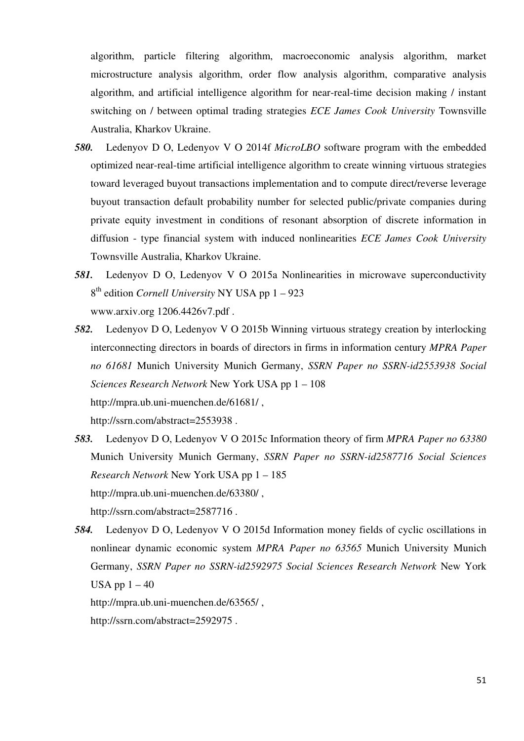algorithm, particle filtering algorithm, macroeconomic analysis algorithm, market microstructure analysis algorithm, order flow analysis algorithm, comparative analysis algorithm, and artificial intelligence algorithm for near-real-time decision making / instant switching on / between optimal trading strategies *ECE James Cook University* Townsville Australia, Kharkov Ukraine.

- *580.* Ledenyov D O, Ledenyov V O 2014f *MicroLBO* software program with the embedded optimized near-real-time artificial intelligence algorithm to create winning virtuous strategies toward leveraged buyout transactions implementation and to compute direct/reverse leverage buyout transaction default probability number for selected public/private companies during private equity investment in conditions of resonant absorption of discrete information in diffusion - type financial system with induced nonlinearities *ECE James Cook University* Townsville Australia, Kharkov Ukraine.
- *581.* Ledenyov D O, Ledenyov V O 2015a Nonlinearities in microwave superconductivity 8 th edition *Cornell University* NY USA pp 1 – 923 www.arxiv.org 1206.4426v7.pdf .
- *582.* Ledenyov D O, Ledenyov V O 2015b Winning virtuous strategy creation by interlocking interconnecting directors in boards of directors in firms in information century *MPRA Paper no 61681* Munich University Munich Germany, *SSRN Paper no SSRN-id2553938 Social Sciences Research Network* New York USA pp 1 – 108 http://mpra.ub.uni-muenchen.de/61681/ , http://ssrn.com/abstract=2553938.
- *583.* Ledenyov D O, Ledenyov V O 2015c Information theory of firm *MPRA Paper no 63380* Munich University Munich Germany, *SSRN Paper no SSRN-id2587716 Social Sciences Research Network* New York USA pp 1 – 185 http://mpra.ub.uni-muenchen.de/63380/ , http://ssrn.com/abstract=2587716.
- *584.* Ledenyov D O, Ledenyov V O 2015d Information money fields of cyclic oscillations in nonlinear dynamic economic system *MPRA Paper no 63565* Munich University Munich Germany, *SSRN Paper no SSRN-id2592975 Social Sciences Research Network* New York USA pp  $1 - 40$ http://mpra.ub.uni-muenchen.de/63565/ ,

http://ssrn.com/abstract=2592975 .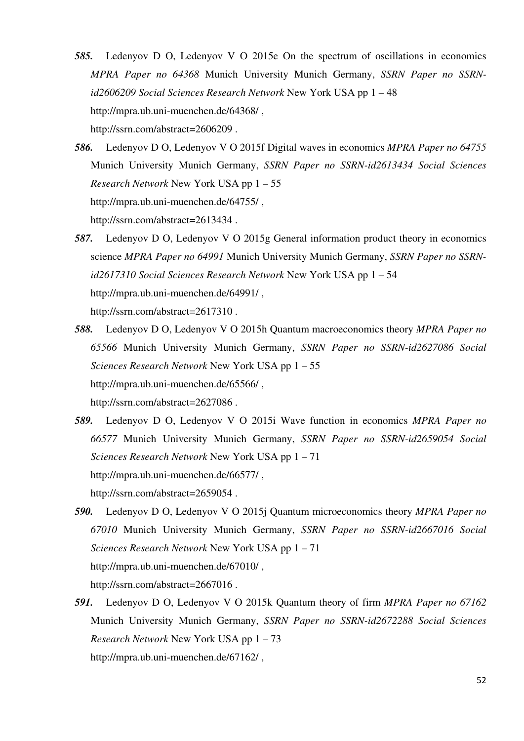- *585.* Ledenyov D O, Ledenyov V O 2015e On the spectrum of oscillations in economics *MPRA Paper no 64368* Munich University Munich Germany, *SSRN Paper no SSRNid2606209 Social Sciences Research Network* New York USA pp 1 – 48 http://mpra.ub.uni-muenchen.de/64368/ , http://ssrn.com/abstract=2606209 .
- *586.* Ledenyov D O, Ledenyov V O 2015f Digital waves in economics *MPRA Paper no 64755* Munich University Munich Germany, *SSRN Paper no SSRN-id2613434 Social Sciences Research Network* New York USA pp 1 – 55 http://mpra.ub.uni-muenchen.de/64755/ , http://ssrn.com/abstract=2613434 .
- *587.* Ledenyov D O, Ledenyov V O 2015g General information product theory in economics science *MPRA Paper no 64991* Munich University Munich Germany, *SSRN Paper no SSRNid2617310 Social Sciences Research Network* New York USA pp 1 – 54 http://mpra.ub.uni-muenchen.de/64991/ , http://ssrn.com/abstract=2617310 .
- *588.* Ledenyov D O, Ledenyov V O 2015h Quantum macroeconomics theory *MPRA Paper no 65566* Munich University Munich Germany, *SSRN Paper no SSRN-id2627086 Social Sciences Research Network* New York USA pp 1 – 55 http://mpra.ub.uni-muenchen.de/65566/ , http://ssrn.com/abstract=2627086.
- *589.* Ledenyov D O, Ledenyov V O 2015i Wave function in economics *MPRA Paper no 66577* Munich University Munich Germany, *SSRN Paper no SSRN-id2659054 Social Sciences Research Network* New York USA pp 1 – 71 http://mpra.ub.uni-muenchen.de/66577/ , http://ssrn.com/abstract=2659054 .
- *590.* Ledenyov D O, Ledenyov V O 2015j Quantum microeconomics theory *MPRA Paper no 67010* Munich University Munich Germany, *SSRN Paper no SSRN-id2667016 Social Sciences Research Network* New York USA pp 1 – 71 http://mpra.ub.uni-muenchen.de/67010/ , http://ssrn.com/abstract=2667016.
- *591.* Ledenyov D O, Ledenyov V O 2015k Quantum theory of firm *MPRA Paper no 67162* Munich University Munich Germany, *SSRN Paper no SSRN-id2672288 Social Sciences Research Network* New York USA pp 1 – 73 http://mpra.ub.uni-muenchen.de/67162/ ,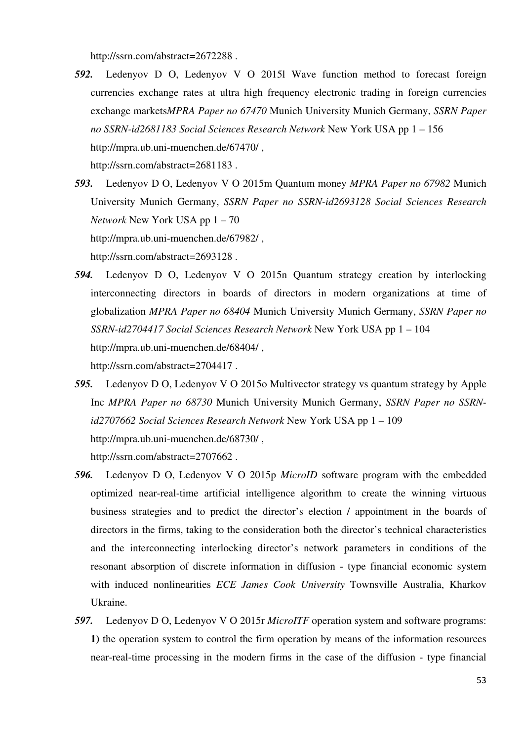http://ssrn.com/abstract=2672288 .

- *592.* Ledenyov D O, Ledenyov V O 2015l Wave function method to forecast foreign currencies exchange rates at ultra high frequency electronic trading in foreign currencies exchange markets*MPRA Paper no 67470* Munich University Munich Germany, *SSRN Paper no SSRN-id2681183 Social Sciences Research Network* New York USA pp 1 – 156 http://mpra.ub.uni-muenchen.de/67470/ , http://ssrn.com/abstract=2681183.
- *593.* Ledenyov D O, Ledenyov V O 2015m Quantum money *MPRA Paper no 67982* Munich University Munich Germany, *SSRN Paper no SSRN-id2693128 Social Sciences Research Network* New York USA pp 1 – 70 http://mpra.ub.uni-muenchen.de/67982/ , http://ssrn.com/abstract=2693128.
- *594.* Ledenyov D O, Ledenyov V O 2015n Quantum strategy creation by interlocking interconnecting directors in boards of directors in modern organizations at time of globalization *MPRA Paper no 68404* Munich University Munich Germany, *SSRN Paper no SSRN-id2704417 Social Sciences Research Network* New York USA pp 1 – 104 http://mpra.ub.uni-muenchen.de/68404/ ,

http://ssrn.com/abstract=2704417.

*595.* Ledenyov D O, Ledenyov V O 2015o Multivector strategy vs quantum strategy by Apple Inc *MPRA Paper no 68730* Munich University Munich Germany, *SSRN Paper no SSRNid2707662 Social Sciences Research Network* New York USA pp 1 – 109 http://mpra.ub.uni-muenchen.de/68730/ ,

http://ssrn.com/abstract=2707662 .

- *596.* Ledenyov D O, Ledenyov V O 2015p *MicroID* software program with the embedded optimized near-real-time artificial intelligence algorithm to create the winning virtuous business strategies and to predict the director's election / appointment in the boards of directors in the firms, taking to the consideration both the director's technical characteristics and the interconnecting interlocking director's network parameters in conditions of the resonant absorption of discrete information in diffusion - type financial economic system with induced nonlinearities *ECE James Cook University* Townsville Australia, Kharkov Ukraine.
- *597.* Ledenyov D O, Ledenyov V O 2015r *MicroITF* operation system and software programs: **1)** the operation system to control the firm operation by means of the information resources near-real-time processing in the modern firms in the case of the diffusion - type financial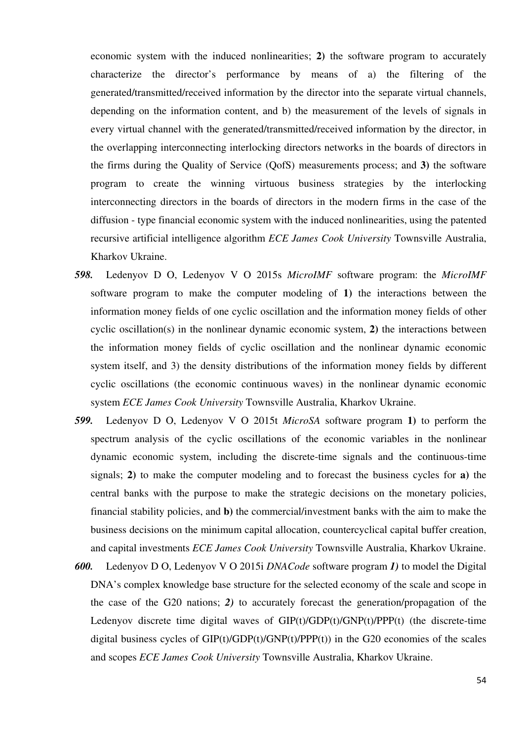economic system with the induced nonlinearities; **2)** the software program to accurately characterize the director's performance by means of a) the filtering of the generated/transmitted/received information by the director into the separate virtual channels, depending on the information content, and b) the measurement of the levels of signals in every virtual channel with the generated/transmitted/received information by the director, in the overlapping interconnecting interlocking directors networks in the boards of directors in the firms during the Quality of Service (QofS) measurements process; and **3)** the software program to create the winning virtuous business strategies by the interlocking interconnecting directors in the boards of directors in the modern firms in the case of the diffusion - type financial economic system with the induced nonlinearities, using the patented recursive artificial intelligence algorithm *ECE James Cook University* Townsville Australia, Kharkov Ukraine.

- *598.* Ledenyov D O, Ledenyov V O 2015s *MicroIMF* software program: the *MicroIMF* software program to make the computer modeling of **1)** the interactions between the information money fields of one cyclic oscillation and the information money fields of other cyclic oscillation(s) in the nonlinear dynamic economic system, **2)** the interactions between the information money fields of cyclic oscillation and the nonlinear dynamic economic system itself, and 3) the density distributions of the information money fields by different cyclic oscillations (the economic continuous waves) in the nonlinear dynamic economic system *ECE James Cook University* Townsville Australia, Kharkov Ukraine.
- *599.* Ledenyov D O, Ledenyov V O 2015t *MicroSA* software program **1)** to perform the spectrum analysis of the cyclic oscillations of the economic variables in the nonlinear dynamic economic system, including the discrete-time signals and the continuous-time signals; **2)** to make the computer modeling and to forecast the business cycles for **a)** the central banks with the purpose to make the strategic decisions on the monetary policies, financial stability policies, and **b)** the commercial/investment banks with the aim to make the business decisions on the minimum capital allocation, countercyclical capital buffer creation, and capital investments *ECE James Cook University* Townsville Australia, Kharkov Ukraine.
- *600.* Ledenyov D O, Ledenyov V O 2015i *DNACode* software program *1)* to model the Digital DNA's complex knowledge base structure for the selected economy of the scale and scope in the case of the G20 nations; *2)* to accurately forecast the generation/propagation of the Ledenyov discrete time digital waves of GIP(t)/GDP(t)/GNP(t)/PPP(t) (the discrete-time digital business cycles of GIP(t)/GDP(t)/GNP(t)/PPP(t)) in the G20 economies of the scales and scopes *ECE James Cook University* Townsville Australia, Kharkov Ukraine.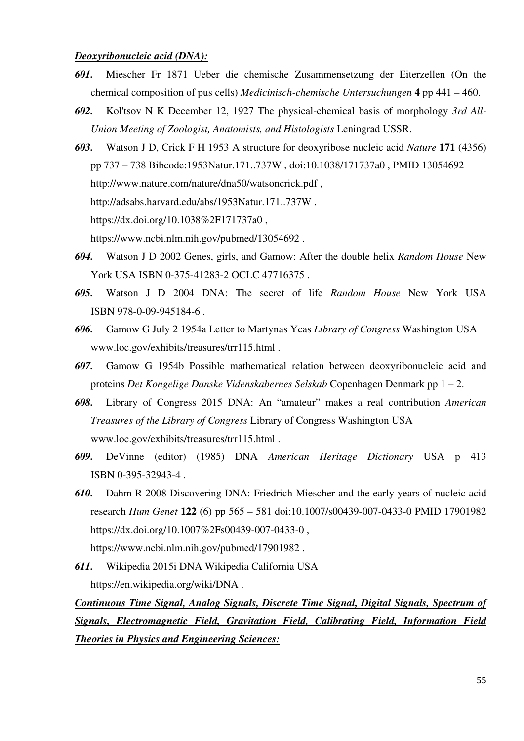#### *Deoxyribonucleic acid (DNA):*

- *601.* Miescher Fr 1871 Ueber die chemische Zusammensetzung der Eiterzellen (On the chemical composition of pus cells) *Medicinisch-chemische Untersuchungen* **4** pp 441 – 460.
- *602.* Kol'tsov N K December 12, 1927 The physical-chemical basis of morphology *3rd All-Union Meeting of Zoologist, Anatomists, and Histologists* Leningrad USSR.
- *603.* Watson J D, Crick F H 1953 A structure for deoxyribose nucleic acid *Nature* **171** (4356) pp 737 – 738 Bibcode:1953Natur.171..737W , doi:10.1038/171737a0 , PMID 13054692 http://www.nature.com/nature/dna50/watsoncrick.pdf , http://adsabs.harvard.edu/abs/1953Natur.171..737W , https://dx.doi.org/10.1038%2F171737a0 , https://www.ncbi.nlm.nih.gov/pubmed/13054692 .
- *604.* Watson J D 2002 Genes, girls, and Gamow: After the double helix *Random House* New York USA ISBN 0-375-41283-2 OCLC 47716375 .
- *605.* Watson J D 2004 DNA: The secret of life *Random House* New York USA ISBN 978-0-09-945184-6 .
- *606.* Gamow G July 2 1954a Letter to Martynas Ycas *Library of Congress* Washington USA www.loc.gov/exhibits/treasures/trr115.html .
- *607.* Gamow G 1954b Possible mathematical relation between deoxyribonucleic acid and proteins *Det Kongelige Danske Videnskabernes Selskab* Copenhagen Denmark pp 1 – 2.
- *608.* Library of Congress 2015 DNA: An "amateur" makes a real contribution *American Treasures of the Library of Congress* Library of Congress Washington USA www.loc.gov/exhibits/treasures/trr115.html .
- *609.* DeVinne (editor) (1985) DNA *American Heritage Dictionary* USA p 413 ISBN 0-395-32943-4 .
- *610.* Dahm R 2008 Discovering DNA: Friedrich Miescher and the early years of nucleic acid research *Hum Genet* **122** (6) pp 565 – 581 doi:10.1007/s00439-007-0433-0 PMID 17901982 https://dx.doi.org/10.1007%2Fs00439-007-0433-0 ,

https://www.ncbi.nlm.nih.gov/pubmed/17901982 .

*611.* Wikipedia 2015i DNA Wikipedia California USA https://en.wikipedia.org/wiki/DNA .

*Continuous Time Signal, Analog Signals, Discrete Time Signal, Digital Signals, Spectrum of Signals, Electromagnetic Field, Gravitation Field, Calibrating Field, Information Field Theories in Physics and Engineering Sciences:*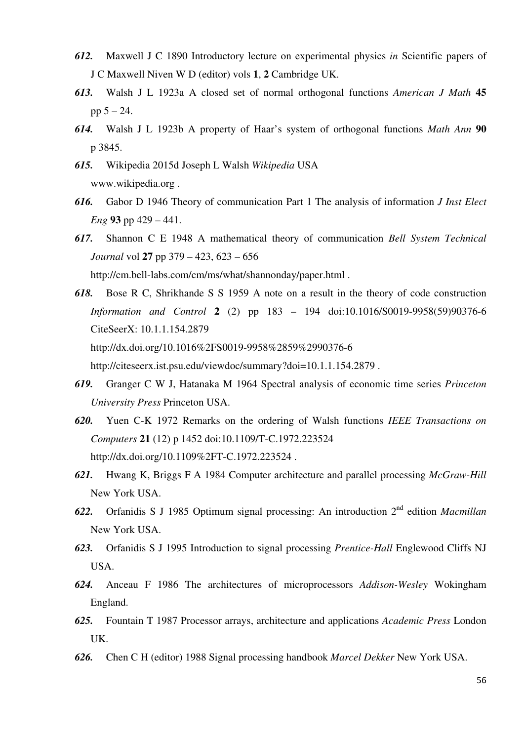- *612.* Maxwell J C 1890 Introductory lecture on experimental physics *in* Scientific papers of J C Maxwell Niven W D (editor) vols **1**, **2** Cambridge UK.
- *613.* Walsh J L 1923a A closed set of normal orthogonal functions *American J Math* **45** pp  $5 - 24$ .
- *614.* Walsh J L 1923b A property of Haar's system of orthogonal functions *Math Ann* **90** p 3845.
- *615.* Wikipedia 2015d Joseph L Walsh *Wikipedia* USA www.wikipedia.org .
- *616.* Gabor D 1946 Theory of communication Part 1 The analysis of information *J Inst Elect Eng* **93** pp 429 – 441.
- *617.* Shannon C E 1948 A mathematical theory of communication *Bell System Technical Journal* vol **27** pp 379 – 423, 623 – 656

http://cm.bell-labs.com/cm/ms/what/shannonday/paper.html .

- *618.* Bose R C, Shrikhande S S 1959 A note on a result in the theory of code construction *Information and Control* **2** (2) pp 183 – 194 doi:10.1016/S0019-9958(59)90376-6 CiteSeerX: 10.1.1.154.2879 http://dx.doi.org/10.1016%2FS0019-9958%2859%2990376-6 http://citeseerx.ist.psu.edu/viewdoc/summary?doi=10.1.1.154.2879 .
- *619.* Granger C W J, Hatanaka M 1964 Spectral analysis of economic time series *Princeton University Press* Princeton USA.
- *620.* Yuen C-K 1972 Remarks on the ordering of Walsh functions *IEEE Transactions on Computers* **21** (12) p 1452 doi:10.1109/T-C.1972.223524 http://dx.doi.org/10.1109%2FT-C.1972.223524 .
- *621.* Hwang K, Briggs F A 1984 Computer architecture and parallel processing *McGraw-Hill* New York USA.
- *622.* Orfanidis S J 1985 Optimum signal processing: An introduction 2nd edition *Macmillan*  New York USA.
- *623.* Orfanidis S J 1995 Introduction to signal processing *Prentice-Hall* Englewood Cliffs NJ **USA**
- *624.* Anceau F 1986 The architectures of microprocessors *Addison-Wesley* Wokingham England.
- *625.* Fountain T 1987 Processor arrays, architecture and applications *Academic Press* London UK.
- *626.* Chen C H (editor) 1988 Signal processing handbook *Marcel Dekker* New York USA.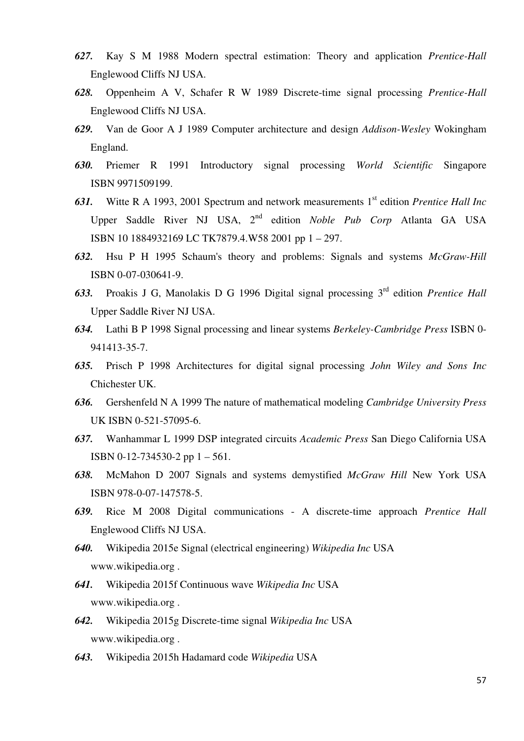- *627.* Kay S M 1988 Modern spectral estimation: Theory and application *Prentice-Hall* Englewood Cliffs NJ USA.
- *628.* Oppenheim A V, Schafer R W 1989 Discrete-time signal processing *Prentice-Hall* Englewood Cliffs NJ USA.
- *629.* Van de Goor A J 1989 Computer architecture and design *Addison-Wesley* Wokingham England.
- *630.* Priemer R 1991 Introductory signal processing *World Scientific* Singapore ISBN 9971509199.
- *631.* Witte R A 1993, 2001 Spectrum and network measurements 1 st edition *Prentice Hall Inc* Upper Saddle River NJ USA, 2nd edition *Noble Pub Corp* Atlanta GA USA ISBN 10 1884932169 LC TK7879.4.W58 2001 pp 1 – 297.
- *632.* Hsu P H 1995 Schaum's theory and problems: Signals and systems *McGraw-Hill* ISBN 0-07-030641-9.
- *633.* Proakis J G, Manolakis D G 1996 Digital signal processing 3rd edition *Prentice Hall* Upper Saddle River NJ USA.
- *634.* Lathi B P 1998 Signal processing and linear systems *Berkeley-Cambridge Press* ISBN 0- 941413-35-7.
- *635.* Prisch P 1998 Architectures for digital signal processing *John Wiley and Sons Inc* Chichester UK.
- *636.* Gershenfeld N A 1999 The nature of mathematical modeling *Cambridge University Press* UK ISBN 0-521-57095-6.
- *637.* Wanhammar L 1999 DSP integrated circuits *Academic Press* San Diego California USA ISBN 0-12-734530-2 pp 1 – 561.
- *638.* McMahon D 2007 Signals and systems demystified *McGraw Hill* New York USA ISBN 978-0-07-147578-5.
- *639.* Rice M 2008 Digital communications A discrete-time approach *Prentice Hall* Englewood Cliffs NJ USA.
- *640.* Wikipedia 2015e Signal (electrical engineering) *Wikipedia Inc* USA www.wikipedia.org .
- *641.* Wikipedia 2015f Continuous wave *Wikipedia Inc* USA www.wikipedia.org .
- *642.* Wikipedia 2015g Discrete-time signal *Wikipedia Inc* USA www.wikipedia.org .
- *643.* Wikipedia 2015h Hadamard code *Wikipedia* USA